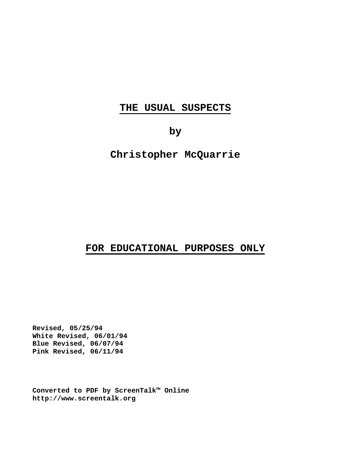# **THE USUAL SUSPECTS**

**by**

**Christopher McQuarrie**

# **FOR EDUCATIONAL PURPOSES ONLY**

**Revised, 05/25/94 White Revised, 06/01/94 Blue Revised, 06/07/94 Pink Revised, 06/11/94**

**Converted to PDF by ScreenTalk™ Online http://www.screentalk.org**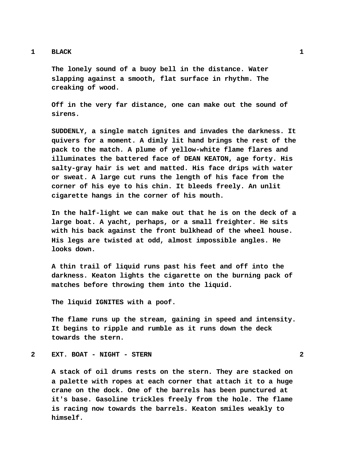### **1 BLACK 1**

**The lonely sound of a buoy bell in the distance. Water slapping against a smooth, flat surface in rhythm. The creaking of wood.**

**Off in the very far distance, one can make out the sound of sirens.**

**SUDDENLY, a single match ignites and invades the darkness. It quivers for a moment. A dimly lit hand brings the rest of the pack to the match. A plume of yellow-white flame flares and illuminates the battered face of DEAN KEATON, age forty. His salty-gray hair is wet and matted. His face drips with water or sweat. A large cut runs the length of his face from the corner of his eye to his chin. It bleeds freely. An unlit cigarette hangs in the corner of his mouth.**

**In the half-light we can make out that he is on the deck of a large boat. A yacht, perhaps, or a small freighter. He sits with his back against the front bulkhead of the wheel house. His legs are twisted at odd, almost impossible angles. He looks down.**

**A thin trail of liquid runs past his feet and off into the darkness. Keaton lights the cigarette on the burning pack of matches before throwing them into the liquid.**

**The liquid IGNITES with a poof.**

**The flame runs up the stream, gaining in speed and intensity. It begins to ripple and rumble as it runs down the deck towards the stern.**

#### **2 EXT. BOAT - NIGHT - STERN 2**

**A stack of oil drums rests on the stern. They are stacked on a palette with ropes at each corner that attach it to a huge crane on the dock. One of the barrels has been punctured at it's base. Gasoline trickles freely from the hole. The flame is racing now towards the barrels. Keaton smiles weakly to himself.**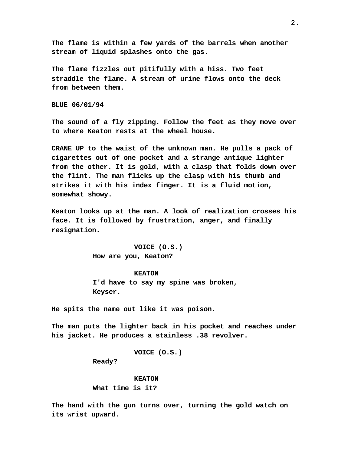**The flame is within a few yards of the barrels when another stream of liquid splashes onto the gas.**

**The flame fizzles out pitifully with a hiss. Two feet straddle the flame. A stream of urine flows onto the deck from between them.**

**BLUE 06/01/94**

**The sound of a fly zipping. Follow the feet as they move over to where Keaton rests at the wheel house.**

**CRANE UP to the waist of the unknown man. He pulls a pack of cigarettes out of one pocket and a strange antique lighter from the other. It is gold, with a clasp that folds down over the flint. The man flicks up the clasp with his thumb and strikes it with his index finger. It is a fluid motion, somewhat showy.**

**Keaton looks up at the man. A look of realization crosses his face. It is followed by frustration, anger, and finally resignation.**

> **VOICE (O.S.) How are you, Keaton?**

> > **KEATON**

**I'd have to say my spine was broken, Keyser.**

**He spits the name out like it was poison.**

**The man puts the lighter back in his pocket and reaches under his jacket. He produces a stainless .38 revolver.**

```
VOICE (O.S.)
```
**Ready?**

**KEATON What time is it?**

**The hand with the gun turns over, turning the gold watch on its wrist upward.**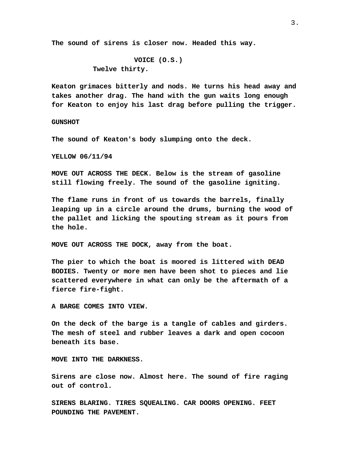**The sound of sirens is closer now. Headed this way.**

**VOICE (O.S.) Twelve thirty.**

**Keaton grimaces bitterly and nods. He turns his head away and takes another drag. The hand with the gun waits long enough for Keaton to enjoy his last drag before pulling the trigger.**

**GUNSHOT**

**The sound of Keaton's body slumping onto the deck.**

**YELLOW 06/11/94**

**MOVE OUT ACROSS THE DECK. Below is the stream of gasoline still flowing freely. The sound of the gasoline igniting.**

**The flame runs in front of us towards the barrels, finally leaping up in a circle around the drums, burning the wood of the pallet and licking the spouting stream as it pours from the hole.**

**MOVE OUT ACROSS THE DOCK, away from the boat.**

**The pier to which the boat is moored is littered with DEAD BODIES. Twenty or more men have been shot to pieces and lie scattered everywhere in what can only be the aftermath of a fierce fire-fight.**

**A BARGE COMES INTO VIEW.**

**On the deck of the barge is a tangle of cables and girders. The mesh of steel and rubber leaves a dark and open cocoon beneath its base.**

**MOVE INTO THE DARKNESS.**

**Sirens are close now. Almost here. The sound of fire raging out of control.**

**SIRENS BLARING. TIRES SQUEALING. CAR DOORS OPENING. FEET POUNDING THE PAVEMENT.**

3.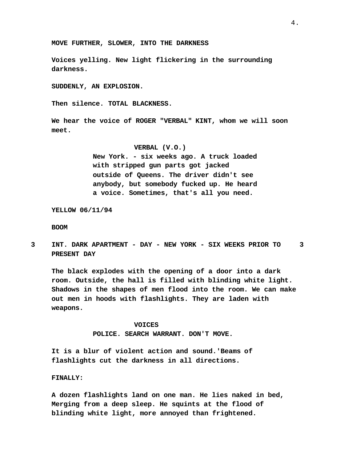**MOVE FURTHER, SLOWER, INTO THE DARKNESS**

**Voices yelling. New light flickering in the surrounding darkness.**

**SUDDENLY, AN EXPLOSION.**

**Then silence. TOTAL BLACKNESS.**

**We hear the voice of ROGER "VERBAL" KINT, whom we will soon meet.**

#### **VERBAL (V.O.)**

**New York. - six weeks ago. A truck loaded with stripped gun parts got jacked outside of Queens. The driver didn't see anybody, but somebody fucked up. He heard a voice. Sometimes, that's all you need.**

**YELLOW 06/11/94**

**BOOM**

**3 INT. DARK APARTMENT - DAY - NEW YORK - SIX WEEKS PRIOR TO 3 PRESENT DAY**

**The black explodes with the opening of a door into a dark room. Outside, the hall is filled with blinding white light. Shadows in the shapes of men flood into the room. We can make out men in hoods with flashlights. They are laden with weapons.**

> **VOICES POLICE. SEARCH WARRANT. DON'T MOVE.**

**It is a blur of violent action and sound.'Beams of flashlights cut the darkness in all directions.**

**FINALLY:**

**A dozen flashlights land on one man. He lies naked in bed, Merging from a deep sleep. He squints at the flood of blinding white light, more annoyed than frightened.**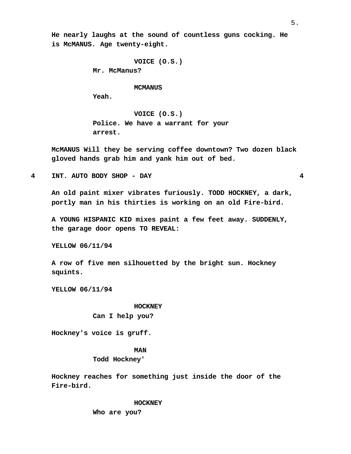**He nearly laughs at the sound of countless guns cocking. He is McMANUS. Age twenty-eight.**

```
VOICE (O.S.)
```
**Mr. McManus?**

#### **MCMANUS**

**Yeah.**

**VOICE (O.S.) Police. We have a warrant for your arrest.**

**McMANUS Will they be serving coffee downtown? Two dozen black gloved hands grab him and yank him out of bed.**

**4 INT. AUTO BODY SHOP - DAY 4**

**An old paint mixer vibrates furiously. TODD HOCKNEY, a dark, portly man in his thirties is working on an old Fire-bird.**

**A YOUNG HISPANIC KID mixes paint a few feet away. SUDDENLY, the garage door opens TO REVEAL:**

**YELLOW 06/11/94**

**A row of five men silhouetted by the bright sun. Hockney squints.**

**YELLOW 06/11/94**

#### **HOCKNEY**

**Can I help you?**

**Hockney's voice is gruff.**

### **MAN**

**Todd Hockney'**

**Hockney reaches for something just inside the door of the Fire-bird.**

#### **HOCKNEY**

**Who are you?**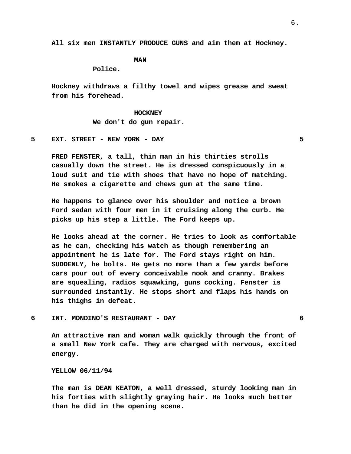**All six men INSTANTLY PRODUCE GUNS and aim them at Hockney.**

**MAN**

**Police.**

**Hockney withdraws a filthy towel and wipes grease and sweat from his forehead.**

#### **HOCKNEY**

**We don't do gun repair.**

**5 EXT. STREET - NEW YORK - DAY 5**

**FRED FENSTER, a tall, thin man in his thirties strolls casually down the street. He is dressed conspicuously in a loud suit and tie with shoes that have no hope of matching. He smokes a cigarette and chews gum at the same time.**

**He happens to glance over his shoulder and notice a brown Ford sedan with four men in it cruising along the curb. He picks up his step a little. The Ford keeps up.**

**He looks ahead at the corner. He tries to look as comfortable as he can, checking his watch as though remembering an appointment he is late for. The Ford stays right on him. SUDDENLY, he bolts. He gets no more than a few yards before cars pour out of every conceivable nook and cranny. Brakes are squealing, radios squawking, guns cocking. Fenster is surrounded instantly. He stops short and flaps his hands on his thighs in defeat.**

**6 INT. MONDINO'S RESTAURANT - DAY 6**

**An attractive man and woman walk quickly through the front of a small New York cafe. They are charged with nervous, excited energy.**

**YELLOW 06/11/94**

**The man is DEAN KEATON, a well dressed, sturdy looking man in his forties with slightly graying hair. He looks much better than he did in the opening scene.**

6.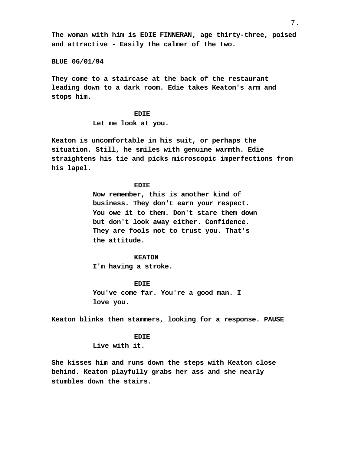**The woman with him is EDIE FINNERAN, age thirty-three, poised and attractive - Easily the calmer of the two.**

**BLUE 06/01/94**

**They come to a staircase at the back of the restaurant leading down to a dark room. Edie takes Keaton's arm and stops him.**

**EDIE**

**Let me look at you.**

**Keaton is uncomfortable in his suit, or perhaps the situation. Still, he smiles with genuine warmth. Edie straightens his tie and picks microscopic imperfections from his lapel.**

#### **EDIE**

**Now remember, this is another kind of business. They don't earn your respect. You owe it to them. Don't stare them down but don't look away either. Confidence. They are fools not to trust you. That's the attitude.**

#### **KEATON**

**I'm having a stroke.**

### **EDIE**

**You've come far. You're a good man. I love you.**

**Keaton blinks then stammers, looking for a response. PAUSE**

#### **EDIE**

**Live with it.**

**She kisses him and runs down the steps with Keaton close behind. Keaton playfully grabs her ass and she nearly stumbles down the stairs.**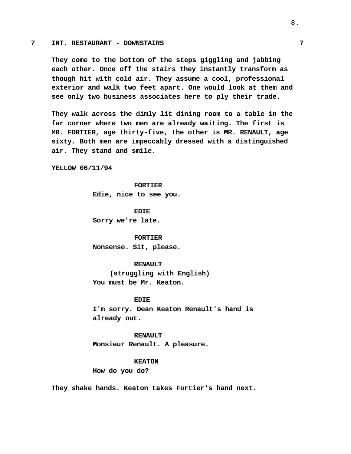#### **7 INT. RESTAURANT - DOWNSTAIRS 7**

**They come to the bottom of the steps giggling and jabbing each other. Once off the stairs they instantly transform as though hit with cold air. They assume a cool, professional exterior and walk two feet apart. One would look at them and see only two business associates here to ply their trade.**

**They walk across the dimly lit dining room to a table in the far corner where two men are already waiting. The first is MR. FORTIER, age thirty-five, the other is MR. RENAULT, age sixty. Both men are impeccably dressed with a distinguished air. They stand and smile.**

**YELLOW 06/11/94**

#### **FORTIER**

**Edie, nice to see you.**

**EDIE Sorry we're late.**

**FORTIER Nonsense. Sit, please.**

#### **RENAULT**

**(struggling with English) You must be Mr. Keaton.**

#### **EDIE**

**I'm sorry. Dean Keaton Renault's hand is already out.**

**RENAULT**

**Monsieur Renault. A pleasure.**

#### **KEATON**

**How do you do?**

**They shake hands. Keaton takes Fortier's hand next.**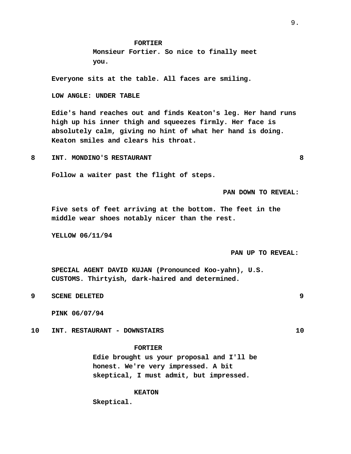**FORTIER**

**Monsieur Fortier. So nice to finally meet you.**

**Everyone sits at the table. All faces are smiling.**

**LOW ANGLE: UNDER TABLE**

**Edie's hand reaches out and finds Keaton's leg. Her hand runs high up his inner thigh and squeezes firmly. Her face is absolutely calm, giving no hint of what her hand is doing. Keaton smiles and clears his throat.**

**8 INT. MONDINO'S RESTAURANT 8**

**Follow a waiter past the flight of steps.**

**PAN DOWN TO REVEAL:**

**Five sets of feet arriving at the bottom. The feet in the middle wear shoes notably nicer than the rest.**

**YELLOW 06/11/94**

**PAN UP TO REVEAL:**

**SPECIAL AGENT DAVID KUJAN (Pronounced Koo-yahn), U.S. CUSTOMS. Thirtyish, dark-haired and determined.**

**9 SCENE DELETED 9**

**PINK 06/07/94**

**10 INT. RESTAURANT - DOWNSTAIRS 10**

### **FORTIER**

**Edie brought us your proposal and I'll be honest. We're very impressed. A bit skeptical, I must admit, but impressed.**

**KEATON**

**Skeptical.**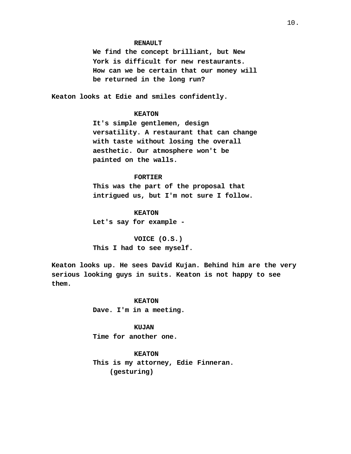#### **RENAULT**

**We find the concept brilliant, but New York is difficult for new restaurants. How can we be certain that our money will be returned in the long run?**

**Keaton looks at Edie and smiles confidently.**

### **KEATON**

**It's simple gentlemen, design versatility. A restaurant that can change with taste without losing the overall aesthetic. Our atmosphere won't be painted on the walls.**

### **FORTIER**

**This was the part of the proposal that intrigued us, but I'm not sure I follow.**

# **KEATON**

**Let's say for example -**

**VOICE (O.S.) This I had to see myself.**

**Keaton looks up. He sees David Kujan. Behind him are the very serious looking guys in suits. Keaton is not happy to see them.**

> **KEATON Dave. I'm in a meeting.**

**KUJAN Time for another one.**

**KEATON This is my attorney, Edie Finneran. (gesturing)**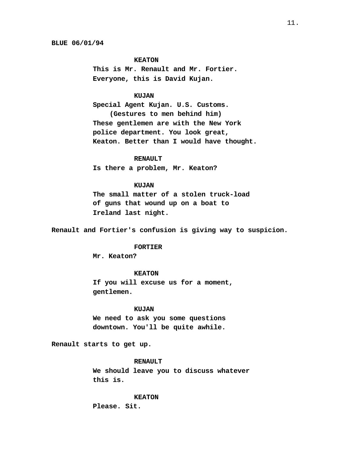#### **KEATON**

**This is Mr. Renault and Mr. Fortier. Everyone, this is David Kujan.**

### **KUJAN**

**Special Agent Kujan. U.S. Customs. (Gestures to men behind him) These gentlemen are with the New York police department. You look great, Keaton. Better than I would have thought.**

#### **RENAULT**

**Is there a problem, Mr. Keaton?**

### **KUJAN**

**The small matter of a stolen truck-load of guns that wound up on a boat to Ireland last night.**

**Renault and Fortier's confusion is giving way to suspicion.**

#### **FORTIER**

**Mr. Keaton?**

### **KEATON**

**If you will excuse us for a moment, gentlemen.**

### **KUJAN**

**We need to ask you some questions downtown. You'll be quite awhile.**

**Renault starts to get up.**

#### **RENAULT**

**We should leave you to discuss whatever this is.**

#### **KEATON**

**Please. Sit.**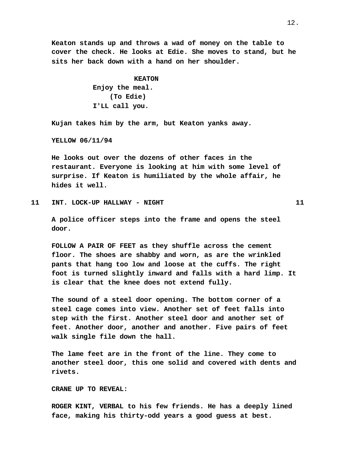**Keaton stands up and throws a wad of money on the table to cover the check. He looks at Edie. She moves to stand, but he sits her back down with a hand on her shoulder.**

> **KEATON Enjoy the meal. (To Edie) I'LL call you.**

**Kujan takes him by the arm, but Keaton yanks away.**

**YELLOW 06/11/94**

**He looks out over the dozens of other faces in the restaurant. Everyone is looking at him with some level of surprise. If Keaton is humiliated by the whole affair, he hides it well.**

**11 INT. LOCK-UP HALLWAY - NIGHT 11**

**A police officer steps into the frame and opens the steel door.**

**FOLLOW A PAIR OF FEET as they shuffle across the cement floor. The shoes are shabby and worn, as are the wrinkled pants that hang too low and loose at the cuffs. The right foot is turned slightly inward and falls with a hard limp. It is clear that the knee does not extend fully.**

**The sound of a steel door opening. The bottom corner of a steel cage comes into view. Another set of feet falls into step with the first. Another steel door and another set of feet. Another door, another and another. Five pairs of feet walk single file down the hall.**

**The lame feet are in the front of the line. They come to another steel door, this one solid and covered with dents and rivets.**

**CRANE UP TO REVEAL:**

**ROGER KINT, VERBAL to his few friends. He has a deeply lined face, making his thirty-odd years a good guess at best.**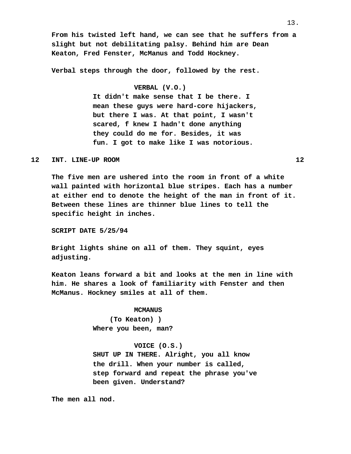**From his twisted left hand, we can see that he suffers from a slight but not debilitating palsy. Behind him are Dean Keaton, Fred Fenster, McManus and Todd Hockney.**

**Verbal steps through the door, followed by the rest.**

### **VERBAL (V.O.)**

**It didn't make sense that I be there. I mean these guys were hard-core hijackers, but there I was. At that point, I wasn't scared, f knew I hadn't done anything they could do me for. Besides, it was fun. I got to make like I was notorious.**

**12 INT. LINE-UP ROOM 12**

**The five men are ushered into the room in front of a white wall painted with horizontal blue stripes. Each has a number at either end to denote the height of the man in front of it. Between these lines are thinner blue lines to tell the specific height in inches.**

**SCRIPT DATE 5/25/94**

**Bright lights shine on all of them. They squint, eyes adjusting.**

**Keaton leans forward a bit and looks at the men in line with him. He shares a look of familiarity with Fenster and then McManus. Hockney smiles at all of them.**

#### **MCMANUS**

**(To Keaton) ) Where you been, man?**

### **VOICE (O.S.)**

**SHUT UP IN THERE. Alright, you all know the drill. When your number is called, step forward and repeat the phrase you've been given. Understand?**

**The men all nod.**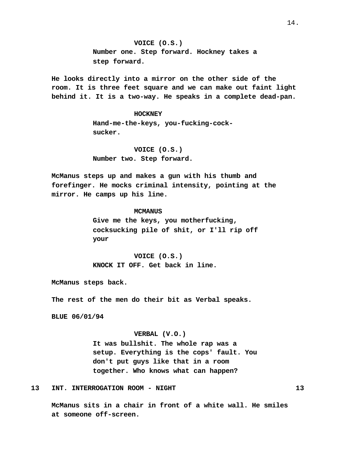**VOICE (O.S.) Number one. Step forward. Hockney takes a step forward.**

**He looks directly into a mirror on the other side of the room. It is three feet square and we can make out faint light behind it. It is a two-way. He speaks in a complete dead-pan.**

#### **HOCKNEY**

**Hand-me-the-keys, you-fucking-cocksucker.**

**VOICE (O.S.) Number two. Step forward.**

**McManus steps up and makes a gun with his thumb and forefinger. He mocks criminal intensity, pointing at the mirror. He camps up his line.**

### **MCMANUS**

**Give me the keys, you motherfucking, cocksucking pile of shit, or I'll rip off your**

**VOICE (O.S.) KNOCK IT OFF. Get back in line.**

**McManus steps back.**

**The rest of the men do their bit as Verbal speaks.**

**BLUE 06/01/94**

### **VERBAL (V.O.)**

**It was bullshit. The whole rap was a setup. Everything is the cops' fault. You don't put guys like that in a room together. Who knows what can happen?**

**13 INT. INTERROGATION ROOM - NIGHT 13**

**McManus sits in a chair in front of a white wall. He smiles at someone off-screen.**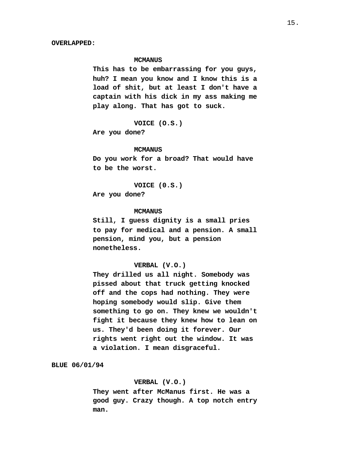#### **MCMANUS**

**This has to be embarrassing for you guys, huh? I mean you know and I know this is a load of shit, but at least I don't have a captain with his dick in my ass making me play along. That has got to suck.**

**VOICE (O.S.)**

**Are you done?**

#### **MCMANUS**

**Do you work for a broad? That would have to be the worst.**

#### **VOICE (0.S.)**

**Are you done?**

### **MCMANUS**

**Still, I guess dignity is a small pries to pay for medical and a pension. A small pension, mind you, but a pension nonetheless.**

### **VERBAL (V.O.)**

**They drilled us all night. Somebody was pissed about that truck getting knocked off and the cops had nothing. They were hoping somebody would slip. Give them something to go on. They knew we wouldn't fight it because they knew how to lean on us. They'd been doing it forever. Our rights went right out the window. It was a violation. I mean disgraceful.**

**BLUE 06/01/94**

#### **VERBAL (V.O.)**

**They went after McManus first. He was a good guy. Crazy though. A top notch entry man.**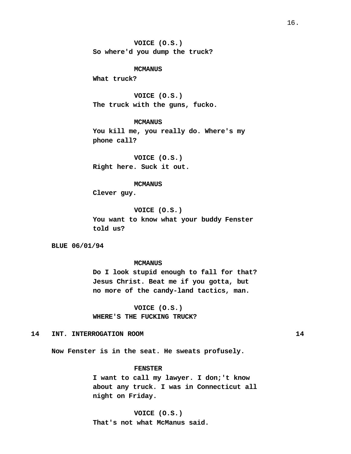**VOICE (O.S.) So where'd you dump the truck?**

#### **MCMANUS**

**What truck?**

**VOICE (O.S.) The truck with the guns, fucko.**

### **MCMANUS**

**You kill me, you really do. Where's my phone call?**

**VOICE (O.S.) Right here. Suck it out.**

### **MCMANUS**

**Clever guy.**

**VOICE (O.S.) You want to know what your buddy Fenster told us?**

**BLUE 06/01/94**

#### **MCMANUS**

**Do I look stupid enough to fall for that? Jesus Christ. Beat me if you gotta, but no more of the candy-land tactics, man.**

**VOICE (O.S.) WHERE'S THE FUCKING TRUCK?**

### **14 INT. INTERROGATION ROOM 14**

**Now Fenster is in the seat. He sweats profusely.**

### **FENSTER**

**I want to call my lawyer. I don;'t know about any truck. I was in Connecticut all night on Friday.**

**VOICE (O.S.) That's not what McManus said.**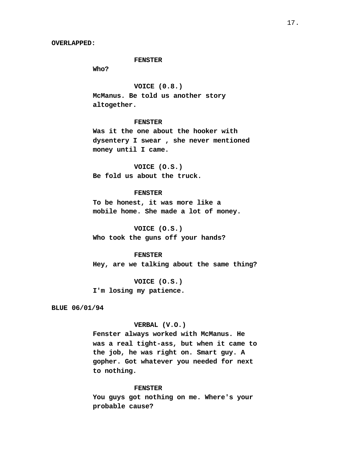#### **FENSTER**

**Who?**

### **VOICE (0.8.)**

**McManus. Be told us another story altogether.**

#### **FENSTER**

**Was it the one about the hooker with dysentery I swear , she never mentioned money until I came.**

**VOICE (O.S.) Be fold us about the truck.**

### **FENSTER**

**To be honest, it was more like a mobile home. She made a lot of money.**

**VOICE (O.S.) Who took the guns off your hands?**

### **FENSTER**

**Hey, are we talking about the same thing?**

**VOICE (O.S.) I'm losing my patience.**

**BLUE 06/01/94**

### **VERBAL (V.O.)**

**Fenster always worked with McManus. He was a real tight-ass, but when it came to the job, he was right on. Smart guy. A gopher. Got whatever you needed for next to nothing.**

### **FENSTER**

**You guys got nothing on me. Where's your probable cause?**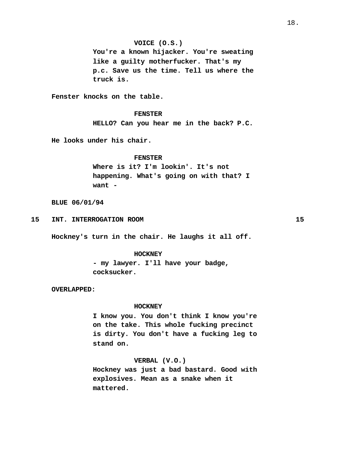**You're a known hijacker. You're sweating like a guilty motherfucker. That's my p.c. Save us the time. Tell us where the truck is.**

**Fenster knocks on the table.**

### **FENSTER**

**HELLO? Can you hear me in the back? P.C.**

**He looks under his chair.**

### **FENSTER**

**Where is it? I'm lookin'. It's not happening. What's going on with that? I want -**

**BLUE 06/01/94**

**15 INT. INTERROGATION ROOM 15**

**Hockney's turn in the chair. He laughs it all off.**

### **HOCKNEY**

**- my lawyer. I'll have your badge, cocksucker.**

**OVERLAPPED:**

#### **HOCKNEY**

**I know you. You don't think I know you're on the take. This whole fucking precinct is dirty. You don't have a fucking leg to stand on.**

### **VERBAL (V.O.)**

**Hockney was just a bad bastard. Good with explosives. Mean as a snake when it mattered.**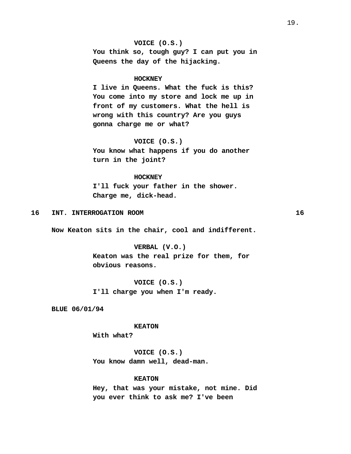#### **VOICE (O.S.)**

**You think so, tough guy? I can put you in Queens the day of the hijacking.**

### **HOCKNEY**

**I live in Queens. What the fuck is this? You come into my store and lock me up in front of my customers. What the hell is wrong with this country? Are you guys gonna charge me or what?**

### **VOICE (O.S.)**

**You know what happens if you do another turn in the joint?**

#### **HOCKNEY**

**I'll fuck your father in the shower. Charge me, dick-head.**

**16 INT. INTERROGATION ROOM 16**

**Now Keaton sits in the chair, cool and indifferent.**

**VERBAL (V.O.) Keaton was the real prize for them, for obvious reasons.**

**VOICE (O.S.) I'll charge you when I'm ready.**

**BLUE 06/01/94**

#### **KEATON**

**With what?**

**VOICE (O.S.) You know damn well, dead-man.**

### **KEATON**

**Hey, that was your mistake, not mine. Did you ever think to ask me? I've been**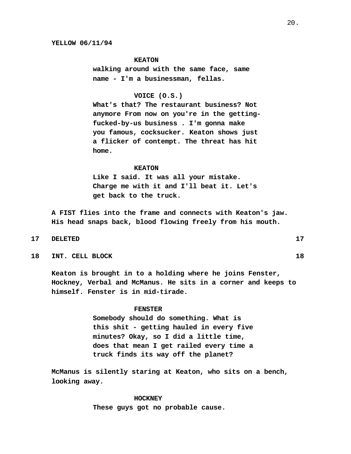### **KEATON**

**walking around with the same face, same name - I'm a businessman, fellas.**

### **VOICE (O.S.)**

**What's that? The restaurant business? Not anymore From now on you're in the gettingfucked-by-us business . I'm gonna make you famous, cocksucker. Keaton shows just a flicker of contempt. The threat has hit home.**

#### **KEATON**

**Like I said. It was all your mistake. Charge me with it and I'll beat it. Let's get back to the truck.**

**A FIST flies into the frame and connects with Keaton's jaw. His head snaps back, blood flowing freely from his mouth.**

**17 DELETED 17**

**18 INT. CELL BLOCK 18**

**Keaton is brought in to a holding where he joins Fenster, Hockney, Verbal and McManus. He sits in a corner and keeps to himself. Fenster is in mid-tirade.**

### **FENSTER**

**Somebody should do something. What is this shit - getting hauled in every five minutes? Okay, so I did a little time, does that mean I get railed every time a truck finds its way off the planet?**

**McManus is silently staring at Keaton, who sits on a bench, looking away.**

#### **HOCKNEY**

**These guys got no probable cause.**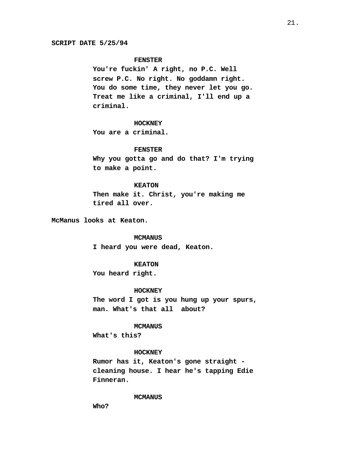### **FENSTER**

**You're fuckin' A right, no P.C. Well screw P.C. No right. No goddamn right. You do some time, they never let you go. Treat me like a criminal, I'll end up a criminal.**

### **HOCKNEY**

**You are a criminal.**

#### **FENSTER**

**Why you gotta go and do that? I'm trying to make a point.**

### **KEATON**

**Then make it. Christ, you're making me tired all over.**

**McManus looks at Keaton.**

### **MCMANUS**

**I heard you were dead, Keaton.**

#### **KEATON**

**You heard right.**

#### **HOCKNEY**

**The word I got is you hung up your spurs, man. What's that all about?**

### **MCMANUS**

**What's this?**

#### **HOCKNEY**

**Rumor has it, Keaton's gone straight cleaning house. I hear he's tapping Edie Finneran.**

### **MCMANUS**

**Who?**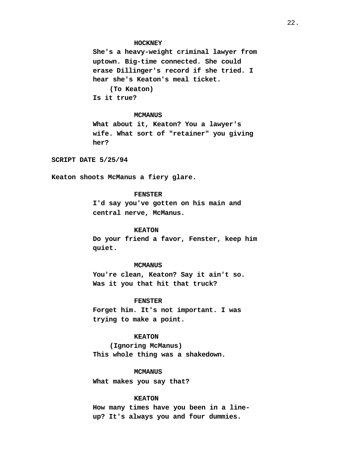#### **HOCKNEY**

**She's a heavy-weight criminal lawyer from uptown. Big-time connected. She could erase Dillinger's record if she tried. I hear she's Keaton's meal ticket.**

**(To Keaton) Is it true?**

#### **MCMANUS**

**What about it, Keaton? You a lawyer's wife. What sort of "retainer" you giving her?**

**SCRIPT DATE 5/25/94**

**Keaton shoots McManus a fiery glare.**

#### **FENSTER**

**I'd say you've gotten on his main and central nerve, McManus.**

#### **KEATON**

**Do your friend a favor, Fenster, keep him quiet.**

#### **MCMANUS**

**You're clean, Keaton? Say it ain't so. Was it you that hit that truck?**

#### **FENSTER**

**Forget him. It's not important. I was trying to make a point.**

### **KEATON**

**(Ignoring McManus) This whole thing was a shakedown.**

#### **MCMANUS**

**What makes you say that?**

### **KEATON**

**How many times have you been in a lineup? It's always you and four dummies.**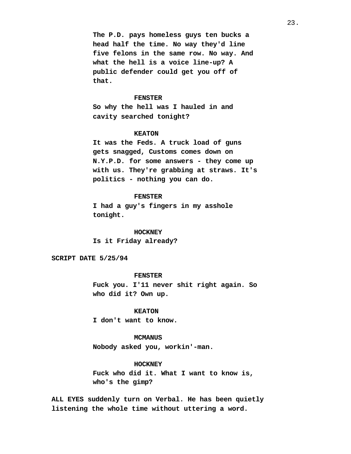**The P.D. pays homeless guys ten bucks a head half the time. No way they'd line five felons in the same row. No way. And what the hell is a voice line-up? A public defender could get you off of that.**

#### **FENSTER**

**So why the hell was I hauled in and cavity searched tonight?**

#### **KEATON**

**It was the Feds. A truck load of guns gets snagged, Customs comes down on N.Y.P.D. for some answers - they come up with us. They're grabbing at straws. It's politics - nothing you can do.**

#### **FENSTER**

**I had a guy's fingers in my asshole tonight.**

# **HOCKNEY**

**Is it Friday already?**

### **SCRIPT DATE 5/25/94**

#### **FENSTER**

**Fuck you. I'11 never shit right again. So who did it? Own up.**

#### **KEATON**

**I don't want to know.**

#### **MCMANUS**

**Nobody asked you, workin'-man.**

### **HOCKNEY**

**Fuck who did it. What I want to know is, who's the gimp?**

**ALL EYES suddenly turn on Verbal. He has been quietly listening the whole time without uttering a word.**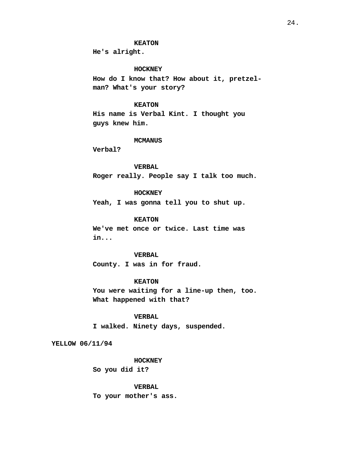#### **KEATON**

**He's alright.**

### **HOCKNEY**

**How do I know that? How about it, pretzelman? What's your story?**

### **KEATON**

**His name is Verbal Kint. I thought you guys knew him.**

#### **MCMANUS**

**Verbal?**

## **VERBAL**

**Roger really. People say I talk too much.**

### **HOCKNEY**

**Yeah, I was gonna tell you to shut up.**

### **KEATON**

**We've met once or twice. Last time was in...**

### **VERBAL**

**County. I was in for fraud.**

#### **KEATON**

**You were waiting for a line-up then, too. What happened with that?**

### **VERBAL**

**I walked. Ninety days, suspended.**

**YELLOW 06/11/94**

#### **HOCKNEY**

**So you did it?**

#### **VERBAL**

**To your mother's ass.**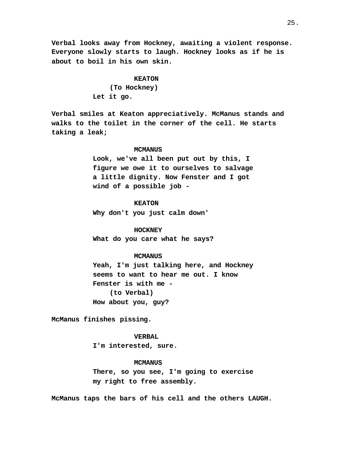**Verbal looks away from Hockney, awaiting a violent response. Everyone slowly starts to laugh. Hockney looks as if he is about to boil in his own skin.**

#### **KEATON**

**(To Hockney) Let it go.**

**Verbal smiles at Keaton appreciatively. McManus stands and walks to the toilet in the corner of the cell. He starts taking a leak;**

#### **MCMANUS**

**Look, we've all been put out by this, I figure we owe it to ourselves to salvage a little dignity. Now Fenster and I got wind of a possible job -**

### **KEATON**

**Why don't you just calm down'**

### **HOCKNEY**

**What do you care what he says?**

### **MCMANUS**

**Yeah, I'm just talking here, and Hockney seems to want to hear me out. I know Fenster is with me - (to Verbal) How about you, guy?**

**McManus finishes pissing.**

#### **VERBAL**

**I'm interested, sure.**

### **MCMANUS**

**There, so you see, I'm going to exercise my right to free assembly.**

**McManus taps the bars of his cell and the others LAUGH.**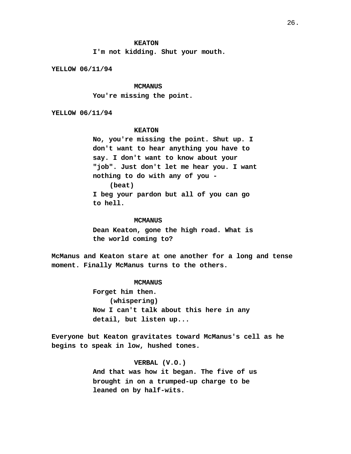#### **KEATON**

**I'm not kidding. Shut your mouth.**

**YELLOW 06/11/94**

### **MCMANUS**

**You're missing the point.**

**YELLOW 06/11/94**

#### **KEATON**

**No, you're missing the point. Shut up. I don't want to hear anything you have to say. I don't want to know about your "job". Just don't let me hear you. I want nothing to do with any of you - (beat) I beg your pardon but all of you can go to hell.**

#### **MCMANUS**

**Dean Keaton, gone the high road. What is the world coming to?**

**McManus and Keaton stare at one another for a long and tense moment. Finally McManus turns to the others.**

#### **MCMANUS**

**Forget him then. (whispering) Now I can't talk about this here in any detail, but listen up...**

**Everyone but Keaton gravitates toward McManus's cell as he begins to speak in low, hushed tones.**

### **VERBAL (V.O.)**

**And that was how it began. The five of us brought in on a trumped-up charge to be leaned on by half-wits.**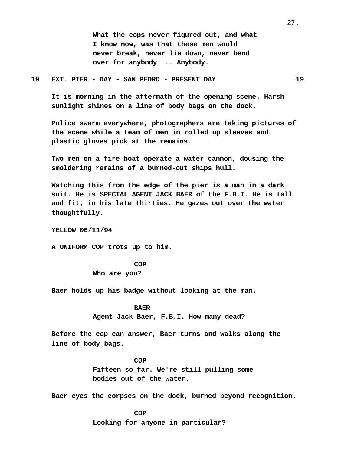**What the cops never figured out, and what I know now, was that these men would never break, never lie down, never bend over for anybody. .. Anybody.**

**19 EXT. PIER - DAY - SAN PEDRO - PRESENT DAY 19**

**It is morning in the aftermath of the opening scene. Harsh sunlight shines on a line of body bags on the dock.**

**Police swarm everywhere, photographers are taking pictures of the scene while a team of men in rolled up sleeves and plastic gloves pick at the remains.**

**Two men on a fire boat operate a water cannon, dousing the smoldering remains of a burned-out ships hull.**

**Watching this from the edge of the pier is a man in a dark suit. He is SPECIAL AGENT JACK BAER of the F.B.I. He is tall and fit, in his late thirties. He gazes out over the water thoughtfully.**

**YELLOW 06/11/94**

**A UNIFORM COP trots up to him.**

**COP Who are you?**

**Baer holds up his badge without looking at the man.**

**BAER Agent Jack Baer, F.B.I. How many dead?**

**Before the cop can answer, Baer turns and walks along the line of body bags.**

> **COP Fifteen so far. We're still pulling some bodies out of the water.**

**Baer eyes the corpses on the dock, burned beyond recognition.**

**COP**

**Looking for anyone in particular?**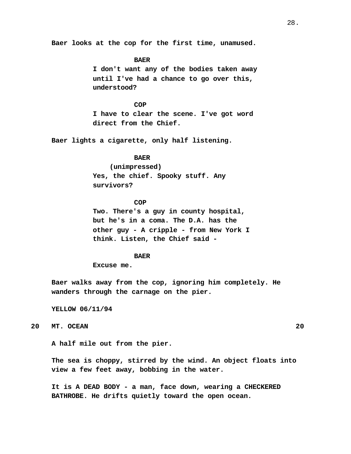**Baer looks at the cop for the first time, unamused.**

**BAER I don't want any of the bodies taken away until I've had a chance to go over this, understood?**

**COP I have to clear the scene. I've got word direct from the Chief.**

**Baer lights a cigarette, only half listening.**

### **BAER**

**(unimpressed) Yes, the chief. Spooky stuff. Any survivors?**

### **COP**

**Two. There's a guy in county hospital, but he's in a coma. The D.A. has the other guy - A cripple - from New York I think. Listen, the Chief said -**

### **BAER**

**Excuse me.**

**Baer walks away from the cop, ignoring him completely. He wanders through the carnage on the pier.**

**YELLOW 06/11/94**

**20 MT. OCEAN 20**

**A half mile out from the pier.**

**The sea is choppy, stirred by the wind. An object floats into view a few feet away, bobbing in the water.**

**It is A DEAD BODY - a man, face down, wearing a CHECKERED BATHROBE. He drifts quietly toward the open ocean.**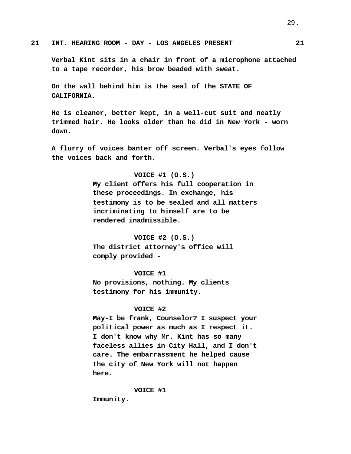### **21 INT. HEARING ROOM - DAY - LOS ANGELES PRESENT 21**

**Verbal Kint sits in a chair in front of a microphone attached to a tape recorder, his brow beaded with sweat.**

**On the wall behind him is the seal of the STATE OF CALIFORNIA.**

**He is cleaner, better kept, in a well-cut suit and neatly trimmed hair. He looks older than he did in New York - worn down.**

**A flurry of voices banter off screen. Verbal's eyes follow the voices back and forth.**

### **VOICE #1 (O.S.)**

**My client offers his full cooperation in these proceedings. In exchange, his testimony is to be sealed and all matters incriminating to himself are to be rendered inadmissible.**

**VOICE #2 (O.S.) The district attorney's office will comply provided -**

**VOICE #1 No provisions, nothing. My clients**

#### **VOICE #2**

**testimony for his immunity.**

**May-I be frank, Counselor? I suspect your political power as much as I respect it. I don't know why Mr. Kint has so many faceless allies in City Hall, and I don't care. The embarrassment he helped cause the city of New York will not happen here.**

**VOICE #1**

**Immunity.**

29.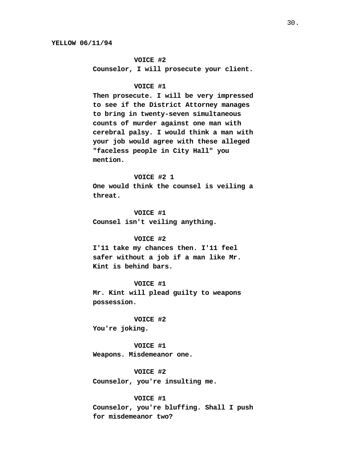### **VOICE #2**

**Counselor, I will prosecute your client.**

#### **VOICE #1**

**Then prosecute. I will be very impressed to see if the District Attorney manages to bring in twenty-seven simultaneous counts of murder against one man with cerebral palsy. I would think a man with your job would agree with these alleged "faceless people in City Hall" you mention.**

#### **VOICE #2 1**

**One would think the counsel is veiling a threat.**

#### **VOICE #1**

**Counsel isn't veiling anything.**

#### **VOICE #2**

**I'11 take my chances then. I'11 feel safer without a job if a man like Mr. Kint is behind bars.**

### **VOICE #1**

**Mr. Kint will plead guilty to weapons possession.**

#### **VOICE #2**

**You're joking.**

#### **VOICE #1**

**Weapons. Misdemeanor one.**

### **VOICE #2**

**Counselor, you're insulting me.**

### **VOICE #1**

**Counselor, you're bluffing. Shall I push for misdemeanor two?**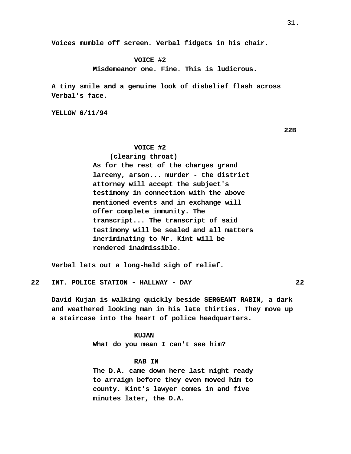### **VOICE #2**

**Misdemeanor one. Fine. This is ludicrous.**

**A tiny smile and a genuine look of disbelief flash across Verbal's face.**

**YELLOW 6/11/94**

 **22B**

#### **VOICE #2**

#### **(clearing throat)**

**As for the rest of the charges grand larceny, arson... murder - the district attorney will accept the subject's testimony in connection with the above mentioned events and in exchange will offer complete immunity. The transcript... The transcript of said testimony will be sealed and all matters incriminating to Mr. Kint will be rendered inadmissible.**

**Verbal lets out a long-held sigh of relief.**

**22 INT. POLICE STATION - HALLWAY - DAY 22**

**David Kujan is walking quickly beside SERGEANT RABIN, a dark and weathered looking man in his late thirties. They move up a staircase into the heart of police headquarters.**

#### **KUJAN**

**What do you mean I can't see him?**

#### **RAB IN**

**The D.A. came down here last night ready to arraign before they even moved him to county. Kint's lawyer comes in and five minutes later, the D.A.**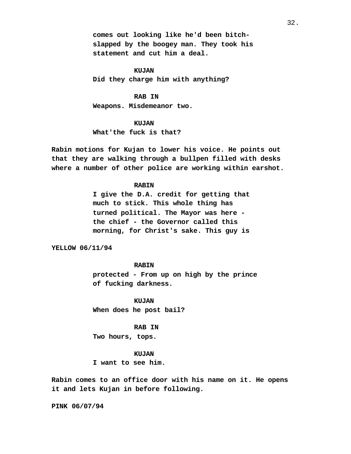**comes out looking like he'd been bitchslapped by the boogey man. They took his statement and cut him a deal.**

**KUJAN Did they charge him with anything?**

**RAB IN Weapons. Misdemeanor two.**

**KUJAN**

**What'the fuck is that?**

**Rabin motions for Kujan to lower his voice. He points out that they are walking through a bullpen filled with desks where a number of other police are working within earshot.**

#### **RABIN**

**I give the D.A. credit for getting that much to stick. This whole thing has turned political. The Mayor was here the chief - the Governor called this morning, for Christ's sake. This guy is**

**YELLOW 06/11/94**

### **RABIN**

**protected - From up on high by the prince of fucking darkness.**

**KUJAN When does he post bail?**

### **RAB IN**

**Two hours, tops.**

#### **KUJAN**

**I want to see him.**

**Rabin comes to an office door with his name on it. He opens it and lets Kujan in before following.**

**PINK 06/07/94**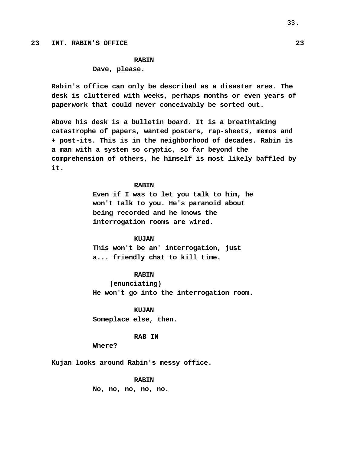#### **23 INT. RABIN'S OFFICE 23**

#### **RABIN**

**Dave, please.**

**Rabin's office can only be described as a disaster area. The desk is cluttered with weeks, perhaps months or even years of paperwork that could never conceivably be sorted out.**

**Above his desk is a bulletin board. It is a breathtaking catastrophe of papers, wanted posters, rap-sheets, memos and + post-its. This is in the neighborhood of decades. Rabin is a man with a system so cryptic, so far beyond the comprehension of others, he himself is most likely baffled by it.**

#### **RABIN**

**Even if I was to let you talk to him, he won't talk to you. He's paranoid about being recorded and he knows the interrogation rooms are wired.**

### **KUJAN**

**This won't be an' interrogation, just a... friendly chat to kill time.**

### **RABIN**

**(enunciating) He won't go into the interrogation room.**

**KUJAN**

**Someplace else, then.**

#### **RAB IN**

**Where?**

**Kujan looks around Rabin's messy office.**

**RABIN**

**No, no, no, no, no.**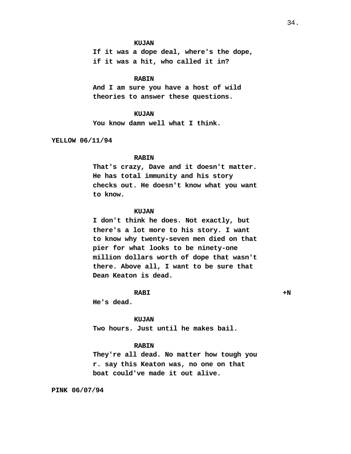#### **KUJAN**

**If it was a dope deal, where's the dope, if it was a hit, who called it in?**

### **RABIN**

**And I am sure you have a host of wild theories to answer these questions.**

#### **KUJAN**

**You know damn well what I think.**

**YELLOW 06/11/94**

#### **RABIN**

**That's crazy, Dave and it doesn't matter. He has total immunity and his story checks out. He doesn't know what you want to know.**

### **KUJAN**

**I don't think he does. Not exactly, but there's a lot more to his story. I want to know why twenty-seven men died on that pier for what looks to be ninety-one million dollars worth of dope that wasn't there. Above all, I want to be sure that Dean Keaton is dead.**

### **RABI** +N

**He's dead.**

# **KUJAN**

**Two hours. Just until he makes bail.**

### **RABIN**

**They're all dead. No matter how tough you r. say this Keaton was, no one on that boat could've made it out alive.**

**PINK 06/07/94**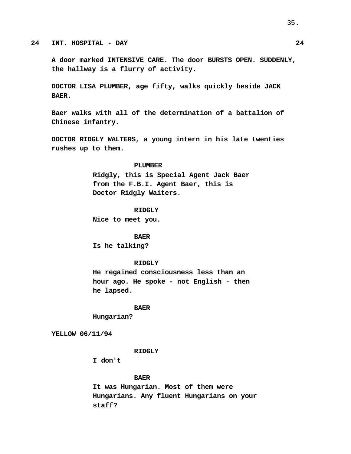### **24 INT. HOSPITAL - DAY 24**

**A door marked INTENSIVE CARE. The door BURSTS OPEN. SUDDENLY, the hallway is a flurry of activity.**

**DOCTOR LISA PLUMBER, age fifty, walks quickly beside JACK BAER.**

**Baer walks with all of the determination of a battalion of Chinese infantry.**

**DOCTOR RIDGLY WALTERS, a young intern in his late twenties rushes up to them.**

#### **PLUMBER**

**Ridgly, this is Special Agent Jack Baer from the F.B.I. Agent Baer, this is Doctor Ridgly Waiters.**

#### **RIDGLY**

**Nice to meet you.**

**BAER Is he talking?**

#### **RIDGLY**

**He regained consciousness less than an hour ago. He spoke - not English - then he lapsed.**

**BAER**

**Hungarian?**

**YELLOW 06/11/94**

#### **RIDGLY**

**I don't**

### **BAER**

**It was Hungarian. Most of them were Hungarians. Any fluent Hungarians on your staff?**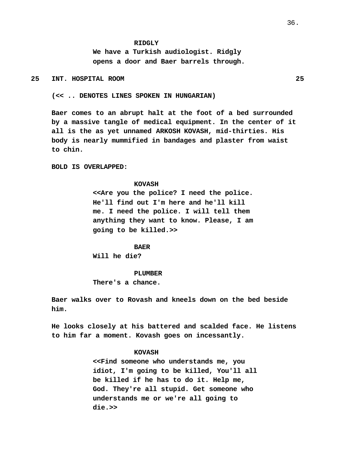### **RIDGLY**

**We have a Turkish audiologist. Ridgly opens a door and Baer barrels through.**

**25 INT. HOSPITAL ROOM 25**

**(<< .. DENOTES LINES SPOKEN IN HUNGARIAN)**

**Baer comes to an abrupt halt at the foot of a bed surrounded by a massive tangle of medical equipment. In the center of it all is the as yet unnamed ARKOSH KOVASH, mid-thirties. His body is nearly mummified in bandages and plaster from waist to chin.**

**BOLD IS OVERLAPPED:**

# **KOVASH**

**<<Are you the police? I need the police. He'll find out I'm here and he'll kill me. I need the police. I will tell them anything they want to know. Please, I am going to be killed.>>**

**BAER Will he die?**

#### **PLUMBER**

**There's a chance.**

**Baer walks over to Rovash and kneels down on the bed beside him.**

**He looks closely at his battered and scalded face. He listens to him far a moment. Kovash goes on incessantly.**

# **KOVASH**

**<<Find someone who understands me, you idiot, I'm going to be killed, You'll all be killed if he has to do it. Help me, God. They're all stupid. Get someone who understands me or we're all going to die.>>**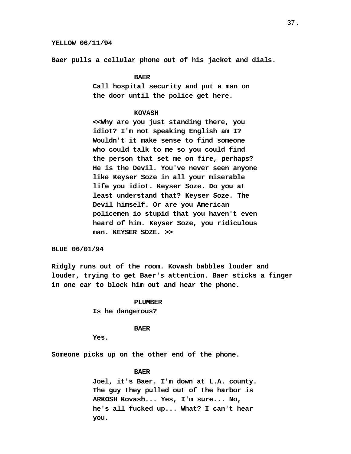**Baer pulls a cellular phone out of his jacket and dials.**

**BAER**

**Call hospital security and put a man on the door until the police get here.**

### **KOVASH**

**<<Why are you just standing there, you idiot? I'm not speaking English am I? Wouldn't it make sense to find someone who could talk to me so you could find the person that set me on fire, perhaps? He is the Devil. You've never seen anyone like Keyser Soze in all your miserable life you idiot. Keyser Soze. Do you at least understand that? Keyser Soze. The Devil himself. Or are you American policemen io stupid that you haven't even heard of him. Keyser Soze, you ridiculous man. KEYSER SOZE. >>**

**BLUE 06/01/94**

**Ridgly runs out of the room. Kovash babbles louder and louder, trying to get Baer's attention. Baer sticks a finger in one ear to block him out and hear the phone.**

#### **PLUMBER**

**Is he dangerous?**

## **BAER**

**Yes.**

**Someone picks up on the other end of the phone.**

# **BAER**

**Joel, it's Baer. I'm down at L.A. county. The guy they pulled out of the harbor is ARKOSH Kovash... Yes, I'm sure... No, he's all fucked up... What? I can't hear you.**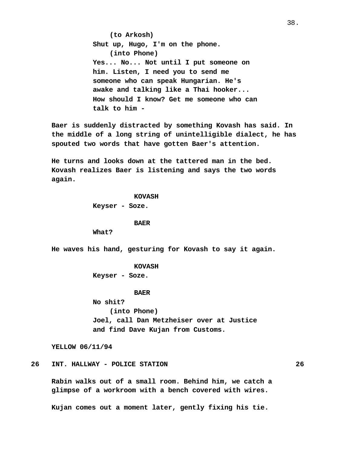**(to Arkosh) Shut up, Hugo, I'm on the phone. (into Phone) Yes... No... Not until I put someone on him. Listen, I need you to send me someone who can speak Hungarian. He's awake and talking like a Thai hooker... How should I know? Get me someone who can talk to him -**

**Baer is suddenly distracted by something Kovash has said. In the middle of a long string of unintelligible dialect, he has spouted two words that have gotten Baer's attention.**

**He turns and looks down at the tattered man in the bed. Kovash realizes Baer is listening and says the two words again.**

> **KOVASH Keyser - Soze.**

**What?**

**BAER**

**He waves his hand, gesturing for Kovash to say it again.**

**KOVASH Keyser - Soze.**

**BAER**

**No shit? (into Phone) Joel, call Dan Metzheiser over at Justice and find Dave Kujan from Customs.**

**YELLOW 06/11/94**

**26 INT. HALLWAY - POLICE STATION 26**

**Rabin walks out of a small room. Behind him, we catch a glimpse of a workroom with a bench covered with wires.**

**Kujan comes out a moment later, gently fixing his tie.**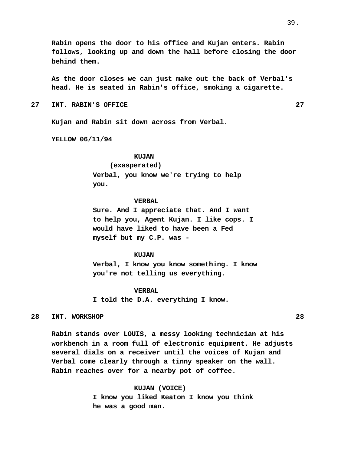**Rabin opens the door to his office and Kujan enters. Rabin follows, looking up and down the hall before closing the door behind them.**

**As the door closes we can just make out the back of Verbal's head. He is seated in Rabin's office, smoking a cigarette.**

**27 INT. RABIN'S OFFICE 27**

**Kujan and Rabin sit down across from Verbal.**

**YELLOW 06/11/94**

#### **KUJAN**

**(exasperated)**

**Verbal, you know we're trying to help you.**

# **VERBAL**

**Sure. And I appreciate that. And I want to help you, Agent Kujan. I like cops. I would have liked to have been a Fed myself but my C.P. was -**

# **KUJAN**

**Verbal, I know you know something. I know you're not telling us everything.**

#### **VERBAL**

**I told the D.A. everything I know.**

# **28 INT. WORKSHOP 28**

**Rabin stands over LOUIS, a messy looking technician at his workbench in a room full of electronic equipment. He adjusts several dials on a receiver until the voices of Kujan and Verbal come clearly through a tinny speaker on the wall. Rabin reaches over for a nearby pot of coffee.**

> **KUJAN (VOICE) I know you liked Keaton I know you think he was a good man.**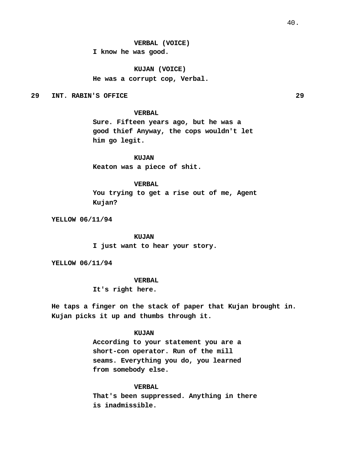**VERBAL (VOICE)**

**I know he was good.**

**KUJAN (VOICE) He was a corrupt cop, Verbal.**

**29 INT. RABIN'S OFFICE 29**

# **VERBAL**

**Sure. Fifteen years ago, but he was a good thief Anyway, the cops wouldn't let him go legit.**

**KUJAN Keaton was a piece of shit.**

# **VERBAL**

**You trying to get a rise out of me, Agent Kujan?**

**YELLOW 06/11/94**

**KUJAN I just want to hear your story.**

**YELLOW 06/11/94**

# **VERBAL**

**It's right here.**

**He taps a finger on the stack of paper that Kujan brought in. Kujan picks it up and thumbs through it.**

# **KUJAN**

**According to your statement you are a short-con operator. Run of the mill seams. Everything you do, you learned from somebody else.**

# **VERBAL**

**That's been suppressed. Anything in there is inadmissible.**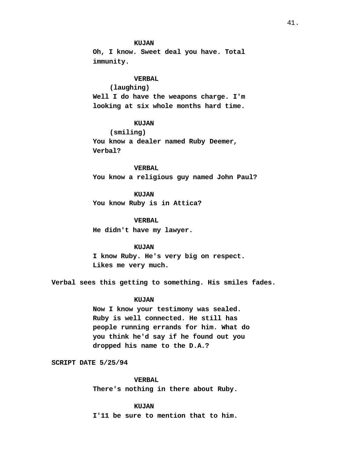#### **KUJAN**

**Oh, I know. Sweet deal you have. Total immunity.**

# **VERBAL**

**(laughing) Well I do have the weapons charge. I'm looking at six whole months hard time.**

# **KUJAN**

**(smiling) You know a dealer named Ruby Deemer, Verbal?**

# **VERBAL You know a religious guy named John Paul?**

# **KUJAN**

**You know Ruby is in Attica?**

# **VERBAL**

**He didn't have my lawyer.**

# **KUJAN**

**I know Ruby. He's very big on respect. Likes me very much.**

**Verbal sees this getting to something. His smiles fades.**

### **KUJAN**

**Now I know your testimony was sealed. Ruby is well connected. He still has people running errands for him. What do you think he'd say if he found out you dropped his name to the D.A.?**

**SCRIPT DATE 5/25/94**

**VERBAL There's nothing in there about Ruby.**

# **KUJAN**

**I'11 be sure to mention that to him.**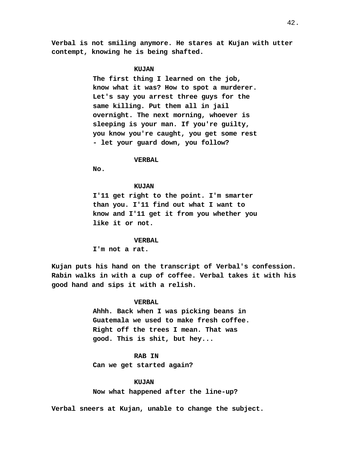**Verbal is not smiling anymore. He stares at Kujan with utter contempt, knowing he is being shafted.**

### **KUJAN**

**The first thing I learned on the job, know what it was? How to spot a murderer. Let's say you arrest three guys for the same killing. Put them all in jail overnight. The next morning, whoever is sleeping is your man. If you're guilty, you know you're caught, you get some rest - let your guard down, you follow?**

# **VERBAL**

**No.**

### **KUJAN**

**I'11 get right to the point. I'm smarter than you. I'11 find out what I want to know and I'11 get it from you whether you like it or not.**

#### **VERBAL**

**I'm not a rat.**

**Kujan puts his hand on the transcript of Verbal's confession. Rabin walks in with a cup of coffee. Verbal takes it with his good hand and sips it with a relish.**

### **VERBAL**

**Ahhh. Back when I was picking beans in Guatemala we used to make fresh coffee. Right off the trees I mean. That was good. This is shit, but hey...**

### **RAB IN**

**Can we get started again?**

#### **KUJAN**

**Now what happened after the line-up?**

**Verbal sneers at Kujan, unable to change the subject.**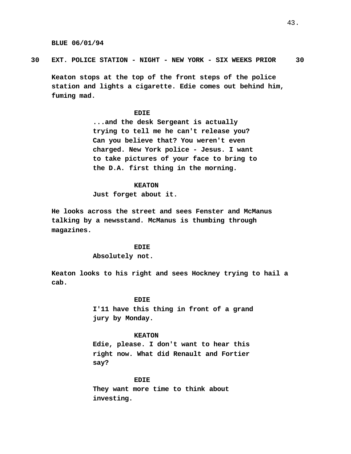**BLUE 06/01/94**

**Keaton stops at the top of the front steps of the police station and lights a cigarette. Edie comes out behind him, fuming mad.**

### **EDIE**

**...and the desk Sergeant is actually trying to tell me he can't release you? Can you believe that? You weren't even charged. New York police - Jesus. I want to take pictures of your face to bring to the D.A. first thing in the morning.**

# **KEATON**

**Just forget about it.**

**He looks across the street and sees Fenster and McManus talking by a newsstand. McManus is thumbing through magazines.**

> **EDIE Absolutely not.**

**Keaton looks to his right and sees Hockney trying to hail a cab.**

### **EDIE**

**I'11 have this thing in front of a grand jury by Monday.**

# **KEATON**

**Edie, please. I don't want to hear this right now. What did Renault and Fortier say?**

# **EDIE**

**They want more time to think about investing.**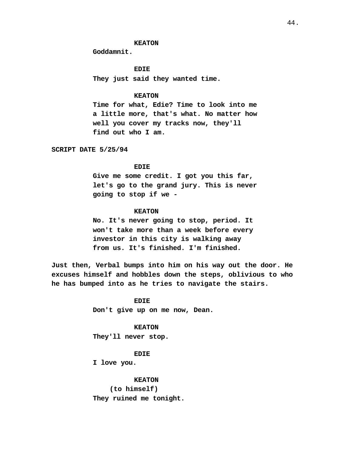#### **KEATON**

**Goddamnit.**

**EDIE They just said they wanted time.**

### **KEATON**

**Time for what, Edie? Time to look into me a little more, that's what. No matter how well you cover my tracks now, they'll find out who I am.**

**SCRIPT DATE 5/25/94**

# **EDIE**

**Give me some credit. I got you this far, let's go to the grand jury. This is never going to stop if we -**

# **KEATON**

**No. It's never going to stop, period. It won't take more than a week before every investor in this city is walking away from us. It's finished. I'm finished.**

**Just then, Verbal bumps into him on his way out the door. He excuses himself and hobbles down the steps, oblivious to who he has bumped into as he tries to navigate the stairs.**

> **EDIE Don't give up on me now, Dean.**

### **KEATON**

**They'll never stop.**

**EDIE**

**I love you.**

# **KEATON**

**(to himself) They ruined me tonight.**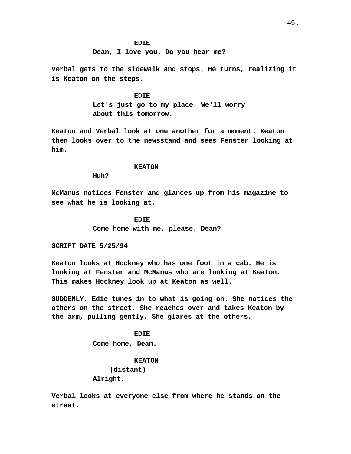**Dean, I love you. Do you hear me?**

**Verbal gets to the sidewalk and stops. He turns, realizing it is Keaton on the steps.**

> **EDIE Let's just go to my place. We'll worry about this tomorrow.**

**Keaton and Verbal look at one another for a moment. Keaton then looks over to the newsstand and sees Fenster looking at him.**

### **KEATON**

**Huh?**

**McManus notices Fenster and glances up from his magazine to see what he is looking at.**

> **EDIE Come home with me, please. Dean?**

**SCRIPT DATE 5/25/94**

**Keaton looks at Hockney who has one foot in a cab. He is looking at Fenster and McManus who are looking at Keaton. This makes Hockney look up at Keaton as well.**

**SUDDENLY, Edie tunes in to what is going on. She notices the others on the street. She reaches over and takes Keaton by the arm, pulling gently. She glares at the others.**

> **EDIE Come home, Dean.**

> **KEATON (distant) Alright.**

**Verbal looks at everyone else from where he stands on the street.**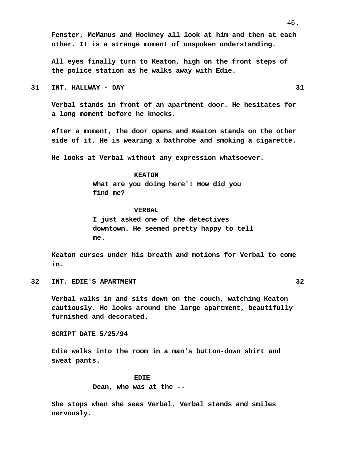**Fenster, McManus and Hockney all look at him and then at each other. It is a strange moment of unspoken understanding.**

**All eyes finally turn to Keaton, high on the front steps of the police station as he walks away with Edie.**

**31 INT. HALLWAY - DAY 31**

**Verbal stands in front of an apartment door. He hesitates for a long moment before he knocks.**

**After a moment, the door opens and Keaton stands on the other side of it. He is wearing a bathrobe and smoking a cigarette.**

**He looks at Verbal without any expression whatsoever.**

#### **KEATON**

**What are you doing here'! How did you find me?**

#### **VERBAL**

**I just asked one of the detectives downtown. He seemed pretty happy to tell me.**

**Keaton curses under his breath and motions for Verbal to come in.**

**32 INT. EDIE'S APARTMENT 32**

**Verbal walks in and sits down on the couch, watching Keaton cautiously. He looks around the large apartment, beautifully furnished and decorated.**

**SCRIPT DATE 5/25/94**

**Edie walks into the room in a man's button-down shirt and sweat pants.**

# **EDIE**

**Dean, who was at the --**

**She stops when she sees Verbal. Verbal stands and smiles nervously.**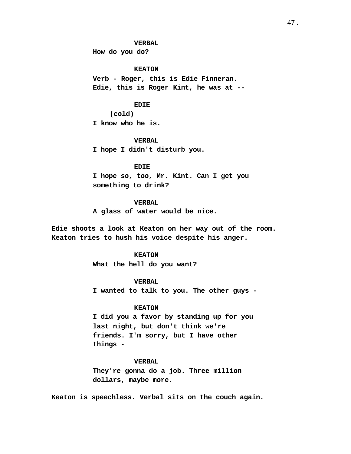#### **VERBAL**

**How do you do?**

**KEATON Verb - Roger, this is Edie Finneran. Edie, this is Roger Kint, he was at --**

### **EDIE**

**(cold) I know who he is.**

### **VERBAL**

**I hope I didn't disturb you.**

# **EDIE**

**I hope so, too, Mr. Kint. Can I get you something to drink?**

# **VERBAL**

**A glass of water would be nice.**

**Edie shoots a look at Keaton on her way out of the room. Keaton tries to hush his voice despite his anger.**

# **KEATON**

**What the hell do you want?**

#### **VERBAL**

**I wanted to talk to you. The other guys -**

# **KEATON**

**I did you a favor by standing up for you last night, but don't think we're friends. I'm sorry, but I have other things -**

### **VERBAL**

**They're gonna do a job. Three million dollars, maybe more.**

**Keaton is speechless. Verbal sits on the couch again.**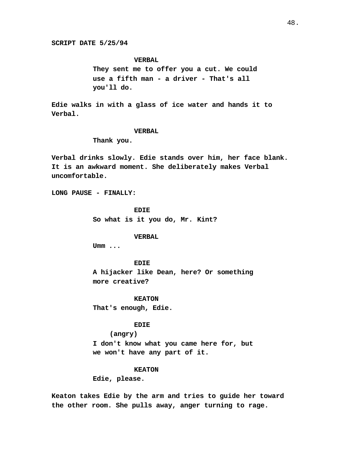### **VERBAL**

**They sent me to offer you a cut. We could use a fifth man - a driver - That's all you'll do.**

**Edie walks in with a glass of ice water and hands it to Verbal.**

#### **VERBAL**

**Thank you.**

**Verbal drinks slowly. Edie stands over him, her face blank. It is an awkward moment. She deliberately makes Verbal uncomfortable.**

**LONG PAUSE - FINALLY:**

**EDIE So what is it you do, Mr. Kint?**

# **VERBAL**

**Umm ...**

**EDIE A hijacker like Dean, here? Or something more creative?**

**KEATON That's enough, Edie.**

#### **EDIE**

**(angry) I don't know what you came here for, but we won't have any part of it.**

#### **KEATON**

**Edie, please.**

**Keaton takes Edie by the arm and tries to guide her toward the other room. She pulls away, anger turning to rage.**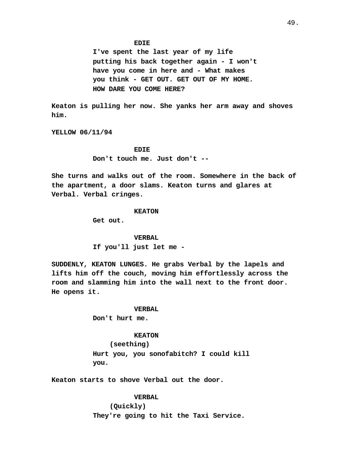#### **EDIE**

**I've spent the last year of my life putting his back together again - I won't have you come in here and - What makes you think - GET OUT. GET OUT OF MY HOME. HOW DARE YOU COME HERE?**

**Keaton is pulling her now. She yanks her arm away and shoves him.**

**YELLOW 06/11/94**

#### **EDIE**

**Don't touch me. Just don't --**

**She turns and walks out of the room. Somewhere in the back of the apartment, a door slams. Keaton turns and glares at Verbal. Verbal cringes.**

### **KEATON**

**Get out.**

# **VERBAL**

**If you'll just let me -**

**SUDDENLY, KEATON LUNGES. He grabs Verbal by the lapels and lifts him off the couch, moving him effortlessly across the room and slamming him into the wall next to the front door. He opens it.**

### **VERBAL**

**Don't hurt me.**

### **KEATON**

**(seething) Hurt you, you sonofabitch? I could kill you.**

**Keaton starts to shove Verbal out the door.**

#### **VERBAL**

**(Quickly) They're going to hit the Taxi Service.**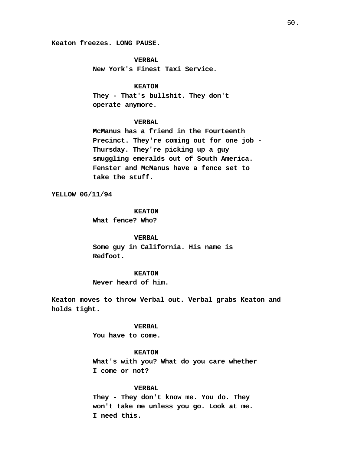# **Keaton freezes. LONG PAUSE.**

# **VERBAL**

**New York's Finest Taxi Service.**

# **KEATON**

**They - That's bullshit. They don't operate anymore.**

# **VERBAL**

**McManus has a friend in the Fourteenth Precinct. They're coming out for one job - Thursday. They're picking up a guy smuggling emeralds out of South America. Fenster and McManus have a fence set to take the stuff.**

**YELLOW 06/11/94**

# **KEATON**

**What fence? Who?**

# **VERBAL**

**Some guy in California. His name is Redfoot.**

### **KEATON**

**Never heard of him.**

**Keaton moves to throw Verbal out. Verbal grabs Keaton and holds tight.**

### **VERBAL**

**You have to come.**

# **KEATON**

**What's with you? What do you care whether I come or not?**

# **VERBAL**

**They - They don't know me. You do. They won't take me unless you go. Look at me. I need this.**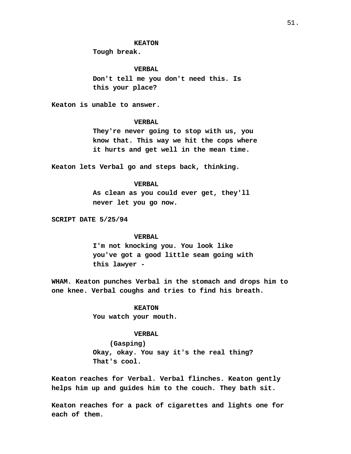#### **KEATON**

**Tough break.**

**VERBAL Don't tell me you don't need this. Is this your place?**

**Keaton is unable to answer.**

### **VERBAL**

**They're never going to stop with us, you know that. This way we hit the cops where it hurts and get well in the mean time.**

**Keaton lets Verbal go and steps back, thinking.**

# **VERBAL**

**As clean as you could ever get, they'll never let you go now.**

**SCRIPT DATE 5/25/94**

# **VERBAL**

**I'm not knocking you. You look like you've got a good little seam going with this lawyer -**

**WHAM. Keaton punches Verbal in the stomach and drops him to one knee. Verbal coughs and tries to find his breath.**

# **KEATON**

**You watch your mouth.**

# **VERBAL**

**(Gasping) Okay, okay. You say it's the real thing? That's cool.**

**Keaton reaches for Verbal. Verbal flinches. Keaton gently helps him up and guides him to the couch. They bath sit.**

**Keaton reaches for a pack of cigarettes and lights one for each of them.**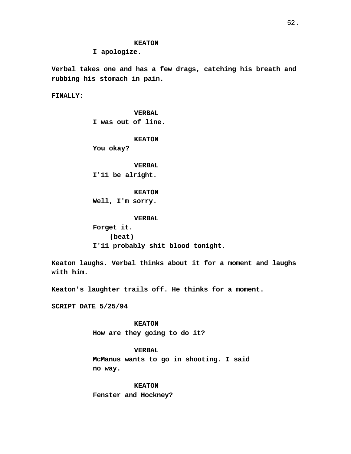### **KEATON**

**I apologize.**

**Verbal takes one and has a few drags, catching his breath and rubbing his stomach in pain.**

**FINALLY:**

**VERBAL I was out of line.**

**KEATON**

**You okay?**

**VERBAL**

**I'11 be alright.**

**KEATON**

**Well, I'm sorry.**

**VERBAL**

**Forget it. (beat) I'11 probably shit blood tonight.**

**Keaton laughs. Verbal thinks about it for a moment and laughs with him.**

**Keaton's laughter trails off. He thinks for a moment.**

**SCRIPT DATE 5/25/94**

**KEATON**

**How are they going to do it?**

**VERBAL**

**McManus wants to go in shooting. I said no way.**

**KEATON**

**Fenster and Hockney?**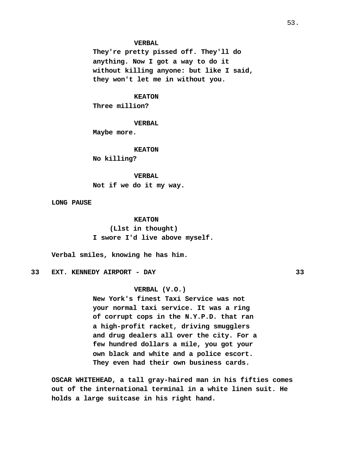### **VERBAL**

**They're pretty pissed off. They'll do anything. Now I got a way to do it without killing anyone: but like I said, they won't let me in without you.**

#### **KEATON**

**Three million?**

#### **VERBAL**

**Maybe more.**

#### **KEATON**

**No killing?**

# **VERBAL**

**Not if we do it my way.**

**LONG PAUSE**

**KEATON (Llst in thought) I swore I'd live above myself.**

**Verbal smiles, knowing he has him.**

**33 EXT. KENNEDY AIRPORT - DAY 33**

# **VERBAL (V.O.)**

**New York's finest Taxi Service was not your normal taxi service. It was a ring of corrupt cops in the N.Y.P.D. that ran a high-profit racket, driving smugglers and drug dealers all over the city. For a few hundred dollars a mile, you got your own black and white and a police escort. They even had their own business cards.**

**OSCAR WHITEHEAD, a tall gray-haired man in his fifties comes out of the international terminal in a white linen suit. He holds a large suitcase in his right hand.**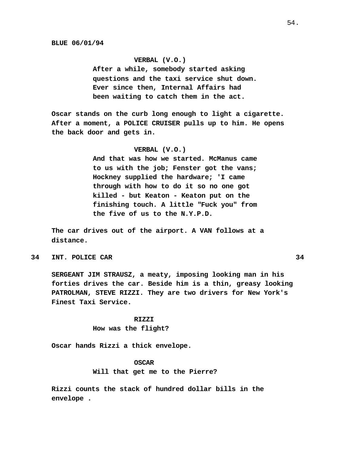# **VERBAL (V.O.)**

**After a while, somebody started asking questions and the taxi service shut down. Ever since then, Internal Affairs had been waiting to catch them in the act.**

**Oscar stands on the curb long enough to light a cigarette. After a moment, a POLICE CRUISER pulls up to him. He opens the back door and gets in.**

### **VERBAL (V.O.)**

**And that was how we started. McManus came to us with the job; Fenster got the vans; Hockney supplied the hardware; 'I came through with how to do it so no one got killed - but Keaton - Keaton put on the finishing touch. A little "Fuck you" from the five of us to the N.Y.P.D.**

**The car drives out of the airport. A VAN follows at a distance.**

**34 INT. POLICE CAR 34**

**SERGEANT JIM STRAUSZ, a meaty, imposing looking man in his forties drives the car. Beside him is a thin, greasy looking PATROLMAN, STEVE RIZZI. They are two drivers for New York's Finest Taxi Service.**

### **RIZZI**

**How was the flight?**

**Oscar hands Rizzi a thick envelope.**

# **OSCAR**

**Will that get me to the Pierre?**

**Rizzi counts the stack of hundred dollar bills in the envelope .**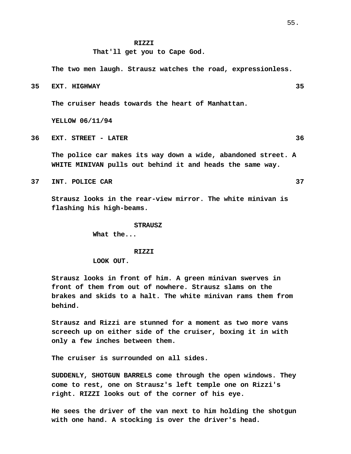#### **RIZZI**

# **That'll get you to Cape God.**

**The two men laugh. Strausz watches the road, expressionless.**

**35 EXT. HIGHWAY 35**

**The cruiser heads towards the heart of Manhattan.**

**YELLOW 06/11/94**

**36 EXT. STREET - LATER 36**

**The police car makes its way down a wide, abandoned street. A WHITE MINIVAN pulls out behind it and heads the same way.**

**37 INT. POLICE CAR 37**

**Strausz looks in the rear-view mirror. The white minivan is flashing his high-beams.**

#### **STRAUSZ**

**What the...**

#### **RIZZI**

**LOOK OUT.**

**Strausz looks in front of him. A green minivan swerves in front of them from out of nowhere. Strausz slams on the brakes and skids to a halt. The white minivan rams them from behind.**

**Strausz and Rizzi are stunned for a moment as two more vans screech up on either side of the cruiser, boxing it in with only a few inches between them.**

**The cruiser is surrounded on all sides.**

**SUDDENLY, SHOTGUN BARRELS come through the open windows. They come to rest, one on Strausz's left temple one on Rizzi's right. RIZZI looks out of the corner of his eye.**

**He sees the driver of the van next to him holding the shotgun with one hand. A stocking is over the driver's head.**

55.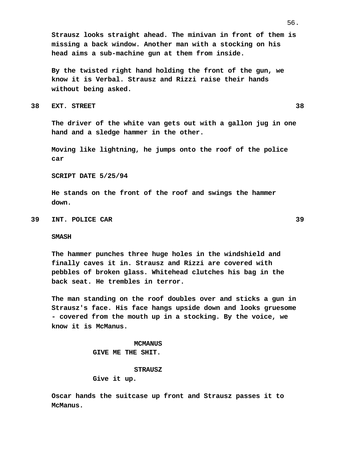**Strausz looks straight ahead. The minivan in front of them is missing a back window. Another man with a stocking on his head aims a sub-machine gun at them from inside.**

**By the twisted right hand holding the front of the gun, we know it is Verbal. Strausz and Rizzi raise their hands without being asked.**

**38 EXT. STREET 38**

**The driver of the white van gets out with a gallon jug in one hand and a sledge hammer in the other.**

**Moving like lightning, he jumps onto the roof of the police car**

**SCRIPT DATE 5/25/94**

**He stands on the front of the roof and swings the hammer down.**

**39 INT. POLICE CAR 39**

**SMASH**

**The hammer punches three huge holes in the windshield and finally caves it in. Strausz and Rizzi are covered with pebbles of broken glass. Whitehead clutches his bag in the back seat. He trembles in terror.**

**The man standing on the roof doubles over and sticks a gun in Strausz's face. His face hangs upside down and looks gruesome - covered from the mouth up in a stocking. By the voice, we know it is McManus.**

> **MCMANUS GIVE ME THE SHIT.**

> **STRAUSZ Give it up.**

**Oscar hands the suitcase up front and Strausz passes it to McManus.**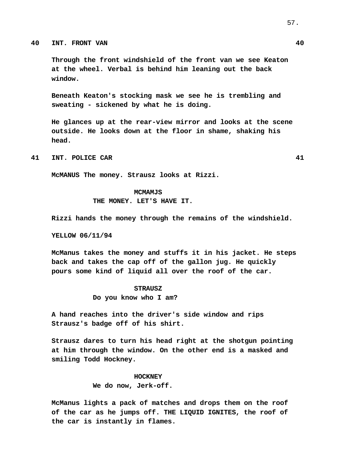# **40 INT. FRONT VAN 40**

**Through the front windshield of the front van we see Keaton at the wheel. Verbal is behind him leaning out the back window.**

**Beneath Keaton's stocking mask we see he is trembling and sweating - sickened by what he is doing.**

**He glances up at the rear-view mirror and looks at the scene outside. He looks down at the floor in shame, shaking his head.**

**41 INT. POLICE CAR 41**

**McMANUS The money. Strausz looks at Rizzi.**

# **MCMAMJS**

**THE MONEY. LET'S HAVE IT.**

**Rizzi hands the money through the remains of the windshield.**

**YELLOW 06/11/94**

**McManus takes the money and stuffs it in his jacket. He steps back and takes the cap off of the gallon jug. He quickly pours some kind of liquid all over the roof of the car.**

#### **STRAUSZ**

**Do you know who I am?**

**A hand reaches into the driver's side window and rips Strausz's badge off of his shirt.**

**Strausz dares to turn his head right at the shotgun pointing at him through the window. On the other end is a masked and smiling Todd Hockney.**

#### **HOCKNEY**

**We do now, Jerk-off.**

**McManus lights a pack of matches and drops them on the roof of the car as he jumps off. THE LIQUID IGNITES, the roof of the car is instantly in flames.**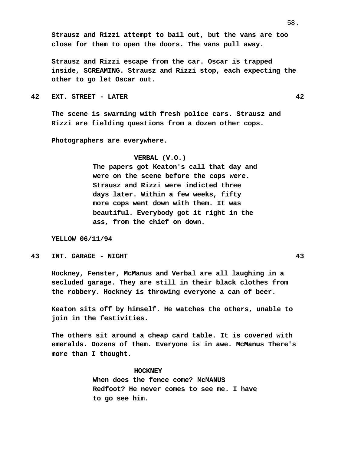**Strausz and Rizzi attempt to bail out, but the vans are too close for them to open the doors. The vans pull away.**

**Strausz and Rizzi escape from the car. Oscar is trapped inside, SCREAMING. Strausz and Rizzi stop, each expecting the other to go let Oscar out.**

**42 EXT. STREET - LATER 42**

**The scene is swarming with fresh police cars. Strausz and Rizzi are fielding questions from a dozen other cops.**

**Photographers are everywhere.**

### **VERBAL (V.O.)**

**The papers got Keaton's call that day and were on the scene before the cops were. Strausz and Rizzi were indicted three days later. Within a few weeks, fifty more cops went down with them. It was beautiful. Everybody got it right in the ass, from the chief on down.**

**YELLOW 06/11/94**

# **43 INT. GARAGE - NIGHT 43**

**Hockney, Fenster, McManus and Verbal are all laughing in a secluded garage. They are still in their black clothes from the robbery. Hockney is throwing everyone a can of beer.**

**Keaton sits off by himself. He watches the others, unable to join in the festivities.**

**The others sit around a cheap card table. It is covered with emeralds. Dozens of them. Everyone is in awe. McManus There's more than I thought.**

#### **HOCKNEY**

**When does the fence come? McMANUS Redfoot? He never comes to see me. I have to go see him.**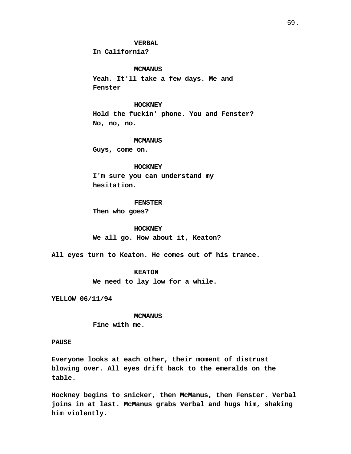# **VERBAL**

**In California?**

# **MCMANUS**

**Yeah. It'll take a few days. Me and Fenster**

# **HOCKNEY**

**Hold the fuckin' phone. You and Fenster? No, no, no.**

#### **MCMANUS**

**Guys, come on.**

#### **HOCKNEY**

**I'm sure you can understand my hesitation.**

### **FENSTER**

**Then who goes?**

# **HOCKNEY**

**We all go. How about it, Keaton?**

**All eyes turn to Keaton. He comes out of his trance.**

### **KEATON**

**We need to lay low for a while.**

**YELLOW 06/11/94**

### **MCMANUS**

**Fine with me.**

### **PAUSE**

**Everyone looks at each other, their moment of distrust blowing over. All eyes drift back to the emeralds on the table.**

**Hockney begins to snicker, then McManus, then Fenster. Verbal joins in at last. McManus grabs Verbal and hugs him, shaking him violently.**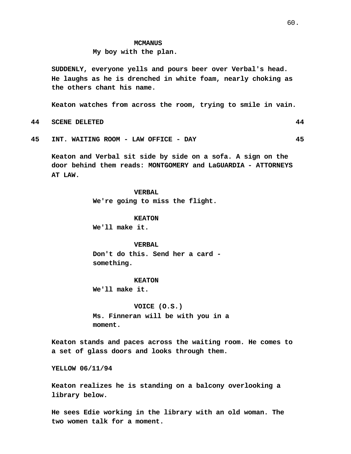#### **MCMANUS**

# **My boy with the plan.**

**SUDDENLY, everyone yells and pours beer over Verbal's head. He laughs as he is drenched in white foam, nearly choking as the others chant his name.**

**Keaton watches from across the room, trying to smile in vain.**

**44 SCENE DELETED 44**

**45 INT. WAITING ROOM - LAW OFFICE - DAY 45**

**Keaton and Verbal sit side by side on a sofa. A sign on the door behind them reads: MONTGOMERY and LaGUARDIA - ATTORNEYS AT LAW.**

# **VERBAL**

**We're going to miss the flight.**

#### **KEATON**

**We'll make it.**

#### **VERBAL**

**Don't do this. Send her a card something.**

#### **KEATON**

**We'll make it.**

# **VOICE (O.S.)**

**Ms. Finneran will be with you in a moment.**

**Keaton stands and paces across the waiting room. He comes to a set of glass doors and looks through them.**

**YELLOW 06/11/94**

**Keaton realizes he is standing on a balcony overlooking a library below.**

**He sees Edie working in the library with an old woman. The two women talk for a moment.**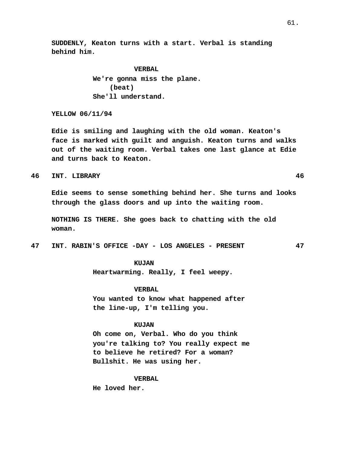**SUDDENLY, Keaton turns with a start. Verbal is standing behind him.**

> **VERBAL We're gonna miss the plane. (beat) She'll understand.**

**YELLOW 06/11/94**

**Edie is smiling and laughing with the old woman. Keaton's face is marked with guilt and anguish. Keaton turns and walks out of the waiting room. Verbal takes one last glance at Edie and turns back to Keaton.**

**46 INT. LIBRARY 46**

**Edie seems to sense something behind her. She turns and looks through the glass doors and up into the waiting room.**

**NOTHING IS THERE. She goes back to chatting with the old woman.**

**47 INT. RABIN'S OFFICE -DAY - LOS ANGELES - PRESENT 47**

# **KUJAN**

**Heartwarming. Really, I feel weepy.**

**VERBAL**

**You wanted to know what happened after the line-up, I'm telling you.**

# **KUJAN**

**Oh come on, Verbal. Who do you think you're talking to? You really expect me to believe he retired? For a woman? Bullshit. He was using her.**

# **VERBAL**

**He loved her.**

61.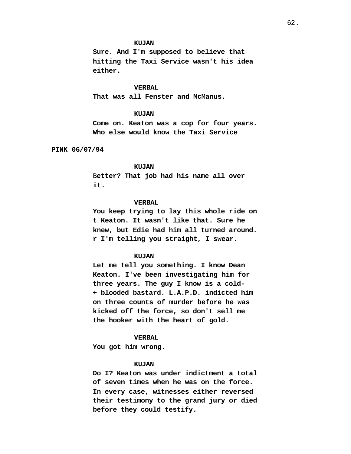#### **KUJAN**

**Sure. And I'm supposed to believe that hitting the Taxi Service wasn't his idea either.**

**VERBAL That was all Fenster and McManus.**

# **KUJAN**

**Come on. Keaton was a cop for four years. Who else would know the Taxi Service**

**PINK 06/07/94**

### **KUJAN**

B**etter? That job had his name all over it.**

# **VERBAL**

**You keep trying to lay this whole ride on t Keaton. It wasn't like that. Sure he knew, but Edie had him all turned around. r I'm telling you straight, I swear.**

# **KUJAN**

**Let me tell you something. I know Dean Keaton. I've been investigating him for three years. The guy I know is a cold- + blooded bastard. L.A.P.D. indicted him on three counts of murder before he was kicked off the force, so don't sell me the hooker with the heart of gold.**

# **VERBAL**

**You got him wrong.**

#### **KUJAN**

**Do I? Keaton was under indictment a total of seven times when he was on the force. In every case, witnesses either reversed their testimony to the grand jury or died before they could testify.**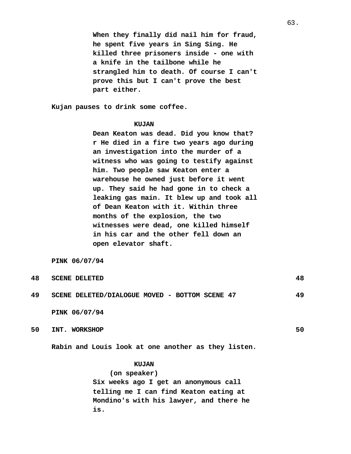**When they finally did nail him for fraud, he spent five years in Sing Sing. He killed three prisoners inside - one with a knife in the tailbone while he strangled him to death. Of course I can't prove this but I can't prove the best part either.**

**Kujan pauses to drink some coffee.**

### **KUJAN**

**Dean Keaton was dead. Did you know that? r He died in a fire two years ago during an investigation into the murder of a witness who was going to testify against him. Two people saw Keaton enter a warehouse he owned just before it went up. They said he had gone in to check a leaking gas main. It blew up and took all of Dean Keaton with it. Within three months of the explosion, the two witnesses were dead, one killed himself in his car and the other fell down an open elevator shaft.**

**PINK 06/07/94**

| 48 | <b>SCENE DELETED</b>                           | 48 |
|----|------------------------------------------------|----|
| 49 | SCENE DELETED/DIALOGUE MOVED - BOTTOM SCENE 47 |    |

**PINK 06/07/94**

**50 INT. WORKSHOP 50**

**Rabin and Louis look at one another as they listen.**

### **KUJAN**

**(on speaker) Six weeks ago I get an anonymous call telling me I can find Keaton eating at Mondino's with his lawyer, and there he is.**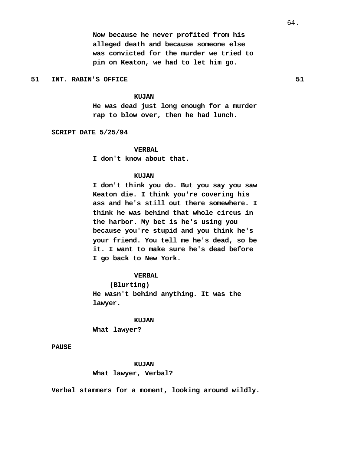**Now because he never profited from his alleged death and because someone else was convicted for the murder we tried to pin on Keaton, we had to let him go.**

# **51 INT. RABIN'S OFFICE 51**

#### **KUJAN**

**He was dead just long enough for a murder rap to blow over, then he had lunch.**

**SCRIPT DATE 5/25/94**

#### **VERBAL**

**I don't know about that.**

### **KUJAN**

**I don't think you do. But you say you saw Keaton die. I think you're covering his ass and he's still out there somewhere. I think he was behind that whole circus in the harbor. My bet is he's using you because you're stupid and you think he's your friend. You tell me he's dead, so be it. I want to make sure he's dead before I go back to New York.**

### **VERBAL**

**(Blurting) He wasn't behind anything. It was the lawyer.**

#### **KUJAN**

**What lawyer?**

# **PAUSE**

**KUJAN**

**What lawyer, Verbal?**

**Verbal stammers for a moment, looking around wildly.**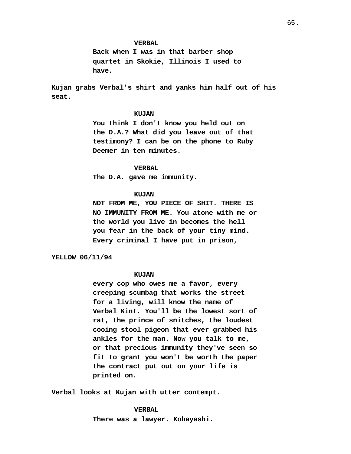**Back when I was in that barber shop quartet in Skokie, Illinois I used to have.**

**Kujan grabs Verbal's shirt and yanks him half out of his seat.**

# **KUJAN**

**You think I don't know you held out on the D.A.? What did you leave out of that testimony? I can be on the phone to Ruby Deemer in ten minutes.**

#### **VERBAL**

**The D.A. gave me immunity.**

### **KUJAN**

**NOT FROM ME, YOU PIECE OF SHIT. THERE IS NO IMMUNITY FROM ME. You atone with me or the world you live in becomes the hell you fear in the back of your tiny mind. Every criminal I have put in prison,**

**YELLOW 06/11/94**

# **KUJAN**

**every cop who owes me a favor, every creeping scumbag that works the street for a living, will know the name of Verbal Kint. You'll be the lowest sort of rat, the prince of snitches, the loudest cooing stool pigeon that ever grabbed his ankles for the man. Now you talk to me, or that precious immunity they've seen so fit to grant you won't be worth the paper the contract put out on your life is printed on.**

**Verbal looks at Kujan with utter contempt.**

# **VERBAL**

**There was a lawyer. Kobayashi.**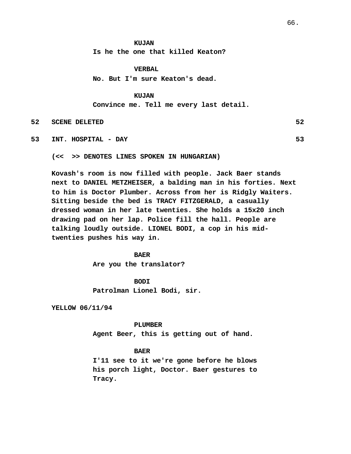**Is he the one that killed Keaton?**

**VERBAL No. But I'm sure Keaton's dead.**

**KUJAN Convince me. Tell me every last detail.**

- **52 SCENE DELETED 52**
- **53 INT. HOSPITAL DAY 53**

**(<< >> DENOTES LINES SPOKEN IN HUNGARIAN)**

**Kovash's room is now filled with people. Jack Baer stands next to DANIEL METZHEISER, a balding man in his forties. Next to him is Doctor Plumber. Across from her is Ridgly Waiters. Sitting beside the bed is TRACY FITZGERALD, a casually dressed woman in her late twenties. She holds a 15x20 inch drawing pad on her lap. Police fill the hall. People are talking loudly outside. LIONEL BODI, a cop in his midtwenties pushes his way in.**

> **BAER Are you the translator?**

**BODI Patrolman Lionel Bodi, sir.**

**YELLOW 06/11/94**

**PLUMBER Agent Beer, this is getting out of hand.**

# **BAER**

**I'11 see to it we're gone before he blows his porch light, Doctor. Baer gestures to Tracy.**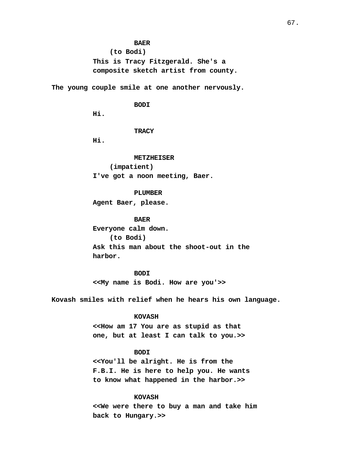**BAER (to Bodi) This is Tracy Fitzgerald. She's a composite sketch artist from county.**

**The young couple smile at one another nervously.**

# **BODI**

**Hi.**

# **TRACY**

**Hi.**

# **METZHEISER**

**(impatient)**

**I've got a noon meeting, Baer.**

# **PLUMBER**

**Agent Baer, please.**

**BAER Everyone calm down. (to Bodi) Ask this man about the shoot-out in the harbor.**

**BODI <<My name is Bodi. How are you'>>**

**Kovash smiles with relief when he hears his own language.**

# **KOVASH**

**<<How am 17 You are as stupid as that one, but at least I can talk to you.>>**

# **BODI**

**<<You'll be alright. He is from the F.B.I. He is here to help you. He wants to know what happened in the harbor.>>**

# **KOVASH**

**<<We were there to buy a man and take him back to Hungary.>>**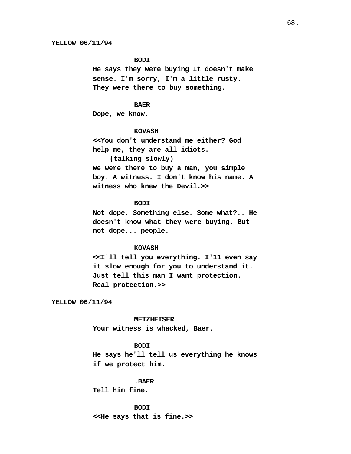# **BODI**

**He says they were buying It doesn't make sense. I'm sorry, I'm a little rusty. They were there to buy something.**

# **BAER**

**Dope, we know.**

### **KOVASH**

**<<You don't understand me either? God help me, they are all idiots. (talking slowly)**

**We were there to buy a man, you simple boy. A witness. I don't know his name. A witness who knew the Devil.>>**

# **BODI**

**Not dope. Something else. Some what?.. He doesn't know what they were buying. But not dope... people.**

### **KOVASH**

**<<I'll tell you everything. I'11 even say it slow enough for you to understand it. Just tell this man I want protection. Real protection.>>**

**YELLOW 06/11/94**

#### **METZHEISER**

**Your witness is whacked, Baer.**

# **BODI**

**He says he'll tell us everything he knows if we protect him.**

# **.BAER**

**Tell him fine.**

# **BODI**

**<<He says that is fine.>>**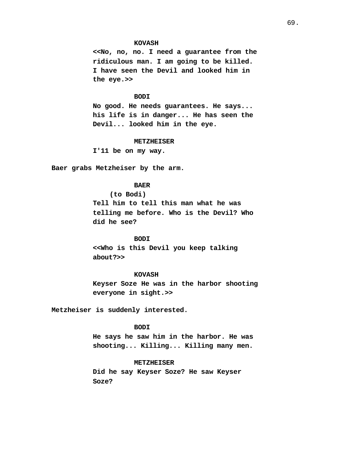#### **KOVASH**

**<<No, no, no. I need a guarantee from the ridiculous man. I am going to be killed. I have seen the Devil and looked him in the eye.>>**

### **BODI**

**No good. He needs guarantees. He says... his life is in danger... He has seen the Devil... looked him in the eye.**

#### **METZHEISER**

**I'11 be on my way.**

**Baer grabs Metzheiser by the arm.**

# **BAER**

**(to Bodi) Tell him to tell this man what he was telling me before. Who is the Devil? Who did he see?**

### **BODI**

**<<Who is this Devil you keep talking about?>>**

# **KOVASH**

**Keyser Soze He was in the harbor shooting everyone in sight.>>**

**Metzheiser is suddenly interested.**

### **BODI**

**He says he saw him in the harbor. He was shooting... Killing... Killing many men.**

# **METZHEISER**

**Did he say Keyser Soze? He saw Keyser Soze?**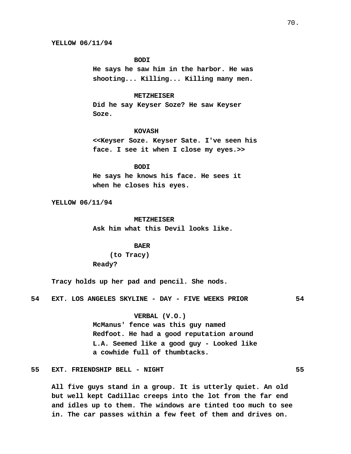**BODI**

**He says he saw him in the harbor. He was shooting... Killing... Killing many men.**

### **METZHEISER**

**Did he say Keyser Soze? He saw Keyser Soze.**

#### **KOVASH**

**<<Keyser Soze. Keyser Sate. I've seen his face. I see it when I close my eyes.>>**

# **BODI**

**He says he knows his face. He sees it when he closes his eyes.**

**YELLOW 06/11/94**

# **METZHEISER**

**Ask him what this Devil looks like.**

# **BAER**

**(to Tracy)**

**Ready?**

**Tracy holds up her pad and pencil. She nods.**

**54 EXT. LOS ANGELES SKYLINE - DAY - FIVE WEEKS PRIOR 54**

#### **VERBAL (V.O.)**

**McManus' fence was this guy named Redfoot. He had a good reputation around L.A. Seemed like a good guy - Looked like a cowhide full of thumbtacks.**

### **55 EXT. FRIENDSHIP BELL - NIGHT 55**

**All five guys stand in a group. It is utterly quiet. An old but well kept Cadillac creeps into the lot from the far end and idles up to them. The windows are tinted too much to see in. The car passes within a few feet of them and drives on.**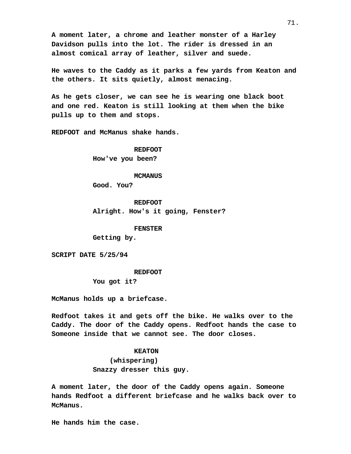**A moment later, a chrome and leather monster of a Harley Davidson pulls into the lot. The rider is dressed in an almost comical array of leather, silver and suede.**

**He waves to the Caddy as it parks a few yards from Keaton and the others. It sits quietly, almost menacing.**

**As he gets closer, we can see he is wearing one black boot and one red. Keaton is still looking at them when the bike pulls up to them and stops.**

**REDFOOT and McManus shake hands.**

**REDFOOT How've you been?**

#### **MCMANUS**

**Good. You?**

**REDFOOT Alright. How's it going, Fenster?**

**FENSTER**

**Getting by.**

**SCRIPT DATE 5/25/94**

**REDFOOT**

**You got it?**

**McManus holds up a briefcase.**

**Redfoot takes it and gets off the bike. He walks over to the Caddy. The door of the Caddy opens. Redfoot hands the case to Someone inside that we cannot see. The door closes.**

# **KEATON**

**(whispering) Snazzy dresser this guy.**

**A moment later, the door of the Caddy opens again. Someone hands Redfoot a different briefcase and he walks back over to McManus.**

**He hands him the case.**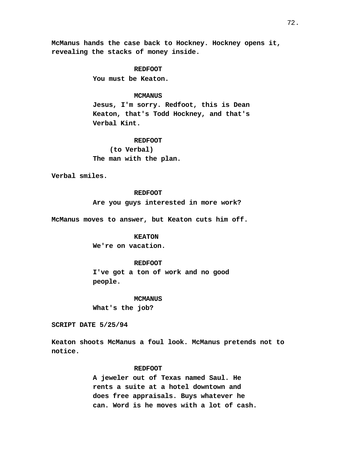**McManus hands the case back to Hockney. Hockney opens it, revealing the stacks of money inside.**

## **REDFOOT**

**You must be Keaton.**

# **MCMANUS**

**Jesus, I'm sorry. Redfoot, this is Dean Keaton, that's Todd Hockney, and that's Verbal Kint.**

# **REDFOOT**

**(to Verbal) The man with the plan.**

**Verbal smiles.**

# **REDFOOT**

**Are you guys interested in more work?**

**McManus moves to answer, but Keaton cuts him off.**

# **KEATON**

**We're on vacation.**

### **REDFOOT**

**I've got a ton of work and no good people.**

## **MCMANUS**

**What's the job?**

**SCRIPT DATE 5/25/94**

**Keaton shoots McManus a foul look. McManus pretends not to notice.**

## **REDFOOT**

**A jeweler out of Texas named Saul. He rents a suite at a hotel downtown and does free appraisals. Buys whatever he can. Word is he moves with a lot of cash.**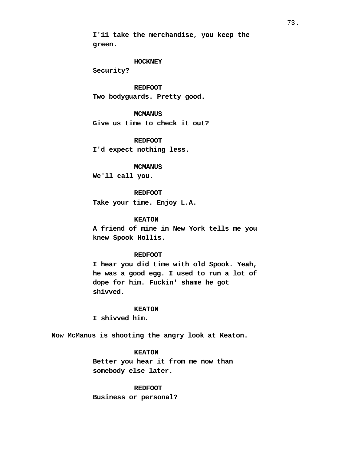**I'11 take the merchandise, you keep the green.**

#### **HOCKNEY**

**Security?**

### **REDFOOT**

**Two bodyguards. Pretty good.**

# **MCMANUS**

**Give us time to check it out?**

# **REDFOOT**

**I'd expect nothing less.**

# **MCMANUS**

**We'll call you.**

# **REDFOOT**

**Take your time. Enjoy L.A.**

# **KEATON**

**A friend of mine in New York tells me you knew Spook Hollis.**

# **REDFOOT**

**I hear you did time with old Spook. Yeah, he was a good egg. I used to run a lot of dope for him. Fuckin' shame he got shivved.**

# **KEATON**

**I shivved him.**

**Now McManus is shooting the angry look at Keaton.**

# **KEATON**

**Better you hear it from me now than somebody else later.**

# **REDFOOT**

**Business or personal?**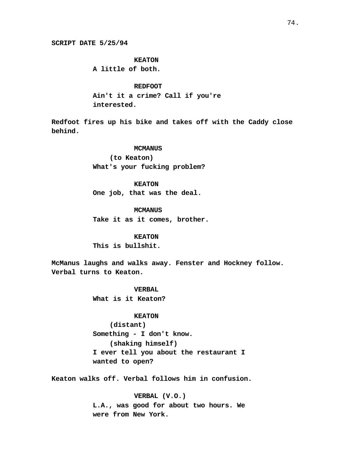## **SCRIPT DATE 5/25/94**

### **KEATON**

**A little of both.**

## **REDFOOT**

**Ain't it a crime? Call if you're interested.**

**Redfoot fires up his bike and takes off with the Caddy close behind.**

### **MCMANUS**

**(to Keaton) What's your fucking problem?**

# **KEATON**

**One job, that was the deal.**

## **MCMANUS**

**Take it as it comes, brother.**

## **KEATON**

**This is bullshit.**

**McManus laughs and walks away. Fenster and Hockney follow. Verbal turns to Keaton.**

> **VERBAL What is it Keaton?**

## **KEATON**

**(distant) Something - I don't know. (shaking himself) I ever tell you about the restaurant I wanted to open?**

**Keaton walks off. Verbal follows him in confusion.**

**VERBAL (V.O.) L.A., was good for about two hours. We were from New York.**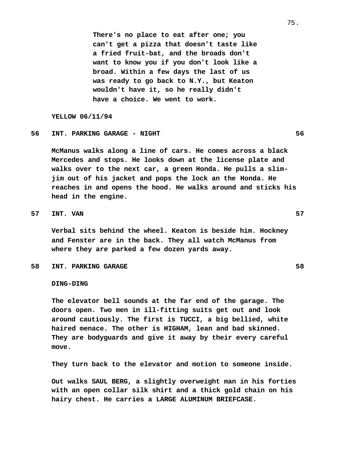**There's no place to eat after one; you can't get a pizza that doesn't taste like a fried fruit-bat, and the broads don't want to know you if you don't look like a broad. Within a few days the last of us was ready to go back to N.Y., but Keaton wouldn't have it, so he really didn't have a choice. We went to work.**

**YELLOW 06/11/94**

# **56 INT. PARKING GARAGE - NIGHT 56**

**McManus walks along a line of cars. He comes across a black Mercedes and stops. He looks down at the license plate and walks over to the next car, a green Honda. He pulls a slimjim out of his jacket and pops the lock an the Honda. He reaches in and opens the hood. He walks around and sticks his head in the engine.**

# **57 INT. VAN 57**

**Verbal sits behind the wheel. Keaton is beside him. Hockney and Fenster are in the back. They all watch McManus from where they are parked a few dozen yards away.**

## **58 INT. PARKING GARAGE 58**

### **DING-DING**

**The elevator bell sounds at the far end of the garage. The doors open. Two men in ill-fitting suits get out and look around cautiously. The first is TUCCI, a big bellied, white haired menace. The other is HIGHAM, lean and bad skinned. They are bodyguards and give it away by their every careful move.**

**They turn back to the elevator and motion to someone inside.**

**Out walks SAUL BERG, a slightly overweight man in his forties with an open collar silk shirt and a thick gold chain on his hairy chest. He carries a LARGE ALUMINUM BRIEFCASE.**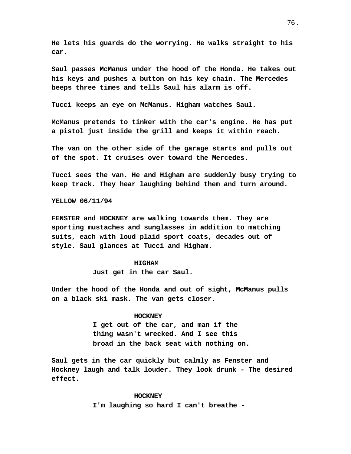**He lets his guards do the worrying. He walks straight to his car.**

**Saul passes McManus under the hood of the Honda. He takes out his keys and pushes a button on his key chain. The Mercedes beeps three times and tells Saul his alarm is off.**

**Tucci keeps an eye on McManus. Higham watches Saul.**

**McManus pretends to tinker with the car's engine. He has put a pistol just inside the grill and keeps it within reach.**

**The van on the other side of the garage starts and pulls out of the spot. It cruises over toward the Mercedes.**

**Tucci sees the van. He and Higham are suddenly busy trying to keep track. They hear laughing behind them and turn around.**

**YELLOW 06/11/94**

**FENSTER and HOCKNEY are walking towards them. They are sporting mustaches and sunglasses in addition to matching suits, each with loud plaid sport coats, decades out of style. Saul glances at Tucci and Higham.**

### **HIGHAM**

**Just get in the car Saul.**

**Under the hood of the Honda and out of sight, McManus pulls on a black ski mask. The van gets closer.**

### **HOCKNEY**

**I get out of the car, and man if the thing wasn't wrecked. And I see this broad in the back seat with nothing on.**

**Saul gets in the car quickly but calmly as Fenster and Hockney laugh and talk louder. They look drunk - The desired effect.**

### **HOCKNEY**

**I'm laughing so hard I can't breathe -**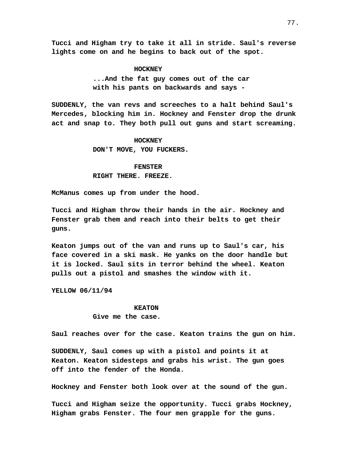**Tucci and Higham try to take it all in stride. Saul's reverse lights come on and he begins to back out of the spot.**

## **HOCKNEY**

**...And the fat guy comes out of the car with his pants on backwards and says -**

**SUDDENLY, the van revs and screeches to a halt behind Saul's Mercedes, blocking him in. Hockney and Fenster drop the drunk act and snap to. They both pull out guns and start screaming.**

#### **HOCKNEY**

**DON'T MOVE, YOU FUCKERS.**

#### **FENSTER**

**RIGHT THERE. FREEZE.**

**McManus comes up from under the hood.**

**Tucci and Higham throw their hands in the air. Hockney and Fenster grab them and reach into their belts to get their guns.**

**Keaton jumps out of the van and runs up to Saul's car, his face covered in a ski mask. He yanks on the door handle but it is locked. Saul sits in terror behind the wheel. Keaton pulls out a pistol and smashes the window with it.**

**YELLOW 06/11/94**

#### **KEATON**

**Give me the case.**

**Saul reaches over for the case. Keaton trains the gun on him.**

**SUDDENLY, Saul comes up with a pistol and points it at Keaton. Keaton sidesteps and grabs his wrist. The gun goes off into the fender of the Honda.**

**Hockney and Fenster both look over at the sound of the gun.**

**Tucci and Higham seize the opportunity. Tucci grabs Hockney, Higham grabs Fenster. The four men grapple for the guns.**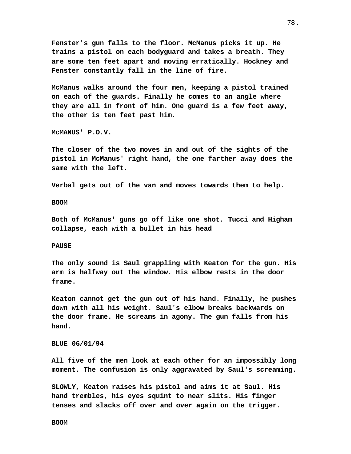**Fenster's gun falls to the floor. McManus picks it up. He trains a pistol on each bodyguard and takes a breath. They are some ten feet apart and moving erratically. Hockney and Fenster constantly fall in the line of fire.**

**McManus walks around the four men, keeping a pistol trained on each of the guards. Finally he comes to an angle where they are all in front of him. One guard is a few feet away, the other is ten feet past him.**

**McMANUS' P.O.V.**

**The closer of the two moves in and out of the sights of the pistol in McManus' right hand, the one farther away does the same with the left.**

**Verbal gets out of the van and moves towards them to help.**

## **BOOM**

**Both of McManus' guns go off like one shot. Tucci and Higham collapse, each with a bullet in his head**

## **PAUSE**

**The only sound is Saul grappling with Keaton for the gun. His arm is halfway out the window. His elbow rests in the door frame.**

**Keaton cannot get the gun out of his hand. Finally, he pushes down with all his weight. Saul's elbow breaks backwards on the door frame. He screams in agony. The gun falls from his hand.**

# **BLUE 06/01/94**

**All five of the men look at each other for an impossibly long moment. The confusion is only aggravated by Saul's screaming.**

**SLOWLY, Keaton raises his pistol and aims it at Saul. His hand trembles, his eyes squint to near slits. His finger tenses and slacks off over and over again on the trigger.**

**BOOM**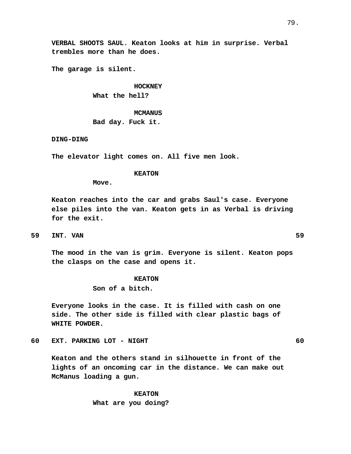**VERBAL SHOOTS SAUL. Keaton looks at him in surprise. Verbal trembles more than he does.**

**The garage is silent.**

**HOCKNEY**

**What the hell?**

**MCMANUS Bad day. Fuck it.**

**DING-DING**

**The elevator light comes on. All five men look.**

### **KEATON**

**Move.**

**Keaton reaches into the car and grabs Saul's case. Everyone else piles into the van. Keaton gets in as Verbal is driving for the exit.**

**59 INT. VAN 59**

**The mood in the van is grim. Everyone is silent. Keaton pops the clasps on the case and opens it.**

# **KEATON**

**Son of a bitch.**

**Everyone looks in the case. It is filled with cash on one side. The other side is filled with clear plastic bags of WHITE POWDER.**

**60 EXT. PARKING LOT - NIGHT 60**

**Keaton and the others stand in silhouette in front of the lights of an oncoming car in the distance. We can make out McManus loading a gun.**

> **KEATON What are you doing?**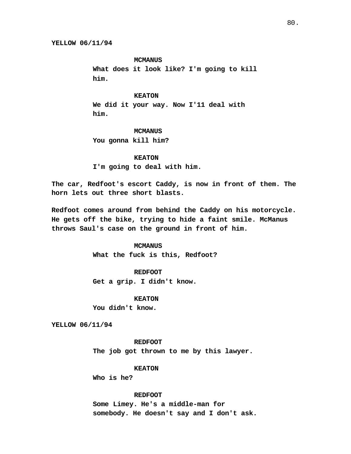**MCMANUS**

**What does it look like? I'm going to kill him.**

## **KEATON**

**We did it your way. Now I'11 deal with him.**

### **MCMANUS**

**You gonna kill him?**

**KEATON I'm going to deal with him.**

**The car, Redfoot's escort Caddy, is now in front of them. The horn lets out three short blasts.**

**Redfoot comes around from behind the Caddy on his motorcycle. He gets off the bike, trying to hide a faint smile. McManus throws Saul's case on the ground in front of him.**

# **MCMANUS**

**What the fuck is this, Redfoot?**

## **REDFOOT**

**Get a grip. I didn't know.**

## **KEATON**

**You didn't know.**

**YELLOW 06/11/94**

**REDFOOT The job got thrown to me by this lawyer.**

### **KEATON**

**Who is he?**

#### **REDFOOT**

**Some Limey. He's a middle-man for somebody. He doesn't say and I don't ask.**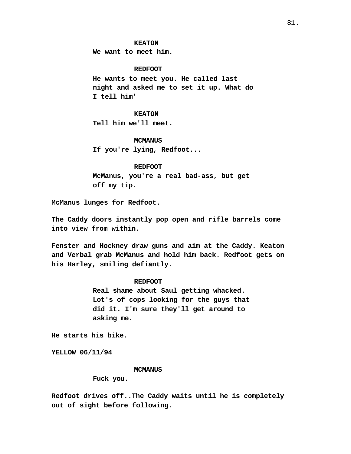### **KEATON**

**We want to meet him.**

### **REDFOOT**

**He wants to meet you. He called last night and asked me to set it up. What do I tell him'**

# **KEATON**

**Tell him we'll meet.**

## **MCMANUS**

**If you're lying, Redfoot...**

## **REDFOOT**

**McManus, you're a real bad-ass, but get off my tip.**

**McManus lunges for Redfoot.**

**The Caddy doors instantly pop open and rifle barrels come into view from within.**

**Fenster and Hockney draw guns and aim at the Caddy. Keaton and Verbal grab McManus and hold him back. Redfoot gets on his Harley, smiling defiantly.**

### **REDFOOT**

**Real shame about Saul getting whacked. Lot's of cops looking for the guys that did it. I'm sure they'll get around to asking me.**

**He starts his bike.**

**YELLOW 06/11/94**

## **MCMANUS**

**Fuck you.**

**Redfoot drives off..The Caddy waits until he is completely out of sight before following.**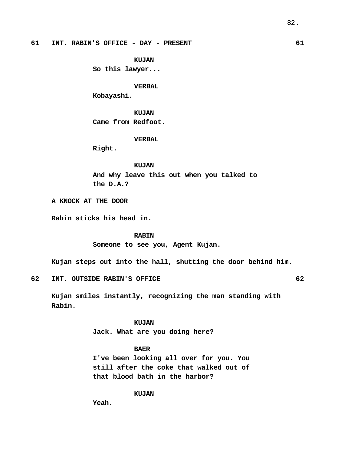**KUJAN**

**So this lawyer...**

**VERBAL**

**Kobayashi.**

**KUJAN Came from Redfoot.**

### **VERBAL**

**Right.**

## **KUJAN**

**And why leave this out when you talked to the D.A.?**

**A KNOCK AT THE DOOR**

**Rabin sticks his head in.**

# **RABIN**

**Someone to see you, Agent Kujan.**

**Kujan steps out into the hall, shutting the door behind him.**

**62 INT. OUTSIDE RABIN'S OFFICE 62**

**Kujan smiles instantly, recognizing the man standing with Rabin.**

# **KUJAN**

**Jack. What are you doing here?**

# **BAER**

**I've been looking all over for you. You still after the coke that walked out of that blood bath in the harbor?**

# **KUJAN**

**Yeah.**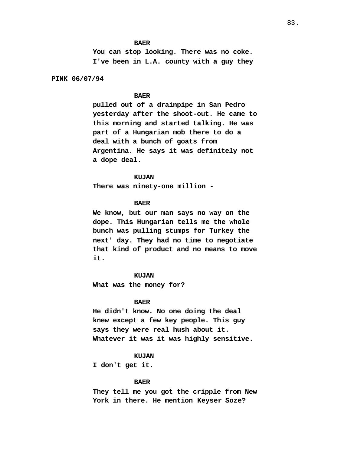**You can stop looking. There was no coke. I've been in L.A. county with a guy they**

**PINK 06/07/94**

# **BAER**

**pulled out of a drainpipe in San Pedro yesterday after the shoot-out. He came to this morning and started talking. He was part of a Hungarian mob there to do a deal with a bunch of goats from Argentina. He says it was definitely not a dope deal.**

## **KUJAN**

**There was ninety-one million -**

# **BAER**

**We know, but our man says no way on the dope. This Hungarian tells me the whole bunch was pulling stumps for Turkey the next' day. They had no time to negotiate that kind of product and no means to move it.**

# **KUJAN**

**What was the money for?**

### **BAER**

**He didn't know. No one doing the deal knew except a few key people. This guy says they were real hush about it. Whatever it was it was highly sensitive.**

# **KUJAN**

**I don't get it.**

## **BAER**

**They tell me you got the cripple from New York in there. He mention Keyser Soze?**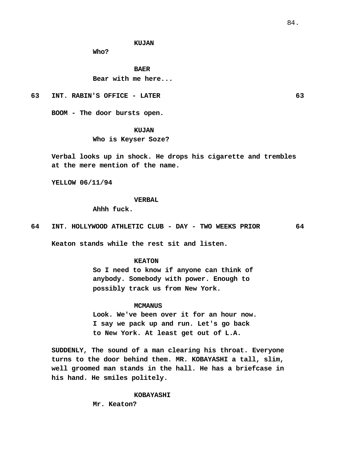### **KUJAN**

**Who?**

**BAER Bear with me here...**

# **63 INT. RABIN'S OFFICE - LATER 63**

**BOOM - The door bursts open.**

**KUJAN**

**Who is Keyser Soze?**

**Verbal looks up in shock. He drops his cigarette and trembles at the mere mention of the name.**

**YELLOW 06/11/94**

## **VERBAL**

**Ahhh fuck.**

**64 INT. HOLLYWOOD ATHLETIC CLUB - DAY - TWO WEEKS PRIOR 64**

**Keaton stands while the rest sit and listen.**

## **KEATON**

**So I need to know if anyone can think of anybody. Somebody with power. Enough to possibly track us from New York.**

# **MCMANUS**

**Look. We've been over it for an hour now. I say we pack up and run. Let's go back to New York. At least get out of L.A.**

**SUDDENLY, The sound of a man clearing his throat. Everyone turns to the door behind them. MR. KOBAYASHI a tall, slim, well groomed man stands in the hall. He has a briefcase in his hand. He smiles politely.**

**KOBAYASHI**

**Mr. Keaton?**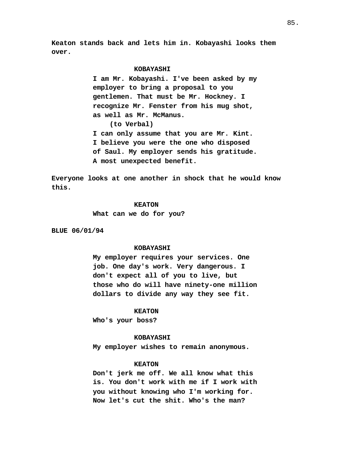**Keaton stands back and lets him in. Kobayashi looks them over.**

## **KOBAYASHI**

**I am Mr. Kobayashi. I've been asked by my employer to bring a proposal to you gentlemen. That must be Mr. Hockney. I recognize Mr. Fenster from his mug shot, as well as Mr. McManus. (to Verbal) I can only assume that you are Mr. Kint. I believe you were the one who disposed of Saul. My employer sends his gratitude. A most unexpected benefit.**

**Everyone looks at one another in shock that he would know this.**

## **KEATON**

**What can we do for you?**

**BLUE 06/01/94**

## **KOBAYASHI**

**My employer requires your services. One job. One day's work. Very dangerous. I don't expect all of you to live, but those who do will have ninety-one million dollars to divide any way they see fit.**

#### **KEATON**

**Who's your boss?**

## **KOBAYASHI**

**My employer wishes to remain anonymous.**

### **KEATON**

**Don't jerk me off. We all know what this is. You don't work with me if I work with you without knowing who I'm working for. Now let's cut the shit. Who's the man?**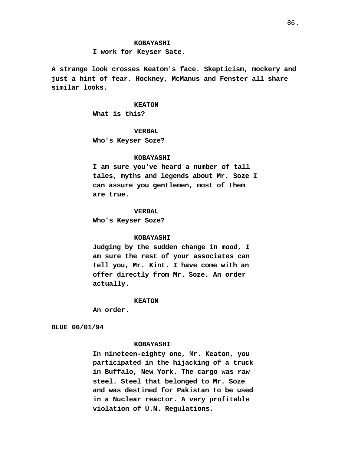#### **KOBAYASHI**

### **I work for Keyser Sate.**

**A strange look crosses Keaton's face. Skepticism, mockery and just a hint of fear. Hockney, McManus and Fenster all share similar looks.**

> **KEATON What is this?**

### **VERBAL**

**Who's Keyser Soze?**

### **KOBAYASHI**

**I am sure you've heard a number of tall tales, myths and legends about Mr. Soze I can assure you gentlemen, most of them are true.**

## **VERBAL**

**Who's Keyser Soze?**

### **KOBAYASHI**

**Judging by the sudden change in mood, I am sure the rest of your associates can tell you, Mr. Kint. I have come with an offer directly from Mr. Soze. An order actually.**

#### **KEATON**

**An order.**

**BLUE 06/01/94**

# **KOBAYASHI**

**In nineteen-eighty one, Mr. Keaton, you participated in the hijacking of a truck in Buffalo, New York. The cargo was raw steel. Steel that belonged to Mr. Soze and was destined for Pakistan to be used in a Nuclear reactor. A very profitable violation of U.N. Regulations.**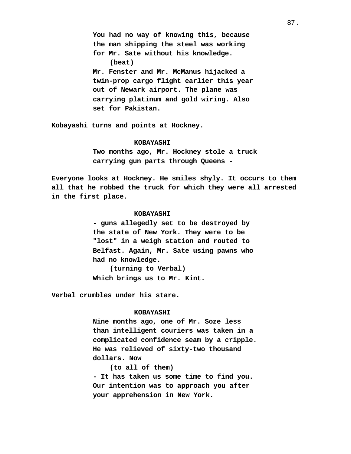**You had no way of knowing this, because the man shipping the steel was working for Mr. Sate without his knowledge. (beat) Mr. Fenster and Mr. McManus hijacked a twin-prop cargo flight earlier this year out of Newark airport. The plane was carrying platinum and gold wiring. Also set for Pakistan.**

**Kobayashi turns and points at Hockney.**

## **KOBAYASHI**

**Two months ago, Mr. Hockney stole a truck carrying gun parts through Queens -**

**Everyone looks at Hockney. He smiles shyly. It occurs to them all that he robbed the truck for which they were all arrested in the first place.**

## **KOBAYASHI**

**- guns allegedly set to be destroyed by the state of New York. They were to be "lost" in a weigh station and routed to Belfast. Again, Mr. Sate using pawns who had no knowledge.**

**(turning to Verbal) Which brings us to Mr. Kint.**

**Verbal crumbles under his stare.**

# **KOBAYASHI**

**Nine months ago, one of Mr. Soze less than intelligent couriers was taken in a complicated confidence seam by a cripple. He was relieved of sixty-two thousand dollars. Now**

**(to all of them)**

**- It has taken us some time to find you. Our intention was to approach you after your apprehension in New York.**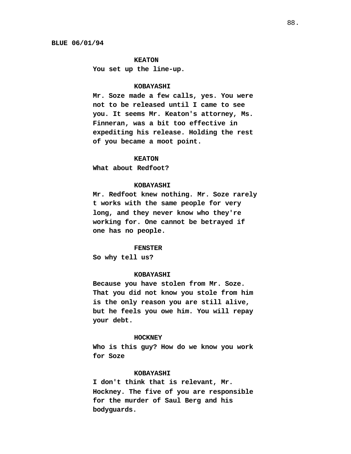### **KEATON**

**You set up the line-up.**

### **KOBAYASHI**

**Mr. Soze made a few calls, yes. You were not to be released until I came to see you. It seems Mr. Keaton's attorney, Ms. Finneran, was a bit too effective in expediting his release. Holding the rest of you became a moot point.**

## **KEATON**

**What about Redfoot?**

## **KOBAYASHI**

**Mr. Redfoot knew nothing. Mr. Soze rarely t works with the same people for very long, and they never know who they're working for. One cannot be betrayed if one has no people.**

#### **FENSTER**

**So why tell us?**

## **KOBAYASHI**

**Because you have stolen from Mr. Soze. That you did not know you stole from him is the only reason you are still alive, but he feels you owe him. You will repay your debt.**

## **HOCKNEY**

**Who is this guy? How do we know you work for Soze**

## **KOBAYASHI**

**I don't think that is relevant, Mr. Hockney. The five of you are responsible for the murder of Saul Berg and his bodyguards.**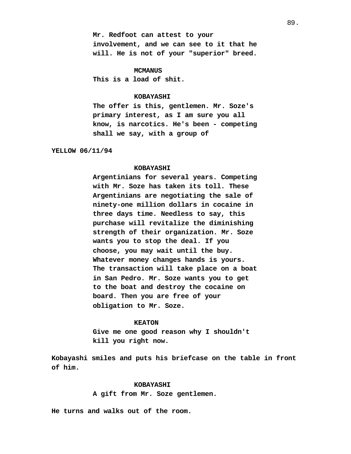**Mr. Redfoot can attest to your involvement, and we can see to it that he will. He is not of your "superior" breed.**

#### **MCMANUS**

**This is a load of shit.**

## **KOBAYASHI**

**The offer is this, gentlemen. Mr. Soze's primary interest, as I am sure you all know, is narcotics. He's been - competing shall we say, with a group of**

**YELLOW 06/11/94**

### **KOBAYASHI**

**Argentinians for several years. Competing with Mr. Soze has taken its toll. These Argentinians are negotiating the sale of ninety-one million dollars in cocaine in three days time. Needless to say, this purchase will revitalize the diminishing strength of their organization. Mr. Soze wants you to stop the deal. If you choose, you may wait until the buy. Whatever money changes hands is yours. The transaction will take place on a boat in San Pedro. Mr. Soze wants you to get to the boat and destroy the cocaine on board. Then you are free of your obligation to Mr. Soze.**

## **KEATON**

**Give me one good reason why I shouldn't kill you right now.**

**Kobayashi smiles and puts his briefcase on the table in front of him.**

## **KOBAYASHI**

**A gift from Mr. Soze gentlemen.**

**He turns and walks out of the room.**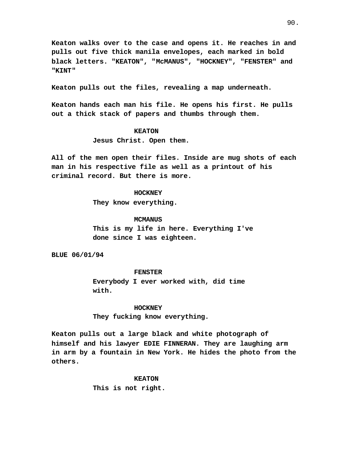**Keaton walks over to the case and opens it. He reaches in and pulls out five thick manila envelopes, each marked in bold black letters. "KEATON", "McMANUS", "HOCKNEY", "FENSTER" and "KINT"**

**Keaton pulls out the files, revealing a map underneath.**

**Keaton hands each man his file. He opens his first. He pulls out a thick stack of papers and thumbs through them.**

## **KEATON**

## **Jesus Christ. Open them.**

**All of the men open their files. Inside are mug shots of each man in his respective file as well as a printout of his criminal record. But there is more.**

# **HOCKNEY**

**They know everything.**

## **MCMANUS**

**This is my life in here. Everything I've done since I was eighteen.**

**BLUE 06/01/94**

#### **FENSTER**

**Everybody I ever worked with, did time with.**

# **HOCKNEY**

**They fucking know everything.**

**Keaton pulls out a large black and white photograph of himself and his lawyer EDIE FINNERAN. They are laughing arm in arm by a fountain in New York. He hides the photo from the others.**

> **KEATON This is not right.**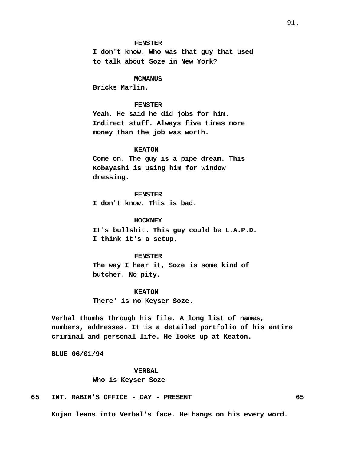#### **FENSTER**

**I don't know. Who was that guy that used to talk about Soze in New York?**

# **MCMANUS**

**Bricks Marlin.**

## **FENSTER**

**Yeah. He said he did jobs for him. Indirect stuff. Always five times more money than the job was worth.**

## **KEATON**

**Come on. The guy is a pipe dream. This Kobayashi is using him for window dressing.**

### **FENSTER**

**I don't know. This is bad.**

# **HOCKNEY**

**It's bullshit. This guy could be L.A.P.D. I think it's a setup.**

### **FENSTER**

**The way I hear it, Soze is some kind of butcher. No pity.**

### **KEATON**

**There' is no Keyser Soze.**

**Verbal thumbs through his file. A long list of names, numbers, addresses. It is a detailed portfolio of his entire criminal and personal life. He looks up at Keaton.**

**BLUE 06/01/94**

### **VERBAL**

**Who is Keyser Soze**

# **65 INT. RABIN'S OFFICE - DAY - PRESENT 65**

**Kujan leans into Verbal's face. He hangs on his every word.**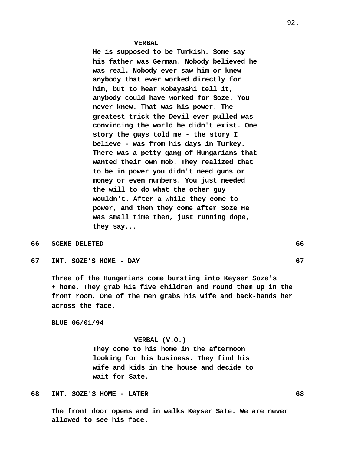# **VERBAL**

**He is supposed to be Turkish. Some say his father was German. Nobody believed he was real. Nobody ever saw him or knew anybody that ever worked directly for him, but to hear Kobayashi tell it, anybody could have worked for Soze. You never knew. That was his power. The greatest trick the Devil ever pulled was convincing the world he didn't exist. One story the guys told me - the story I believe - was from his days in Turkey. There was a petty gang of Hungarians that wanted their own mob. They realized that to be in power you didn't need guns or money or even numbers. You just needed the will to do what the other guy wouldn't. After a while they come to power, and then they come after Soze He was small time then, just running dope, they say...**

**66 SCENE DELETED 66**

**67 INT. SOZE'S HOME - DAY 67**

**Three of the Hungarians come bursting into Keyser Soze's + home. They grab his five children and round them up in the front room. One of the men grabs his wife and back-hands her across the face.**

**BLUE 06/01/94**

#### **VERBAL (V.O.)**

**They come to his home in the afternoon looking for his business. They find his wife and kids in the house and decide to wait for Sate.**

**68 INT. SOZE'S HOME - LATER 68**

**The front door opens and in walks Keyser Sate. We are never allowed to see his face.**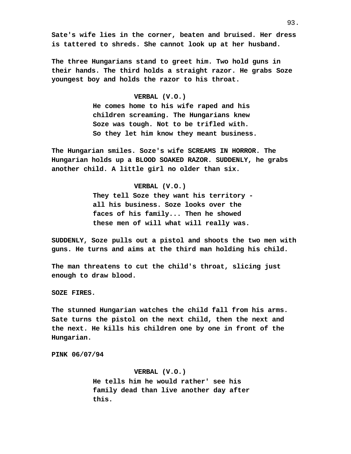**Sate's wife lies in the corner, beaten and bruised. Her dress is tattered to shreds. She cannot look up at her husband.**

**The three Hungarians stand to greet him. Two hold guns in their hands. The third holds a straight razor. He grabs Soze youngest boy and holds the razor to his throat.**

## **VERBAL (V.O.)**

**He comes home to his wife raped and his children screaming. The Hungarians knew Soze was tough. Not to be trifled with. So they let him know they meant business.**

**The Hungarian smiles. Soze's wife SCREAMS IN HORROR. The Hungarian holds up a BLOOD SOAKED RAZOR. SUDDENLY, he grabs another child. A little girl no older than six.**

## **VERBAL (V.O.)**

**They tell Soze they want his territory all his business. Soze looks over the faces of his family... Then he showed these men of will what will really was.**

**SUDDENLY, Soze pulls out a pistol and shoots the two men with guns. He turns and aims at the third man holding his child.**

**The man threatens to cut the child's throat, slicing just enough to draw blood.**

**SOZE FIRES.**

**The stunned Hungarian watches the child fall from his arms. Sate turns the pistol on the next child, then the next and the next. He kills his children one by one in front of the Hungarian.**

**PINK 06/07/94**

**VERBAL (V.O.) He tells him he would rather' see his family dead than live another day after this.**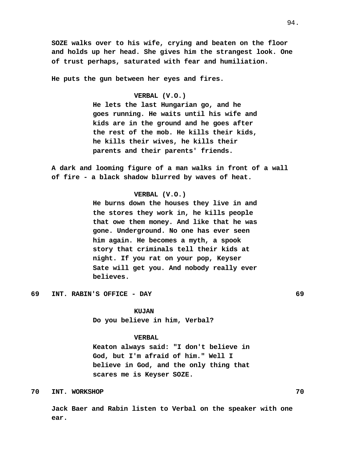**SOZE walks over to his wife, crying and beaten on the floor and holds up her head. She gives him the strangest look. One of trust perhaps, saturated with fear and humiliation.**

**He puts the gun between her eyes and fires.**

# **VERBAL (V.O.)**

**He lets the last Hungarian go, and he goes running. He waits until his wife and kids are in the ground and he goes after the rest of the mob. He kills their kids, he kills their wives, he kills their parents and their parents' friends.**

**A dark and looming figure of a man walks in front of a wall of fire - a black shadow blurred by waves of heat.**

# **VERBAL (V.O.)**

**He burns down the houses they live in and the stores they work in, he kills people that owe them money. And like that he was gone. Underground. No one has ever seen him again. He becomes a myth, a spook story that criminals tell their kids at night. If you rat on your pop, Keyser Sate will get you. And nobody really ever believes.**

**69 INT. RABIN'S OFFICE - DAY 69**

## **KUJAN**

**Do you believe in him, Verbal?**

## **VERBAL**

**Keaton always said: "I don't believe in God, but I'm afraid of him." Well I believe in God, and the only thing that scares me is Keyser SOZE.**

**70 INT. WORKSHOP 70**

**Jack Baer and Rabin listen to Verbal on the speaker with one ear.**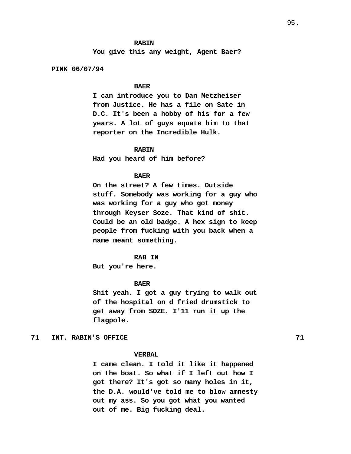## **RABIN**

**You give this any weight, Agent Baer?**

**PINK 06/07/94**

## **BAER**

**I can introduce you to Dan Metzheiser from Justice. He has a file on Sate in D.C. It's been a hobby of his for a few years. A lot of guys equate him to that reporter on the Incredible Hulk.**

#### **RABIN**

**Had you heard of him before?**

# **BAER**

**On the street? A few times. Outside stuff. Somebody was working for a guy who was working for a guy who got money through Keyser Soze. That kind of shit. Could be an old badge. A hex sign to keep people from fucking with you back when a name meant something.**

### **RAB IN**

**But you're here.**

## **BAER**

**Shit yeah. I got a guy trying to walk out of the hospital on d fried drumstick to get away from SOZE. I'11 run it up the flagpole.**

# **71 INT. RABIN'S OFFICE 71**

# **VERBAL**

**I came clean. I told it like it happened on the boat. So what if I left out how I got there? It's got so many holes in it, the D.A. would've told me to blow amnesty out my ass. So you got what you wanted out of me. Big fucking deal.**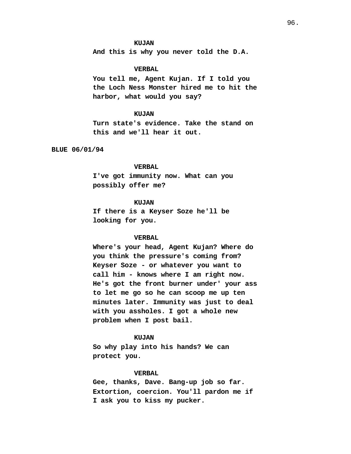### **KUJAN**

**And this is why you never told the D.A.**

# **VERBAL**

**You tell me, Agent Kujan. If I told you the Loch Ness Monster hired me to hit the harbor, what would you say?**

## **KUJAN**

**Turn state's evidence. Take the stand on this and we'll hear it out.**

**BLUE 06/01/94**

# **VERBAL**

**I've got immunity now. What can you possibly offer me?**

# **KUJAN**

**If there is a Keyser Soze he'll be looking for you.**

## **VERBAL**

**Where's your head, Agent Kujan? Where do you think the pressure's coming from? Keyser Soze - or whatever you want to call him - knows where I am right now. He's got the front burner under' your ass to let me go so he can scoop me up ten minutes later. Immunity was just to deal with you assholes. I got a whole new problem when I post bail.**

# **KUJAN**

**So why play into his hands? We can protect you.**

### **VERBAL**

**Gee, thanks, Dave. Bang-up job so far. Extortion, coercion. You'll pardon me if I ask you to kiss my pucker.**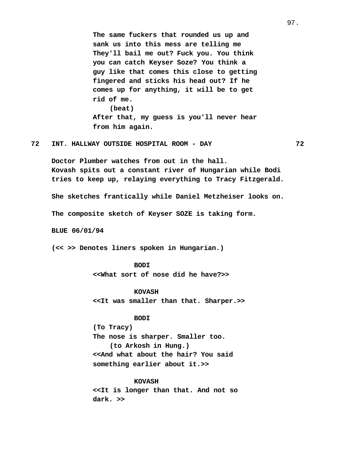**The same fuckers that rounded us up and sank us into this mess are telling me They'll bail me out? Fuck you. You think you can catch Keyser Soze? You think a guy like that comes this close to getting fingered and sticks his head out? If he comes up for anything, it will be to get rid of me. (beat) After that, my guess is you'll never hear from him again.**

# **72 INT. HALLWAY OUTSIDE HOSPITAL ROOM - DAY 72**

**Doctor Plumber watches from out in the hall. Kovash spits out a constant river of Hungarian while Bodi tries to keep up, relaying everything to Tracy Fitzgerald.**

**She sketches frantically while Daniel Metzheiser looks on.**

**The composite sketch of Keyser SOZE is taking form.**

**BLUE 06/01/94**

**(<< >> Denotes liners spoken in Hungarian.)**

#### **BODI**

**<<What sort of nose did he have?>>**

**KOVASH <<It was smaller than that. Sharper.>>**

### **BODI**

**(To Tracy) The nose is sharper. Smaller too. (to Arkosh in Hung.) <<And what about the hair? You said something earlier about it.>>**

# **KOVASH**

**<<It is longer than that. And not so dark. >>**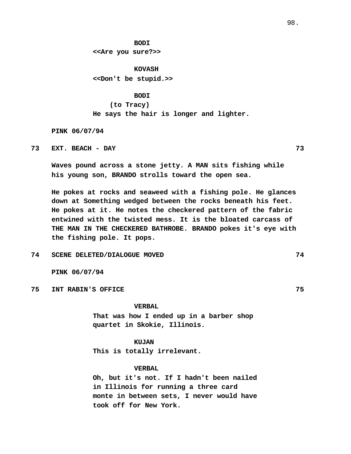**BODI <<Are you sure?>>**

**KOVASH <<Don't be stupid.>>**

**BODI (to Tracy) He says the hair is longer and lighter.**

**PINK 06/07/94**

**73 EXT. BEACH - DAY 73**

**Waves pound across a stone jetty. A MAN sits fishing while his young son, BRANDO strolls toward the open sea.**

**He pokes at rocks and seaweed with a fishing pole. He glances down at Something wedged between the rocks beneath his feet. He pokes at it. He notes the checkered pattern of the fabric entwined with the twisted mess. It is the bloated carcass of THE MAN IN THE CHECKERED BATHROBE. BRANDO pokes it's eye with the fishing pole. It pops.**

**74 SCENE DELETED/DIALOGUE MOVED 74**

**PINK 06/07/94**

**75 INT RABIN'S OFFICE 75**

**VERBAL**

**That was how I ended up in a barber shop quartet in Skokie, Illinois.**

**KUJAN This is totally irrelevant.**

# **VERBAL**

**Oh, but it's not. If I hadn't been nailed in Illinois for running a three card monte in between sets, I never would have took off for New York.**

98.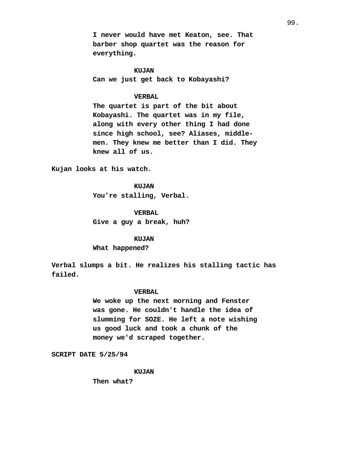**I never would have met Keaton, see. That barber shop quartet was the reason for everything.**

**KUJAN Can we just get back to Kobayashi?**

# **VERBAL**

**The quartet is part of the bit about Kobayashi. The quartet was in my file, along with every other thing I had done since high school, see? Aliases, middlemen. They knew me better than I did. They knew all of us.**

**Kujan looks at his watch.**

**KUJAN**

**You're stalling, Verbal.**

**VERBAL**

**Give a guy a break, huh?**

**KUJAN**

**What happened?**

**Verbal slumps a bit. He realizes his stalling tactic has failed.**

## **VERBAL**

**We woke up the next morning and Fenster was gone. He couldn't handle the idea of slumming for SOZE. He left a note wishing us good luck and took a chunk of the money we'd scraped together.**

**SCRIPT DATE 5/25/94**

**KUJAN**

**Then what?**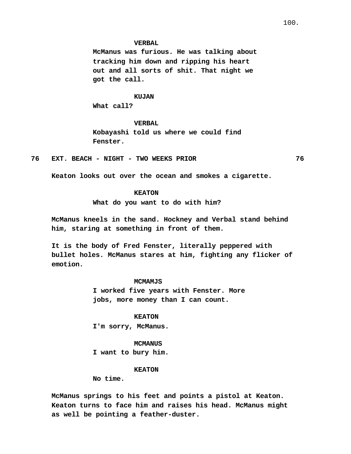## **VERBAL**

**McManus was furious. He was talking about tracking him down and ripping his heart out and all sorts of shit. That night we got the call.**

#### **KUJAN**

**What call?**

# **VERBAL**

**Kobayashi told us where we could find Fenster.**

**76 EXT. BEACH - NIGHT - TWO WEEKS PRIOR 76**

**Keaton looks out over the ocean and smokes a cigarette.**

# **KEATON**

**What do you want to do with him?**

**McManus kneels in the sand. Hockney and Verbal stand behind him, staring at something in front of them.**

**It is the body of Fred Fenster, literally peppered with bullet holes. McManus stares at him, fighting any flicker of emotion.**

### **MCMAMJS**

**I worked five years with Fenster. More jobs, more money than I can count.**

## **KEATON**

**I'm sorry, McManus.**

## **MCMANUS**

**I want to bury him.**

#### **KEATON**

**No time.**

**McManus springs to his feet and points a pistol at Keaton. Keaton turns to face him and raises his head. McManus might as well be pointing a feather-duster.**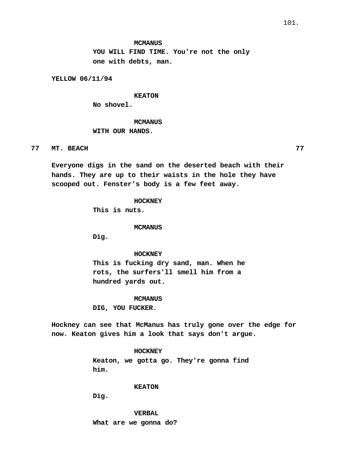**YOU WILL FIND TIME. You're not the only one with debts, man.**

**YELLOW 06/11/94**

## **KEATON**

**No shovel.**

### **MCMANUS**

**WITH OUR HANDS.**

**77 MT. BEACH 77**

**Everyone digs in the sand on the deserted beach with their hands. They are up to their waists in the hole they have scooped out. Fenster's body is a few feet away.**

## **HOCKNEY**

**This is nuts.**

## **MCMANUS**

**Dig.**

## **HOCKNEY**

**This is fucking dry sand, man. When he rots, the surfers'll smell him from a hundred yards out.**

## **MCMANUS**

**DIG, YOU FUCKER.**

**Hockney can see that McManus has truly gone over the edge for now. Keaton gives him a look that says don't argue.**

## **HOCKNEY**

**Keaton, we gotta go. They're gonna find him.**

## **KEATON**

**VERBAL**

**Dig.**

**What are we gonna do?**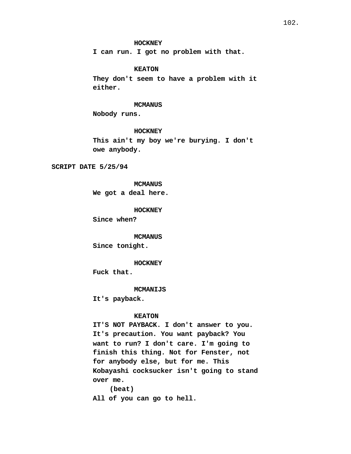# **HOCKNEY**

**I can run. I got no problem with that.**

## **KEATON**

**They don't seem to have a problem with it either.**

# **MCMANUS**

**Nobody runs.**

## **HOCKNEY**

**This ain't my boy we're burying. I don't owe anybody.**

**SCRIPT DATE 5/25/94**

# **MCMANUS**

**We got a deal here.**

#### **HOCKNEY**

**Since when?**

# **MCMANUS**

**Since tonight.**

#### **HOCKNEY**

**Fuck that.**

#### **MCMANIJS**

**It's payback.**

### **KEATON**

**IT'S NOT PAYBACK. I don't answer to you. It's precaution. You want payback? You want to run? I don't care. I'm going to finish this thing. Not for Fenster, not for anybody else, but for me. This Kobayashi cocksucker isn't going to stand over me.**

**(beat) All of you can go to hell.**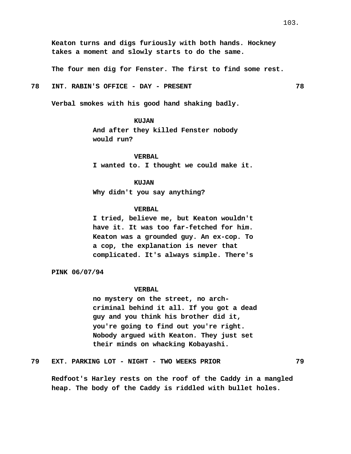**Keaton turns and digs furiously with both hands. Hockney takes a moment and slowly starts to do the same.**

**The four men dig for Fenster. The first to find some rest.**

## **78 INT. RABIN'S OFFICE - DAY - PRESENT 78**

**Verbal smokes with his good hand shaking badly.**

# **KUJAN**

**And after they killed Fenster nobody would run?**

**VERBAL I wanted to. I thought we could make it.**

## **KUJAN**

**Why didn't you say anything?**

## **VERBAL**

**I tried, believe me, but Keaton wouldn't have it. It was too far-fetched for him. Keaton was a grounded guy. An ex-cop. To a cop, the explanation is never that complicated. It's always simple. There's**

**PINK 06/07/94**

### **VERBAL**

**no mystery on the street, no archcriminal behind it all. If you got a dead guy and you think his brother did it, you're going to find out you're right. Nobody argued with Keaton. They just set their minds on whacking Kobayashi.**

**79 EXT. PARKING LOT - NIGHT - TWO WEEKS PRIOR 79**

**Redfoot's Harley rests on the roof of the Caddy in a mangled heap. The body of the Caddy is riddled with bullet holes.**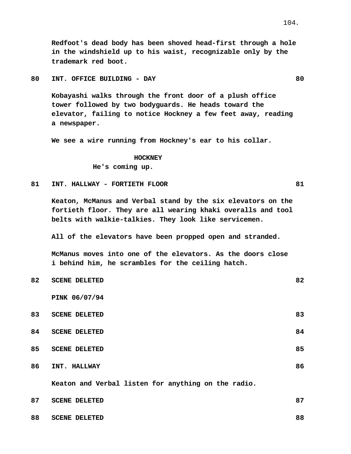**Redfoot's dead body has been shoved head-first through a hole in the windshield up to his waist, recognizable only by the trademark red boot.**

# **80 INT. OFFICE BUILDING - DAY 80**

**Kobayashi walks through the front door of a plush office tower followed by two bodyguards. He heads toward the elevator, failing to notice Hockney a few feet away, reading a newspaper.**

**We see a wire running from Hockney's ear to his collar.**

## **HOCKNEY**

**He's coming up.**

**81 INT. HALLWAY - FORTIETH FLOOR 81**

**Keaton, McManus and Verbal stand by the six elevators on the fortieth floor. They are all wearing khaki overalls and tool belts with walkie-talkies. They look like servicemen.**

**All of the elevators have been propped open and stranded.**

**McManus moves into one of the elevators. As the doors close i behind him, he scrambles for the ceiling hatch.**

**82 SCENE DELETED 82**

**PINK 06/07/94**

- **83 SCENE DELETED 83 84 SCENE DELETED 84**
- **85 SCENE DELETED 85 86 INT. HALLWAY 86**

**Keaton and Verbal listen for anything on the radio.**

| 87 | <b>SCENE DELETED</b> | 97 |
|----|----------------------|----|
| 88 | <b>SCENE DELETED</b> | 88 |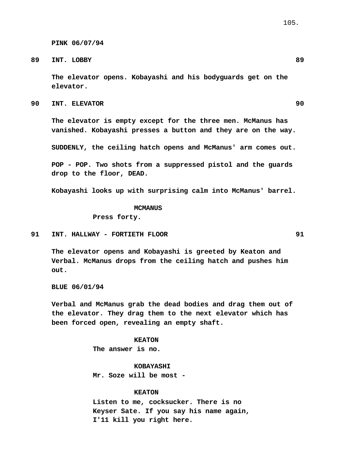**PINK 06/07/94**

# **89 INT. LOBBY 89**

**The elevator opens. Kobayashi and his bodyguards get on the elevator.**

**90 INT. ELEVATOR 90**

**The elevator is empty except for the three men. McManus has vanished. Kobayashi presses a button and they are on the way.**

**SUDDENLY, the ceiling hatch opens and McManus' arm comes out.**

**POP - POP. Two shots from a suppressed pistol and the guards drop to the floor, DEAD.**

**Kobayashi looks up with surprising calm into McManus' barrel.**

### **MCMANUS**

**Press forty.**

**91 INT. HALLWAY - FORTIETH FLOOR 91**

**The elevator opens and Kobayashi is greeted by Keaton and Verbal. McManus drops from the ceiling hatch and pushes him out.**

**BLUE 06/01/94**

**Verbal and McManus grab the dead bodies and drag them out of the elevator. They drag them to the next elevator which has been forced open, revealing an empty shaft.**

### **KEATON**

**The answer is no.**

**KOBAYASHI Mr. Soze will be most -**

## **KEATON**

**Listen to me, cocksucker. There is no Keyser Sate. If you say his name again, I'11 kill you right here.**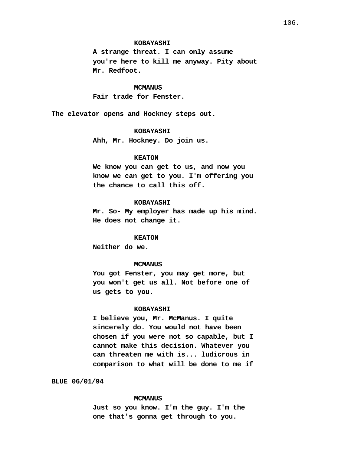## **KOBAYASHI**

**A strange threat. I can only assume you're here to kill me anyway. Pity about Mr. Redfoot.**

## **MCMANUS**

**Fair trade for Fenster.**

**The elevator opens and Hockney steps out.**

### **KOBAYASHI**

**Ahh, Mr. Hockney. Do join us.**

## **KEATON**

**We know you can get to us, and now you know we can get to you. I'm offering you the chance to call this off.**

## **KOBAYASHI**

**Mr. So- My employer has made up his mind. He does not change it.**

## **KEATON**

**Neither do we.**

## **MCMANUS**

**You got Fenster, you may get more, but you won't get us all. Not before one of us gets to you.**

## **KOBAYASHI**

**I believe you, Mr. McManus. I quite sincerely do. You would not have been chosen if you were not so capable, but I cannot make this decision. Whatever you can threaten me with is... ludicrous in comparison to what will be done to me if**

# **BLUE 06/01/94**

## **MCMANUS**

**Just so you know. I'm the guy. I'm the one that's gonna get through to you.**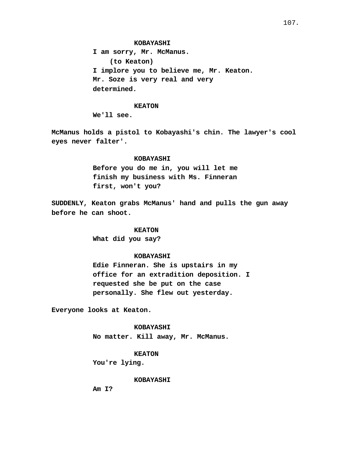**I am sorry, Mr. McManus. (to Keaton) I implore you to believe me, Mr. Keaton. Mr. Soze is very real and very determined.**

### **KEATON**

**We'll see.**

**McManus holds a pistol to Kobayashi's chin. The lawyer's cool eyes never falter'.**

#### **KOBAYASHI**

**Before you do me in, you will let me finish my business with Ms. Finneran first, won't you?**

**SUDDENLY, Keaton grabs McManus' hand and pulls the gun away before he can shoot.**

# **KEATON**

**What did you say?**

# **KOBAYASHI**

**Edie Finneran. She is upstairs in my office for an extradition deposition. I requested she be put on the case personally. She flew out yesterday.**

**Everyone looks at Keaton.**

# **KOBAYASHI**

**No matter. Kill away, Mr. McManus.**

**KEATON**

**You're lying.**

**KOBAYASHI**

**Am I?**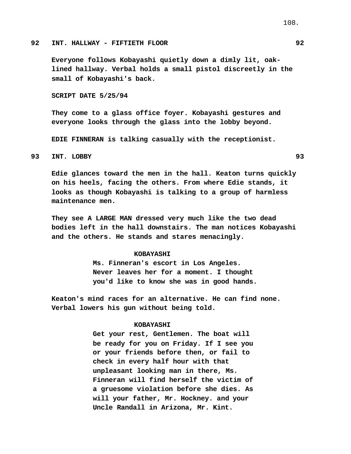# **92 INT. HALLWAY - FIFTIETH FLOOR 92**

**Everyone follows Kobayashi quietly down a dimly lit, oaklined hallway. Verbal holds a small pistol discreetly in the small of Kobayashi's back.**

# **SCRIPT DATE 5/25/94**

**They come to a glass office foyer. Kobayashi gestures and everyone looks through the glass into the lobby beyond.**

**EDIE FINNERAN is talking casually with the receptionist.**

# **93 INT. LOBBY 93**

**Edie glances toward the men in the hall. Keaton turns quickly on his heels, facing the others. From where Edie stands, it looks as though Kobayashi is talking to a group of harmless maintenance men.**

**They see A LARGE MAN dressed very much like the two dead bodies left in the hall downstairs. The man notices Kobayashi and the others. He stands and stares menacingly.**

# **KOBAYASHI**

**Ms. Finneran's escort in Los Angeles. Never leaves her for a moment. I thought you'd like to know she was in good hands.**

**Keaton's mind races for an alternative. He can find none. Verbal lowers his gun without being told.**

# **KOBAYASHI**

**Get your rest, Gentlemen. The boat will be ready for you on Friday. If I see you or your friends before then, or fail to check in every half hour with that unpleasant looking man in there, Ms. Finneran will find herself the victim of a gruesome violation before she dies. As will your father, Mr. Hockney. and your Uncle Randall in Arizona, Mr. Kint.**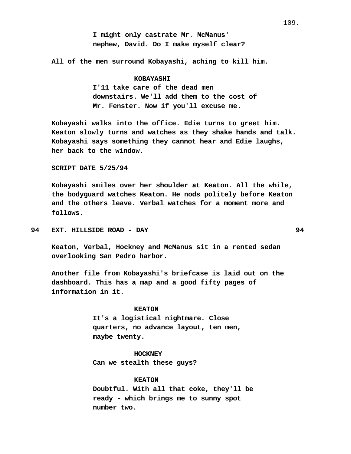**I might only castrate Mr. McManus' nephew, David. Do I make myself clear?**

**All of the men surround Kobayashi, aching to kill him.**

## **KOBAYASHI**

**I'11 take care of the dead men downstairs. We'll add them to the cost of Mr. Fenster. Now if you'll excuse me.**

**Kobayashi walks into the office. Edie turns to greet him. Keaton slowly turns and watches as they shake hands and talk. Kobayashi says something they cannot hear and Edie laughs, her back to the window.**

**SCRIPT DATE 5/25/94**

**Kobayashi smiles over her shoulder at Keaton. All the while, the bodyguard watches Keaton. He nods politely before Keaton and the others leave. Verbal watches for a moment more and follows.**

**94 EXT. HILLSIDE ROAD - DAY 94**

**Keaton, Verbal, Hockney and McManus sit in a rented sedan overlooking San Pedro harbor.**

**Another file from Kobayashi's briefcase is laid out on the dashboard. This has a map and a good fifty pages of information in it.**

# **KEATON**

**It's a logistical nightmare. Close quarters, no advance layout, ten men, maybe twenty.**

# **HOCKNEY**

**Can we stealth these guys?**

## **KEATON**

**Doubtful. With all that coke, they'll be ready - which brings me to sunny spot number two.**

109.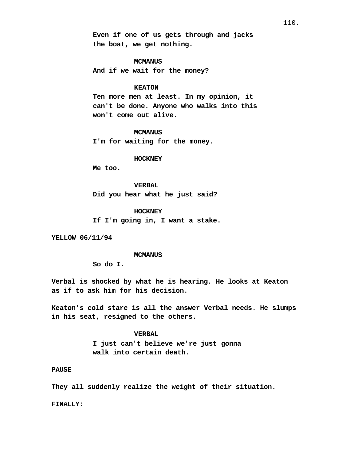**Even if one of us gets through and jacks the boat, we get nothing.**

## **MCMANUS**

**And if we wait for the money?**

# **KEATON**

**Ten more men at least. In my opinion, it can't be done. Anyone who walks into this won't come out alive.**

# **MCMANUS**

**I'm for waiting for the money.**

## **HOCKNEY**

**Me too.**

**VERBAL Did you hear what he just said?**

## **HOCKNEY**

**If I'm going in, I want a stake.**

**YELLOW 06/11/94**

# **MCMANUS**

**So do I.**

**Verbal is shocked by what he is hearing. He looks at Keaton as if to ask him for his decision.**

**Keaton's cold stare is all the answer Verbal needs. He slumps in his seat, resigned to the others.**

# **VERBAL**

**I just can't believe we're just gonna walk into certain death.**

# **PAUSE**

**They all suddenly realize the weight of their situation.**

**FINALLY:**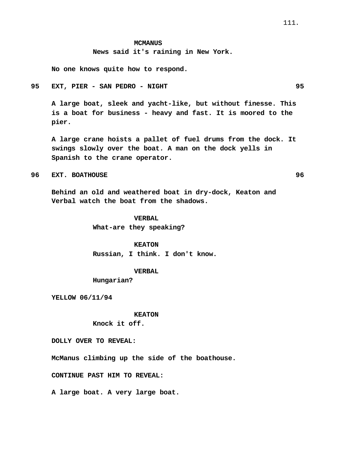## **MCMANUS**

**News said it's raining in New York.**

**No one knows quite how to respond.**

**95 EXT, PIER - SAN PEDRO - NIGHT 95**

**A large boat, sleek and yacht-like, but without finesse. This is a boat for business - heavy and fast. It is moored to the pier.**

**A large crane hoists a pallet of fuel drums from the dock. It swings slowly over the boat. A man on the dock yells in Spanish to the crane operator.**

**96 EXT. BOATHOUSE 96**

**Behind an old and weathered boat in dry-dock, Keaton and Verbal watch the boat from the shadows.**

> **VERBAL What-are they speaking?**

**KEATON Russian, I think. I don't know.**

**VERBAL**

**Hungarian?**

**YELLOW 06/11/94**

## **KEATON**

**Knock it off.**

**DOLLY OVER TO REVEAL:**

**McManus climbing up the side of the boathouse.**

**CONTINUE PAST HIM TO REVEAL:**

**A large boat. A very large boat.**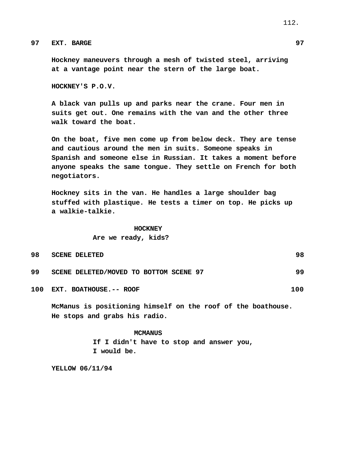**Hockney maneuvers through a mesh of twisted steel, arriving at a vantage point near the stern of the large boat.**

**HOCKNEY'S P.O.V.**

**A black van pulls up and parks near the crane. Four men in suits get out. One remains with the van and the other three walk toward the boat.**

**On the boat, five men come up from below deck. They are tense and cautious around the men in suits. Someone speaks in Spanish and someone else in Russian. It takes a moment before anyone speaks the same tongue. They settle on French for both negotiators.**

**Hockney sits in the van. He handles a large shoulder bag stuffed with plastique. He tests a timer on top. He picks up a walkie-talkie.**

> **HOCKNEY Are we ready, kids?**

**98 SCENE DELETED 98**

| 99 |  | SCENE DELETED/MOVED TO BOTTOM SCENE 97 |  |  |  |  |  |
|----|--|----------------------------------------|--|--|--|--|--|
|----|--|----------------------------------------|--|--|--|--|--|

**100 EXT. BOATHOUSE.-- ROOF 100**

**McManus is positioning himself on the roof of the boathouse. He stops and grabs his radio.**

> **MCMANUS If I didn't have to stop and answer you, I would be.**

**YELLOW 06/11/94**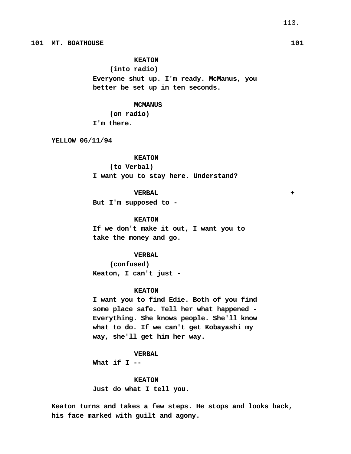# **KEATON**

**(into radio) Everyone shut up. I'm ready. McManus, you better be set up in ten seconds.**

# **MCMANUS**

**(on radio) I'm there.**

**YELLOW 06/11/94**

# **KEATON**

# **(to Verbal)**

**I want you to stay here. Understand?**

# **VERBAL +**

**But I'm supposed to -**

## **KEATON**

**If we don't make it out, I want you to take the money and go.**

# **VERBAL**

**(confused) Keaton, I can't just -**

# **KEATON**

**I want you to find Edie. Both of you find some place safe. Tell her what happened - Everything. She knows people. She'll know what to do. If we can't get Kobayashi my way, she'll get him her way.**

# **VERBAL**

**What if I --**

# **KEATON**

**Just do what I tell you.**

**Keaton turns and takes a few steps. He stops and looks back, his face marked with guilt and agony.**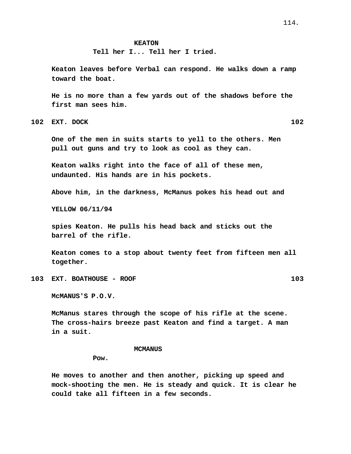**Tell her I... Tell her I tried.**

**Keaton leaves before Verbal can respond. He walks down a ramp toward the boat.**

**He is no more than a few yards out of the shadows before the first man sees him.**

**102 EXT. DOCK 102**

**One of the men in suits starts to yell to the others. Men pull out guns and try to look as cool as they can.**

**Keaton walks right into the face of all of these men, undaunted. His hands are in his pockets.**

**Above him, in the darkness, McManus pokes his head out and**

**YELLOW 06/11/94**

**spies Keaton. He pulls his head back and sticks out the barrel of the rifle.**

**Keaton comes to a stop about twenty feet from fifteen men all together.**

**103 EXT. BOATHOUSE - ROOF 103**

**McMANUS'S P.O.V.**

**McManus stares through the scope of his rifle at the scene. The cross-hairs breeze past Keaton and find a target. A man in a suit.**

# **MCMANUS**

**Pow.**

**He moves to another and then another, picking up speed and mock-shooting the men. He is steady and quick. It is clear he could take all fifteen in a few seconds.**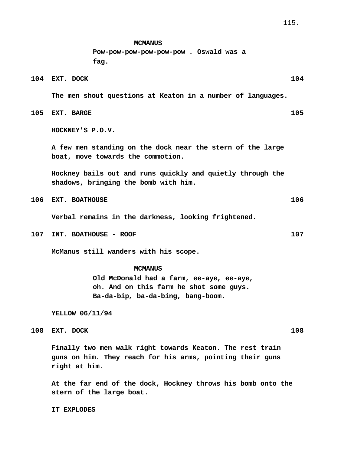## **MCMANUS**

```
Pow-pow-pow-pow-pow-pow . Oswald was a
fag.
```

|     | 104 EXT. DOCK                                                                                      | 104 |
|-----|----------------------------------------------------------------------------------------------------|-----|
|     | The men shout questions at Keaton in a number of languages.                                        |     |
| 105 | <b>EXT. BARGE</b>                                                                                  | 105 |
|     | HOCKNEY'S P.O.V.                                                                                   |     |
|     | A few men standing on the dock near the stern of the large<br>boat, move towards the commotion.    |     |
|     | Hockney bails out and runs quickly and quietly through the<br>shadows, bringing the bomb with him. |     |
|     | 106 EXT. BOATHOUSE                                                                                 | 106 |
|     | Verbal remains in the darkness, looking frightened.                                                |     |
| 107 | INT. BOATHOUSE - ROOF                                                                              | 107 |
|     | McManus still wanders with his scope.                                                              |     |
|     | <b>MCMANUS</b>                                                                                     |     |
|     | Old McDonald had a farm, ee-aye, ee-aye,                                                           |     |

**oh. And on this farm he shot some guys. Ba-da-bip, ba-da-bing, bang-boom.**

**YELLOW 06/11/94**

**108 EXT. DOCK 108**

**Finally two men walk right towards Keaton. The rest train guns on him. They reach for his arms, pointing their guns right at him.**

**At the far end of the dock, Hockney throws his bomb onto the stern of the large boat.**

**IT EXPLODES**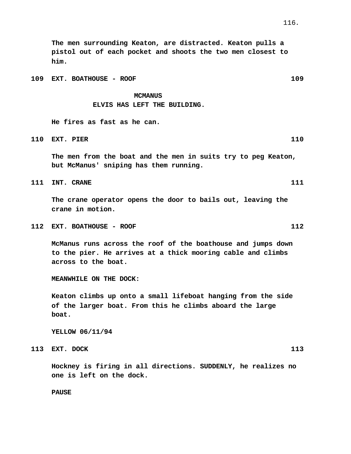**The men surrounding Keaton, are distracted. Keaton pulls a pistol out of each pocket and shoots the two men closest to him.**

**109 EXT. BOATHOUSE - ROOF 109**

## **MCMANUS**

**ELVIS HAS LEFT THE BUILDING.**

**He fires as fast as he can.**

**110 EXT. PIER 110**

**The men from the boat and the men in suits try to peg Keaton, but McManus' sniping has them running.**

**111 INT. CRANE 111**

**The crane operator opens the door to bails out, leaving the crane in motion.**

**112 EXT. BOATHOUSE - ROOF 112**

**McManus runs across the roof of the boathouse and jumps down to the pier. He arrives at a thick mooring cable and climbs across to the boat.**

**MEANWHILE ON THE DOCK:**

**Keaton climbs up onto a small lifeboat hanging from the side of the larger boat. From this he climbs aboard the large boat.**

**YELLOW 06/11/94**

```
113 EXT. DOCK 113
```
**Hockney is firing in all directions. SUDDENLY, he realizes no one is left on the dock.**

**PAUSE**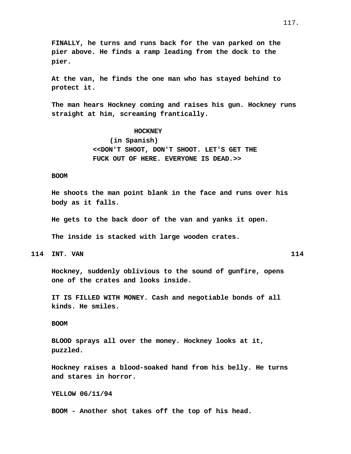**FINALLY, he turns and runs back for the van parked on the pier above. He finds a ramp leading from the dock to the pier.**

**At the van, he finds the one man who has stayed behind to protect it.**

**The man hears Hockney coming and raises his gun. Hockney runs straight at him, screaming frantically.**

#### **HOCKNEY**

**(in Spanish) <<DON'T SHOOT, DON'T SHOOT. LET'S GET THE FUCK OUT OF HERE. EVERYONE IS DEAD.>>**

# **BOOM**

**He shoots the man point blank in the face and runs over his body as it falls.**

**He gets to the back door of the van and yanks it open.**

**The inside is stacked with large wooden crates.**

**114 INT. VAN 114**

**Hockney, suddenly oblivious to the sound of gunfire, opens one of the crates and looks inside.**

**IT IS FILLED WITH MONEY. Cash and negotiable bonds of all kinds. He smiles.**

#### **BOOM**

**BLOOD sprays all over the money. Hockney looks at it, puzzled.**

**Hockney raises a blood-soaked hand from his belly. He turns and stares in horror.**

**YELLOW 06/11/94**

**BOOM - Another shot takes off the top of his head.**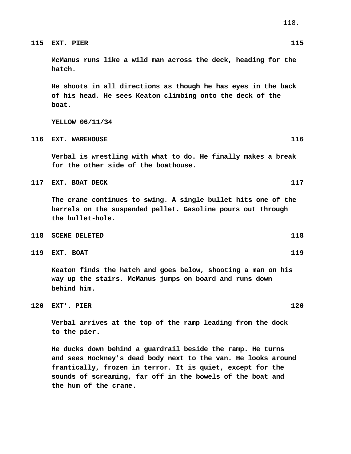**McManus runs like a wild man across the deck, heading for the hatch.**

**He shoots in all directions as though he has eyes in the back of his head. He sees Keaton climbing onto the deck of the boat.**

**YELLOW 06/11/34**

**116 EXT. WAREHOUSE 116**

**Verbal is wrestling with what to do. He finally makes a break for the other side of the boathouse.**

**117 EXT. BOAT DECK 117**

**The crane continues to swing. A single bullet hits one of the barrels on the suspended pellet. Gasoline pours out through the bullet-hole.**

## **118 SCENE DELETED 118**

**119 EXT. BOAT 119**

**Keaton finds the hatch and goes below, shooting a man on his way up the stairs. McManus jumps on board and runs down behind him.**

**120 EXT'. PIER 120**

**Verbal arrives at the top of the ramp leading from the dock to the pier.**

**He ducks down behind a guardrail beside the ramp. He turns and sees Hockney's dead body next to the van. He looks around frantically, frozen in terror. It is quiet, except for the sounds of screaming, far off in the bowels of the boat and the hum of the crane.**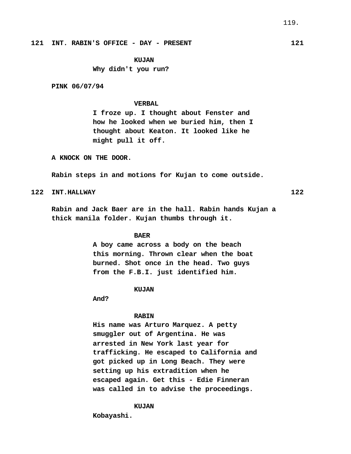**KUJAN**

**Why didn't you run?**

**PINK 06/07/94**

# **VERBAL**

**I froze up. I thought about Fenster and how he looked when we buried him, then I thought about Keaton. It looked like he might pull it off.**

**A KNOCK ON THE DOOR.**

**Rabin steps in and motions for Kujan to come outside.**

**122 INT.HALLWAY 122**

**Rabin and Jack Baer are in the hall. Rabin hands Kujan a thick manila folder. Kujan thumbs through it.**

# **BAER**

**A boy came across a body on the beach this morning. Thrown clear when the boat burned. Shot once in the head. Two guys from the F.B.I. just identified him.**

## **KUJAN**

**And?**

#### **RABIN**

**His name was Arturo Marquez. A petty smuggler out of Argentina. He was arrested in New York last year for trafficking. He escaped to California and got picked up in Long Beach. They were setting up his extradition when he escaped again. Get this - Edie Finneran was called in to advise the proceedings.**

# **KUJAN**

**Kobayashi.**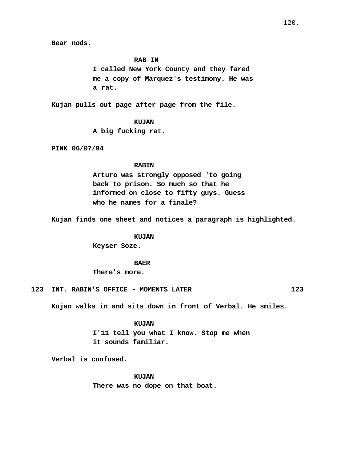# **RAB IN**

**I called New York County and they fared me a copy of Marquez's testimony. He was a rat.**

**Kujan pulls out page after page from the file.**

## **KUJAN**

**A big fucking rat.**

**PINK 06/07/94**

# **RABIN**

**Arturo was strongly opposed 'to going back to prison. So much so that he informed on close to fifty guys. Guess who he names for a finale?**

**Kujan finds one sheet and notices a paragraph is highlighted.**

# **KUJAN**

**Keyser Soze.**

#### **BAER**

**There's more.**

**123 INT. RABIN'S OFFICE - MOMENTS LATER 123**

**Kujan walks in and sits down in front of Verbal. He smiles.**

# **KUJAN**

**I'11 tell you what I know. Stop me when it sounds familiar.**

**Verbal is confused.**

**KUJAN There was no dope on that boat.**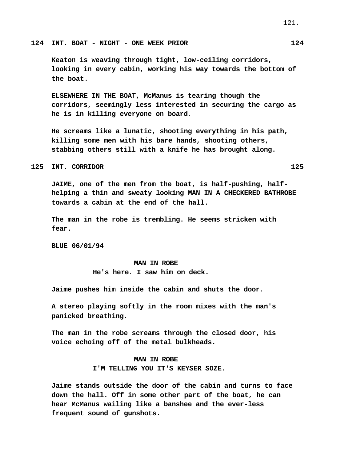#### **124 INT. BOAT - NIGHT - ONE WEEK PRIOR 124**

**Keaton is weaving through tight, low-ceiling corridors, looking in every cabin, working his way towards the bottom of the boat.**

**ELSEWHERE IN THE BOAT, McManus is tearing though the corridors, seemingly less interested in securing the cargo as he is in killing everyone on board.**

**He screams like a lunatic, shooting everything in his path, killing some men with his bare hands, shooting others, stabbing others still with a knife he has brought along.**

**125 INT. CORRIDOR 125**

**JAIME, one of the men from the boat, is half-pushing, halfhelping a thin and sweaty looking MAN IN A CHECKERED BATHROBE towards a cabin at the end of the hall.**

**The man in the robe is trembling. He seems stricken with fear.**

**BLUE 06/01/94**

# **MAN IN ROBE**

**He's here. I saw him on deck.**

**Jaime pushes him inside the cabin and shuts the door.**

**A stereo playing softly in the room mixes with the man's panicked breathing.**

**The man in the robe screams through the closed door, his voice echoing off of the metal bulkheads.**

# **MAN IN ROBE**

**I'M TELLING YOU IT'S KEYSER SOZE.**

**Jaime stands outside the door of the cabin and turns to face down the hall. Off in some other part of the boat, he can hear McManus wailing like a banshee and the ever-less frequent sound of gunshots.**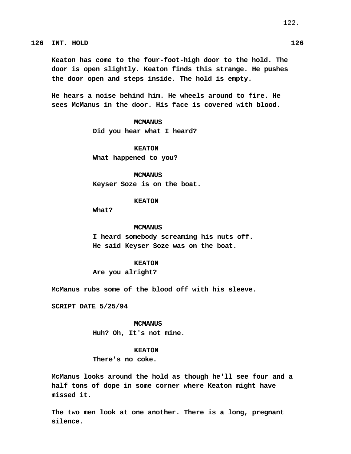**Keaton has come to the four-foot-high door to the hold. The door is open slightly. Keaton finds this strange. He pushes the door open and steps inside. The hold is empty.**

**He hears a noise behind him. He wheels around to fire. He sees McManus in the door. His face is covered with blood.**

# **MCMANUS**

**Did you hear what I heard?**

## **KEATON**

**What happened to you?**

# **MCMANUS**

**Keyser Soze is on the boat.**

# **KEATON**

**What?**

## **MCMANUS**

**I heard somebody screaming his nuts off. He said Keyser Soze was on the boat.**

#### **KEATON**

**Are you alright?**

**McManus rubs some of the blood off with his sleeve.**

**SCRIPT DATE 5/25/94**

#### **MCMANUS**

**Huh? Oh, It's not mine.**

# **KEATON**

**There's no coke.**

**McManus looks around the hold as though he'll see four and a half tons of dope in some corner where Keaton might have missed it.**

**The two men look at one another. There is a long, pregnant silence.**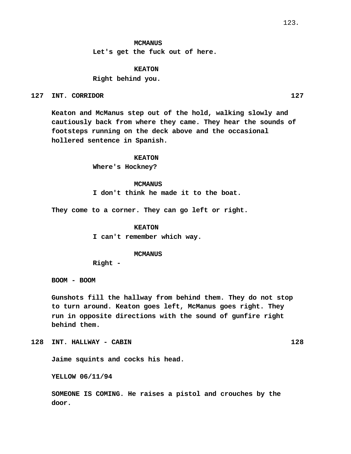# **MCMANUS**

**Let's get the fuck out of here.**

# **KEATON**

# **Right behind you.**

# **127 INT. CORRIDOR 127**

**Keaton and McManus step out of the hold, walking slowly and cautiously back from where they came. They hear the sounds of footsteps running on the deck above and the occasional hollered sentence in Spanish.**

## **KEATON**

**Where's Hockney?**

# **MCMANUS**

**I don't think he made it to the boat.**

**They come to a corner. They can go left or right.**

# **KEATON**

**I can't remember which way.**

### **MCMANUS**

**Right -**

**BOOM - BOOM**

**Gunshots fill the hallway from behind them. They do not stop to turn around. Keaton goes left, McManus goes right. They run in opposite directions with the sound of gunfire right behind them.**

**128 INT. HALLWAY - CABIN 128**

**Jaime squints and cocks his head.**

**YELLOW 06/11/94**

**SOMEONE IS COMING. He raises a pistol and crouches by the door.**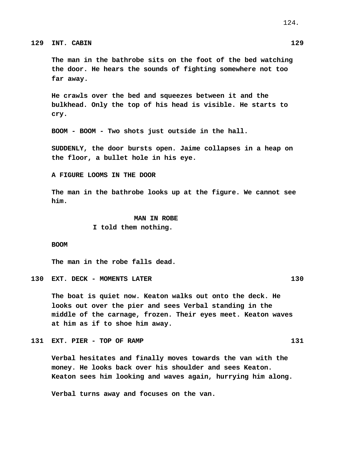**129 INT. CABIN 129**

**The man in the bathrobe sits on the foot of the bed watching the door. He hears the sounds of fighting somewhere not too far away.**

**He crawls over the bed and squeezes between it and the bulkhead. Only the top of his head is visible. He starts to cry.**

**BOOM - BOOM - Two shots just outside in the hall.**

**SUDDENLY, the door bursts open. Jaime collapses in a heap on the floor, a bullet hole in his eye.**

**A FIGURE LOOMS IN THE DOOR**

**The man in the bathrobe looks up at the figure. We cannot see him.**

> **MAN IN ROBE I told them nothing.**

**BOOM**

**The man in the robe falls dead.**

**130 EXT. DECK - MOMENTS LATER 130**

**The boat is quiet now. Keaton walks out onto the deck. He looks out over the pier and sees Verbal standing in the middle of the carnage, frozen. Their eyes meet. Keaton waves at him as if to shoe him away.**

**131 EXT. PIER - TOP OF RAMP 131**

**Verbal hesitates and finally moves towards the van with the money. He looks back over his shoulder and sees Keaton. Keaton sees him looking and waves again, hurrying him along.**

**Verbal turns away and focuses on the van.**

124.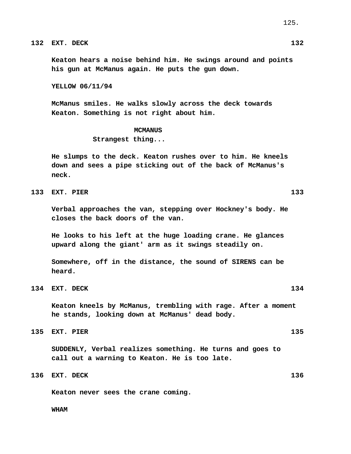**Keaton hears a noise behind him. He swings around and points his gun at McManus again. He puts the gun down.**

**YELLOW 06/11/94**

**McManus smiles. He walks slowly across the deck towards Keaton. Something is not right about him.**

## **MCMANUS**

**Strangest thing...**

**He slumps to the deck. Keaton rushes over to him. He kneels down and sees a pipe sticking out of the back of McManus's neck.**

**133 EXT. PIER 133**

**Verbal approaches the van, stepping over Hockney's body. He closes the back doors of the van.**

**He looks to his left at the huge loading crane. He glances upward along the giant' arm as it swings steadily on.**

**Somewhere, off in the distance, the sound of SIRENS can be heard.**

**Keaton kneels by McManus, trembling with rage. After a moment he stands, looking down at McManus' dead body.**

```
135 EXT. PIER 135
```
**SUDDENLY, Verbal realizes something. He turns and goes to call out a warning to Keaton. He is too late.**

**136 EXT. DECK 136**

**Keaton never sees the crane coming.**

**WHAM**

**<sup>134</sup> EXT. DECK 134**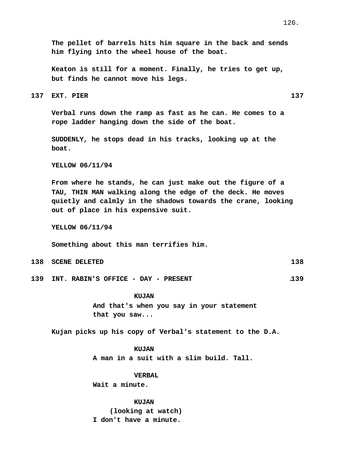**The pellet of barrels hits him square in the back and sends him flying into the wheel house of the boat.**

**Keaton is still for a moment. Finally, he tries to get up, but finds he cannot move his legs.**

**137 EXT. PIER 137**

**Verbal runs down the ramp as fast as he can. He comes to a rope ladder hanging down the side of the boat.**

**SUDDENLY, he stops dead in his tracks, looking up at the boat.**

**YELLOW 06/11/94**

**From where he stands, he can just make out the figure of a TAU, THIN MAN walking along the edge of the deck. He moves quietly and calmly in the shadows towards the crane, looking out of place in his expensive suit.**

**YELLOW 06/11/94**

**Something about this man terrifies him.**

**138 SCENE DELETED 138**

**139 INT. RABIN'S OFFICE - DAY - PRESENT .139**

**KUJAN And that's when you say in your statement that you saw...**

**Kujan picks up his copy of Verbal's statement to the D.A.**

**KUJAN**

**A man in a suit with a slim build. Tall.**

**VERBAL**

**Wait a minute.**

**KUJAN**

**(looking at watch) I don't have a minute.**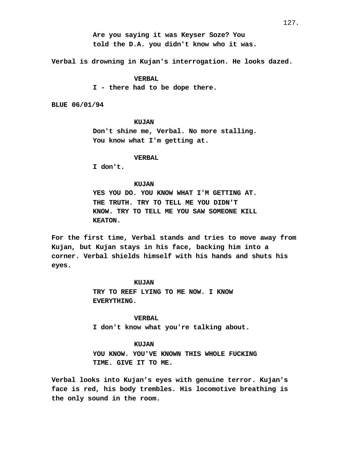**Verbal is drowning in Kujan's interrogation. He looks dazed.**

# **VERBAL**

**I - there had to be dope there.**

**BLUE 06/01/94**

# **KUJAN**

**Don't shine me, Verbal. No more stalling. You know what I'm getting at.**

# **VERBAL**

**I don't.**

## **KUJAN**

**YES YOU DO. YOU KNOW WHAT I'M GETTING AT. THE TRUTH. TRY TO TELL ME YOU DIDN'T KNOW. TRY TO TELL ME YOU SAW SOMEONE KILL KEATON.**

**For the first time, Verbal stands and tries to move away from Kujan, but Kujan stays in his face, backing him into a corner. Verbal shields himself with his hands and shuts his eyes.**

### **KUJAN**

**TRY TO REEF LYING TO ME NOW. I KNOW EVERYTHING.**

**VERBAL**

**I don't know what you're talking about.**

# **KUJAN**

**YOU KNOW. YOU'VE KNOWN THIS WHOLE FUCKING TIME. GIVE IT TO ME.**

**Verbal looks into Kujan's eyes with genuine terror. Kujan's face is red, his body trembles. His locomotive breathing is the only sound in the room.**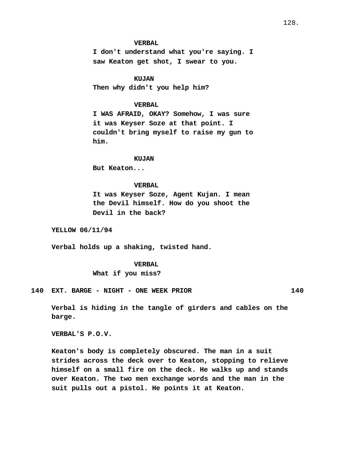## **VERBAL**

**I don't understand what you're saying. I saw Keaton get shot, I swear to you.**

**KUJAN Then why didn't you help him?**

# **VERBAL**

**I WAS AFRAID, OKAY? Somehow, I was sure it was Keyser Soze at that point. I couldn't bring myself to raise my gun to him.**

#### **KUJAN**

**But Keaton...**

## **VERBAL**

**It was Keyser Soze, Agent Kujan. I mean the Devil himself. How do you shoot the Devil in the back?**

**YELLOW 06/11/94**

**Verbal holds up a shaking, twisted hand.**

## **VERBAL**

**What if you miss?**

**140 EXT. BARGE - NIGHT - ONE WEEK PRIOR 140**

**Verbal is hiding in the tangle of girders and cables on the barge.**

**VERBAL'S P.O.V.**

**Keaton's body is completely obscured. The man in a suit strides across the deck over to Keaton, stopping to relieve himself on a small fire on the deck. He walks up and stands over Keaton. The two men exchange words and the man in the suit pulls out a pistol. He points it at Keaton.**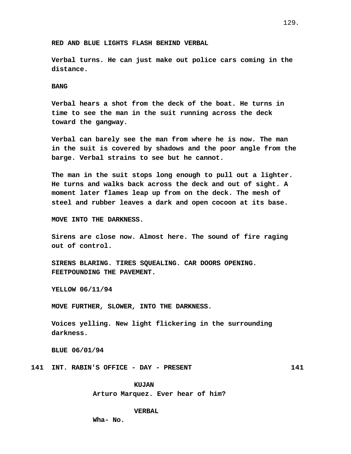**RED AND BLUE LIGHTS FLASH BEHIND VERBAL**

**Verbal turns. He can just make out police cars coming in the distance.**

**BANG**

**Verbal hears a shot from the deck of the boat. He turns in time to see the man in the suit running across the deck toward the gangway.**

**Verbal can barely see the man from where he is now. The man in the suit is covered by shadows and the poor angle from the barge. Verbal strains to see but he cannot.**

**The man in the suit stops long enough to pull out a lighter. He turns and walks back across the deck and out of sight. A moment later flames leap up from on the deck. The mesh of steel and rubber leaves a dark and open cocoon at its base.**

**MOVE INTO THE DARKNESS.**

**Sirens are close now. Almost here. The sound of fire raging out of control.**

**SIRENS BLARING. TIRES SQUEALING. CAR DOORS OPENING. FEETPOUNDING THE PAVEMENT.**

**YELLOW 06/11/94**

**MOVE FURTHER, SLOWER, INTO THE DARKNESS.**

**Voices yelling. New light flickering in the surrounding darkness.**

**BLUE 06/01/94**

**141 INT. RABIN'S OFFICE - DAY - PRESENT 141**

**KUJAN Arturo Marquez. Ever hear of him?**

## **VERBAL**

**Wha- No.**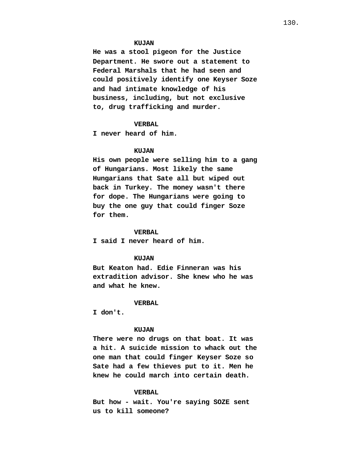## **KUJAN**

**He was a stool pigeon for the Justice Department. He swore out a statement to Federal Marshals that he had seen and could positively identify one Keyser Soze and had intimate knowledge of his business, including, but not exclusive to, drug trafficking and murder.**

# **VERBAL**

**I never heard of him.**

## **KUJAN**

**His own people were selling him to a gang of Hungarians. Most likely the same Hungarians that Sate all but wiped out back in Turkey. The money wasn't there for dope. The Hungarians were going to buy the one guy that could finger Soze for them.**

# **VERBAL**

**I said I never heard of him.**

# **KUJAN**

**But Keaton had. Edie Finneran was his extradition advisor. She knew who he was and what he knew.**

## **VERBAL**

**I don't.**

## **KUJAN**

**There were no drugs on that boat. It was a hit. A suicide mission to whack out the one man that could finger Keyser Soze so Sate had a few thieves put to it. Men he knew he could march into certain death.**

# **VERBAL**

**But how - wait. You're saying SOZE sent us to kill someone?**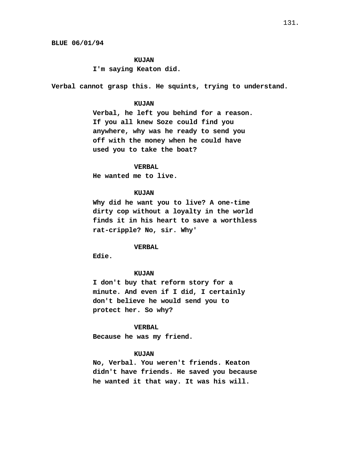**BLUE 06/01/94**

# **KUJAN**

# **I'm saying Keaton did.**

**Verbal cannot grasp this. He squints, trying to understand.**

# **KUJAN**

**Verbal, he left you behind for a reason. If you all knew Soze could find you anywhere, why was he ready to send you off with the money when he could have used you to take the boat?**

# **VERBAL**

**He wanted me to live.**

# **KUJAN**

**Why did he want you to live? A one-time dirty cop without a loyalty in the world finds it in his heart to save a worthless rat-cripple? No, sir. Why'**

# **VERBAL**

**Edie.**

# **KUJAN**

**I don't buy that reform story for a minute. And even if I did, I certainly don't believe he would send you to protect her. So why?**

# **VERBAL**

**Because he was my friend.**

#### **KUJAN**

**No, Verbal. You weren't friends. Keaton didn't have friends. He saved you because he wanted it that way. It was his will.**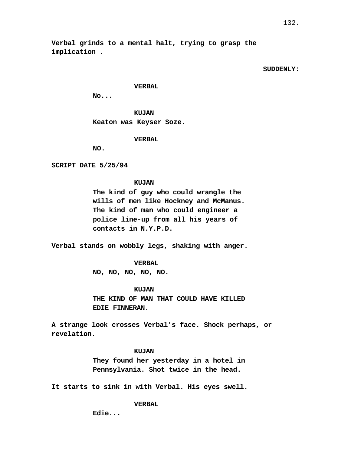**Verbal grinds to a mental halt, trying to grasp the implication .**

# **SUDDENLY:**

# **VERBAL**

**No...**

**KUJAN Keaton was Keyser Soze.**

**VERBAL**

**NO.**

**SCRIPT DATE 5/25/94**

# **KUJAN**

**The kind of guy who could wrangle the wills of men like Hockney and McManus. The kind of man who could engineer a police line-up from all his years of contacts in N.Y.P.D.**

**Verbal stands on wobbly legs, shaking with anger.**

## **VERBAL**

**NO, NO, NO, NO, NO.**

**KUJAN THE KIND OF MAN THAT COULD HAVE KILLED EDIE FINNERAN.**

**A strange look crosses Verbal's face. Shock perhaps, or revelation.**

# **KUJAN**

**They found her yesterday in a hotel in Pennsylvania. Shot twice in the head.**

**It starts to sink in with Verbal. His eyes swell.**

**VERBAL**

**Edie...**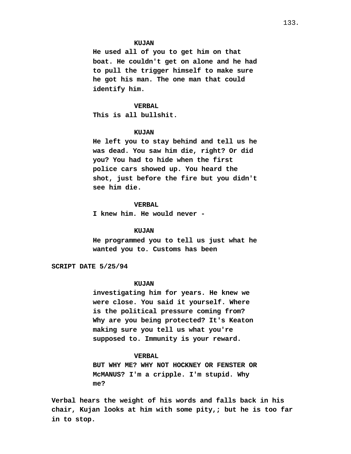## **KUJAN**

**He used all of you to get him on that boat. He couldn't get on alone and he had to pull the trigger himself to make sure he got his man. The one man that could identify him.**

# **VERBAL**

**This is all bullshit.**

# **KUJAN**

**He left you to stay behind and tell us he was dead. You saw him die, right? Or did you? You had to hide when the first police cars showed up. You heard the shot, just before the fire but you didn't see him die.**

# **VERBAL**

**I knew him. He would never -**

# **KUJAN**

**He programmed you to tell us just what he wanted you to. Customs has been**

**SCRIPT DATE 5/25/94**

# **KUJAN**

**investigating him for years. He knew we were close. You said it yourself. Where is the political pressure coming from? Why are you being protected? It's Keaton making sure you tell us what you're supposed to. Immunity is your reward.**

## **VERBAL**

**BUT WHY ME? WHY NOT HOCKNEY OR FENSTER OR McMANUS? I'm a cripple. I'm stupid. Why me?**

**Verbal hears the weight of his words and falls back in his chair, Kujan looks at him with some pity,; but he is too far in to stop.**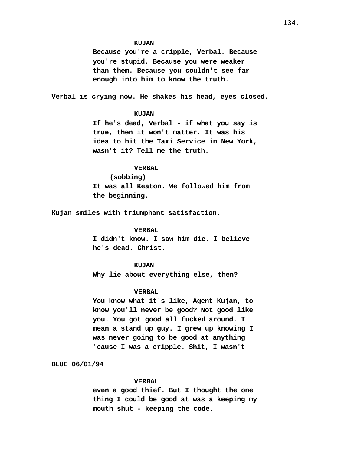#### **KUJAN**

**Because you're a cripple, Verbal. Because you're stupid. Because you were weaker than them. Because you couldn't see far enough into him to know the truth.**

**Verbal is crying now. He shakes his head, eyes closed.**

# **KUJAN**

**If he's dead, Verbal - if what you say is true, then it won't matter. It was his idea to hit the Taxi Service in New York, wasn't it? Tell me the truth.**

# **VERBAL**

**(sobbing) It was all Keaton. We followed him from the beginning.**

**Kujan smiles with triumphant satisfaction.**

# **VERBAL**

**I didn't know. I saw him die. I believe he's dead. Christ.**

## **KUJAN**

**Why lie about everything else, then?**

# **VERBAL**

**You know what it's like, Agent Kujan, to know you'll never be good? Not good like you. You got good all fucked around. I mean a stand up guy. I grew up knowing I was never going to be good at anything 'cause I was a cripple. Shit, I wasn't**

**BLUE 06/01/94**

# **VERBAL**

**even a good thief. But I thought the one thing I could be good at was a keeping my mouth shut - keeping the code.**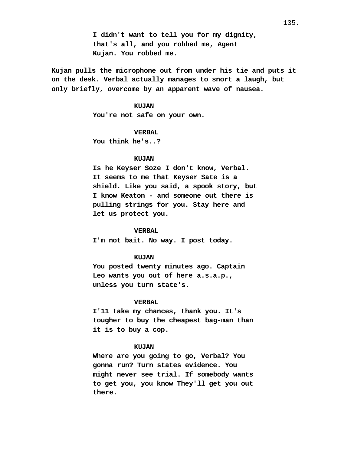**I didn't want to tell you for my dignity, that's all, and you robbed me, Agent Kujan. You robbed me.**

**Kujan pulls the microphone out from under his tie and puts it on the desk. Verbal actually manages to snort a laugh, but only briefly, overcome by an apparent wave of nausea.**

# **KUJAN**

**You're not safe on your own.**

#### **VERBAL**

**You think he's..?**

#### **KUJAN**

**Is he Keyser Soze I don't know, Verbal. It seems to me that Keyser Sate is a shield. Like you said, a spook story, but I know Keaton - and someone out there is pulling strings for you. Stay here and let us protect you.**

## **VERBAL**

**I'm not bait. No way. I post today.**

## **KUJAN**

**You posted twenty minutes ago. Captain Leo wants you out of here a.s.a.p., unless you turn state's.**

# **VERBAL**

**I'11 take my chances, thank you. It's tougher to buy the cheapest bag-man than it is to buy a cop.**

# **KUJAN**

**Where are you going to go, Verbal? You gonna run? Turn states evidence. You might never see trial. If somebody wants to get you, you know They'll get you out there.**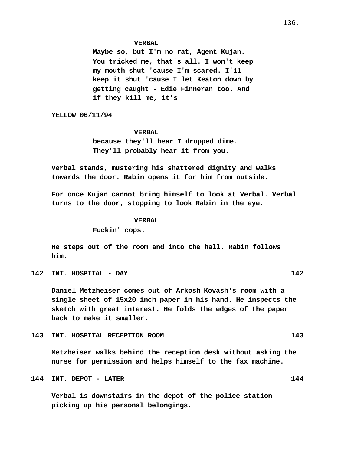#### **VERBAL**

**Maybe so, but I'm no rat, Agent Kujan. You tricked me, that's all. I won't keep my mouth shut 'cause I'm scared. I'11 keep it shut 'cause I let Keaton down by getting caught - Edie Finneran too. And if they kill me, it's**

**YELLOW 06/11/94**

# **VERBAL**

**because they'll hear I dropped dime. They'll probably hear it from you.**

**Verbal stands, mustering his shattered dignity and walks towards the door. Rabin opens it for him from outside.**

**For once Kujan cannot bring himself to look at Verbal. Verbal turns to the door, stopping to look Rabin in the eye.**

## **VERBAL**

**Fuckin' cops.**

**He steps out of the room and into the hall. Rabin follows him.**

**142 INT. HOSPITAL - DAY 142**

**Daniel Metzheiser comes out of Arkosh Kovash's room with a single sheet of 15x20 inch paper in his hand. He inspects the sketch with great interest. He folds the edges of the paper back to make it smaller.**

**143 INT. HOSPITAL RECEPTION ROOM 143**

**Metzheiser walks behind the reception desk without asking the nurse for permission and helps himself to the fax machine.**

**144 INT. DEPOT - LATER 144**

**Verbal is downstairs in the depot of the police station picking up his personal belongings.**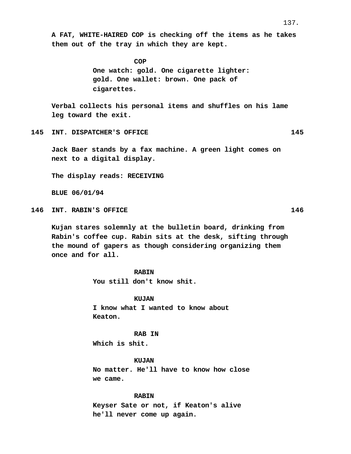**A FAT, WHITE-HAIRED COP is checking off the items as he takes them out of the tray in which they are kept.**

> **COP One watch: gold. One cigarette lighter: gold. One wallet: brown. One pack of cigarettes.**

**Verbal collects his personal items and shuffles on his lame leg toward the exit.**

**145 INT. DISPATCHER'S OFFICE 145**

**Jack Baer stands by a fax machine. A green light comes on next to a digital display.**

**The display reads: RECEIVING**

**BLUE 06/01/94**

**146 INT. RABIN'S OFFICE 146**

**Kujan stares solemnly at the bulletin board, drinking from Rabin's coffee cup. Rabin sits at the desk, sifting through the mound of gapers as though considering organizing them once and for all.**

## **RABIN**

**You still don't know shit.**

**KUJAN I know what I wanted to know about Keaton.**

# **RAB IN**

**Which is shit.**

**KUJAN No matter. He'll have to know how close we came.**

### **RABIN**

**Keyser Sate or not, if Keaton's alive he'll never come up again.**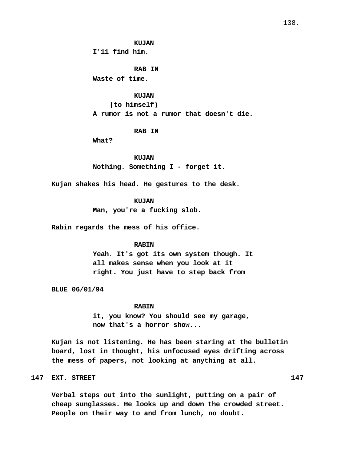**KUJAN**

**I'11 find him.**

**RAB IN**

**Waste of time.**

**KUJAN (to himself) A rumor is not a rumor that doesn't die.**

**RAB IN**

**What?**

**KUJAN Nothing. Something I - forget it.**

**Kujan shakes his head. He gestures to the desk.**

**KUJAN**

**Man, you're a fucking slob.**

**Rabin regards the mess of his office.**

## **RABIN**

**Yeah. It's got its own system though. It all makes sense when you look at it right. You just have to step back from**

**BLUE 06/01/94**

# **RABIN**

**it, you know? You should see my garage, now that's a horror show...**

**Kujan is not listening. He has been staring at the bulletin board, lost in thought, his unfocused eyes drifting across the mess of papers, not looking at anything at all.**

# **147 EXT. STREET 147**

**Verbal steps out into the sunlight, putting on a pair of cheap sunglasses. He looks up and down the crowded street. People on their way to and from lunch, no doubt.**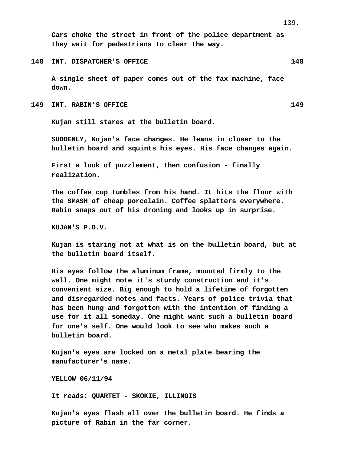**Cars choke the street in front of the police department as they wait for pedestrians to clear the way.**

#### **148** INT. DISPATCHER'S OFFICE **148** 148

**A single sheet of paper comes out of the fax machine, face down.**

**149 INT. RABIN'S OFFICE 149**

**Kujan still stares at the bulletin board.**

**SUDDENLY, Kujan's face changes. He leans in closer to the bulletin board and squints his eyes. His face changes again.**

**First a look of puzzlement, then confusion - finally realization.**

**The coffee cup tumbles from his hand. It hits the floor with the SMASH of cheap porcelain. Coffee splatters everywhere. Rabin snaps out of his droning and looks up in surprise.**

**KUJAN'S P.O.V.**

**Kujan is staring not at what is on the bulletin board, but at the bulletin board itself.**

**His eyes follow the aluminum frame, mounted firmly to the wall. One might note it's sturdy construction and it's convenient size. Big enough to hold a lifetime of forgotten and disregarded notes and facts. Years of police trivia that has been hung and forgotten with the intention of finding a use for it all someday. One might want such a bulletin board for one's self. One would look to see who makes such a bulletin board.**

**Kujan's eyes are locked on a metal plate bearing the manufacturer's name.**

**YELLOW 06/11/94**

**It reads: QUARTET - SKOKIE, ILLINOIS**

**Kujan's eyes flash all over the bulletin board. He finds a picture of Rabin in the far corner.**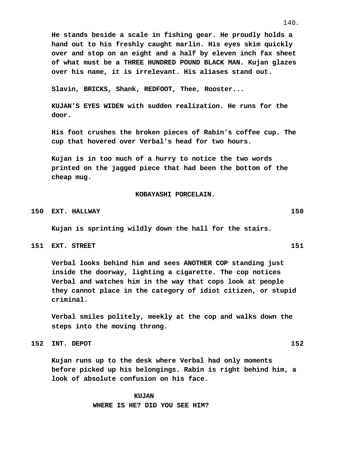**He stands beside a scale in fishing gear. He proudly holds a hand out to his freshly caught marlin. His eyes skim quickly over and stop on an eight and a half by eleven inch fax sheet of what must be a THREE HUNDRED POUND BLACK MAN. Kujan glazes over his name, it is irrelevant. His aliases stand out.**

**Slavin, BRICKS, Shank, REDFOOT, Thee, Rooster...**

**KUJAN'S EYES WIDEN with sudden realization. He runs for the door.**

**His foot crushes the broken pieces of Rabin's coffee cup. The cup that hovered over Verbal's head for two hours.**

**Kujan is in too much of a hurry to notice the two words printed on the jagged piece that had been the bottom of the cheap mug.**

#### **KOBAYASHI PORCELAIN.**

# **150 EXT. HALLWAY 150**

**Kujan is sprinting wildly down the hall for the stairs.**

# **151 EXT. STREET 151**

**Verbal looks behind him and sees ANOTHER COP standing just inside the doorway, lighting a cigarette. The cop notices Verbal and watches him in the way that cops look at people they cannot place in the category of idiot citizen, or stupid criminal.**

**Verbal smiles politely, meekly at the cop and walks down the steps into the moving throng.**

# **152 INT. DEPOT 152**

**Kujan runs up to the desk where Verbal had only moments before picked up his belongings. Rabin is right behind him, a look of absolute confusion on his face.**

> **KUJAN WHERE IS HE? DID YOU SEE HIM?**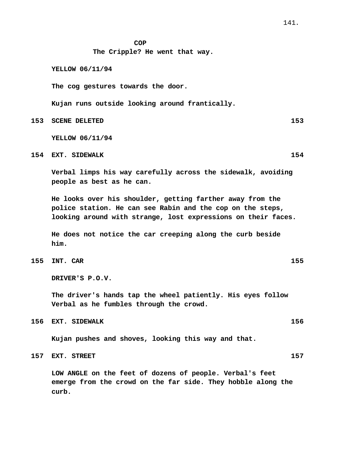# **COP**

**The Cripple? He went that way.**

**YELLOW 06/11/94**

**The cog gestures towards the door.**

**Kujan runs outside looking around frantically.**

**153 SCENE DELETED 153**

**YELLOW 06/11/94**

**154 EXT. SIDEWALK 154**

**Verbal limps his way carefully across the sidewalk, avoiding people as best as he can.**

**He looks over his shoulder, getting farther away from the police station. He can see Rabin and the cop on the steps, looking around with strange, lost expressions on their faces.**

**He does not notice the car creeping along the curb beside him.**

**155 INT. CAR 155**

**DRIVER'S P.O.V.**

**The driver's hands tap the wheel patiently. His eyes follow Verbal as he fumbles through the crowd.**

**156 EXT. SIDEWALK 156**

**Kujan pushes and shoves, looking this way and that.**

**157 EXT. STREET 157**

**LOW ANGLE on the feet of dozens of people. Verbal's feet emerge from the crowd on the far side. They hobble along the curb.**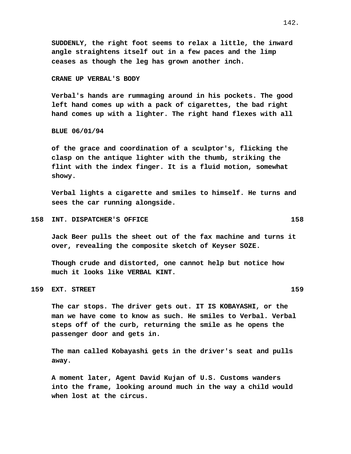**SUDDENLY, the right foot seems to relax a little, the inward angle straightens itself out in a few paces and the limp ceases as though the leg has grown another inch.**

**CRANE UP VERBAL'S BODY**

**Verbal's hands are rummaging around in his pockets. The good left hand comes up with a pack of cigarettes, the bad right hand comes up with a lighter. The right hand flexes with all**

**BLUE 06/01/94**

**of the grace and coordination of a sculptor's, flicking the clasp on the antique lighter with the thumb, striking the flint with the index finger. It is a fluid motion, somewhat showy.**

**Verbal lights a cigarette and smiles to himself. He turns and sees the car running alongside.**

**158 INT. DISPATCHER'S OFFICE 158**

**Jack Beer pulls the sheet out of the fax machine and turns it over, revealing the composite sketch of Keyser SOZE.**

**Though crude and distorted, one cannot help but notice how much it looks like VERBAL KINT.**

**159 EXT. STREET 159**

**The car stops. The driver gets out. IT IS KOBAYASHI, or the man we have come to know as such. He smiles to Verbal. Verbal steps off of the curb, returning the smile as he opens the passenger door and gets in.**

**The man called Kobayashi gets in the driver's seat and pulls away.**

**A moment later, Agent David Kujan of U.S. Customs wanders into the frame, looking around much in the way a child would when lost at the circus.**